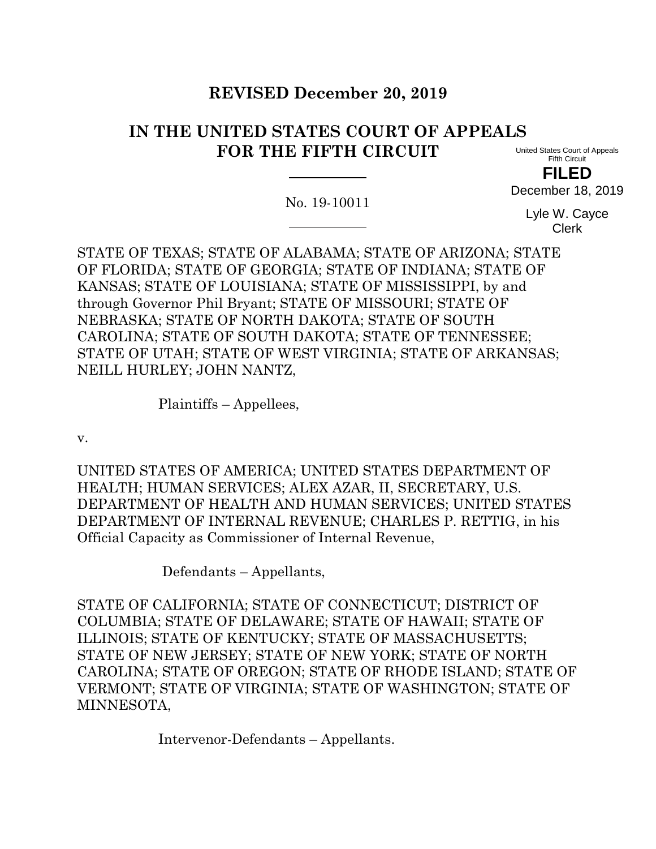# **REVISED December 20, 2019**

# **IN THE UNITED STATES COURT OF APPEALS FOR THE FIFTH CIRCUIT**

United States Court of Appeals Fifth Circuit

**FILED**

December 18, 2019

No. 19-10011

Lyle W. Cayce Clerk

STATE OF TEXAS; STATE OF ALABAMA; STATE OF ARIZONA; STATE OF FLORIDA; STATE OF GEORGIA; STATE OF INDIANA; STATE OF KANSAS; STATE OF LOUISIANA; STATE OF MISSISSIPPI, by and through Governor Phil Bryant; STATE OF MISSOURI; STATE OF NEBRASKA; STATE OF NORTH DAKOTA; STATE OF SOUTH CAROLINA; STATE OF SOUTH DAKOTA; STATE OF TENNESSEE; STATE OF UTAH; STATE OF WEST VIRGINIA; STATE OF ARKANSAS; NEILL HURLEY; JOHN NANTZ,

Plaintiffs – Appellees,

v.

UNITED STATES OF AMERICA; UNITED STATES DEPARTMENT OF HEALTH; HUMAN SERVICES; ALEX AZAR, II, SECRETARY, U.S. DEPARTMENT OF HEALTH AND HUMAN SERVICES; UNITED STATES DEPARTMENT OF INTERNAL REVENUE; CHARLES P. RETTIG, in his Official Capacity as Commissioner of Internal Revenue,

Defendants – Appellants,

STATE OF CALIFORNIA; STATE OF CONNECTICUT; DISTRICT OF COLUMBIA; STATE OF DELAWARE; STATE OF HAWAII; STATE OF ILLINOIS; STATE OF KENTUCKY; STATE OF MASSACHUSETTS; STATE OF NEW JERSEY; STATE OF NEW YORK; STATE OF NORTH CAROLINA; STATE OF OREGON; STATE OF RHODE ISLAND; STATE OF VERMONT; STATE OF VIRGINIA; STATE OF WASHINGTON; STATE OF MINNESOTA,

Intervenor-Defendants – Appellants.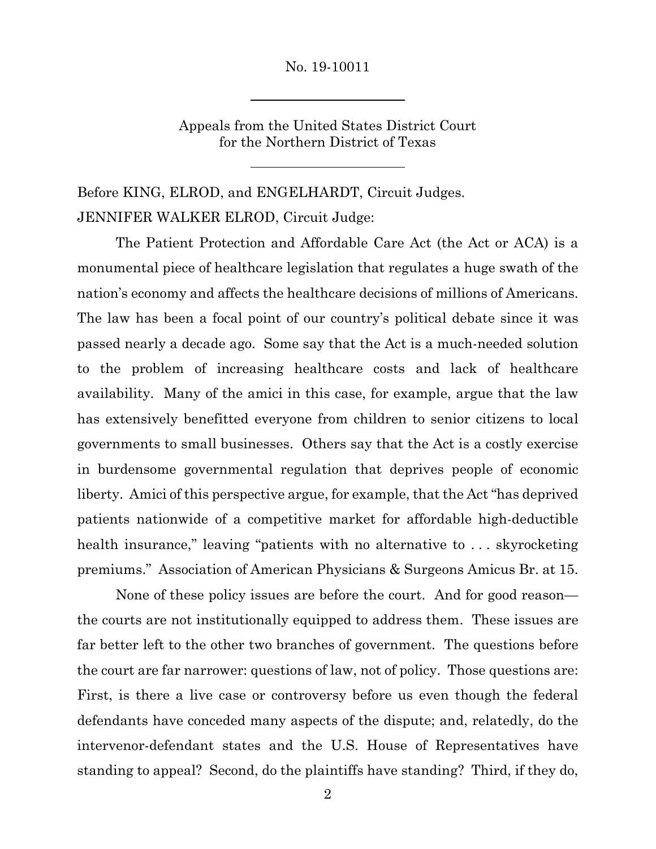Appeals from the United States District Court for the Northern District of Texas

Before KING, ELROD, and ENGELHARDT, Circuit Judges. JENNIFER WALKER ELROD, Circuit Judge:

The Patient Protection and Affordable Care Act (the Act or ACA) is a monumental piece of healthcare legislation that regulates a huge swath of the nation's economy and affects the healthcare decisions of millions of Americans. The law has been a focal point of our country's political debate since it was passed nearly a decade ago. Some say that the Act is a much-needed solution to the problem of increasing healthcare costs and lack of healthcare availability. Many of the amici in this case, for example, argue that the law has extensively benefitted everyone from children to senior citizens to local governments to small businesses. Others say that the Act is a costly exercise in burdensome governmental regulation that deprives people of economic liberty. Amici of this perspective argue, for example, that the Act "has deprived patients nationwide of a competitive market for affordable high-deductible health insurance," leaving "patients with no alternative to . . . skyrocketing premiums." Association of American Physicians & Surgeons Amicus Br. at 15.

None of these policy issues are before the court. And for good reason the courts are not institutionally equipped to address them. These issues are far better left to the other two branches of government. The questions before the court are far narrower: questions of law, not of policy. Those questions are: First, is there a live case or controversy before us even though the federal defendants have conceded many aspects of the dispute; and, relatedly, do the intervenor-defendant states and the U.S. House of Representatives have standing to appeal? Second, do the plaintiffs have standing? Third, if they do,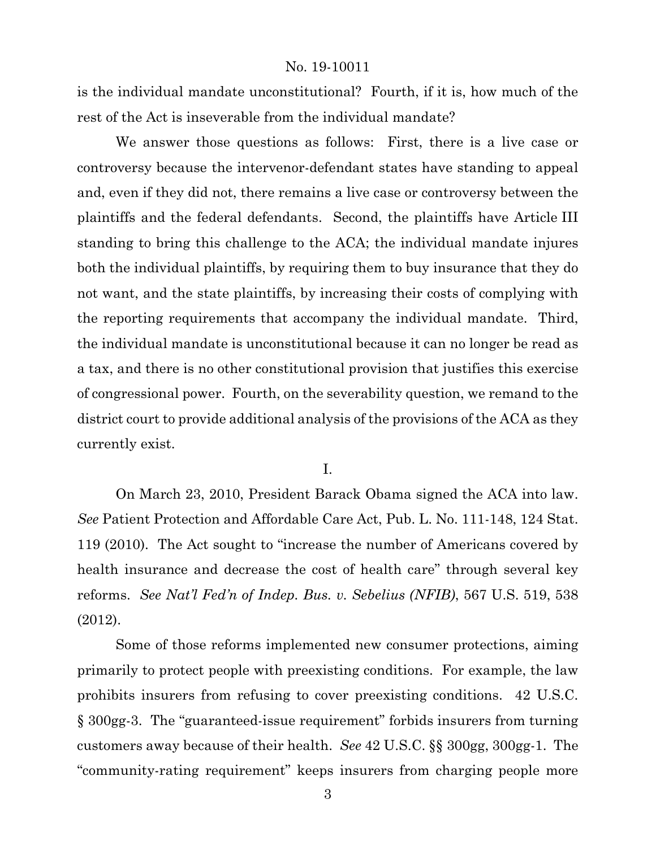is the individual mandate unconstitutional? Fourth, if it is, how much of the rest of the Act is inseverable from the individual mandate?

We answer those questions as follows: First, there is a live case or controversy because the intervenor-defendant states have standing to appeal and, even if they did not, there remains a live case or controversy between the plaintiffs and the federal defendants. Second, the plaintiffs have Article III standing to bring this challenge to the ACA; the individual mandate injures both the individual plaintiffs, by requiring them to buy insurance that they do not want, and the state plaintiffs, by increasing their costs of complying with the reporting requirements that accompany the individual mandate. Third, the individual mandate is unconstitutional because it can no longer be read as a tax, and there is no other constitutional provision that justifies this exercise of congressional power. Fourth, on the severability question, we remand to the district court to provide additional analysis of the provisions of the ACA as they currently exist.

I.

On March 23, 2010, President Barack Obama signed the ACA into law. *See* Patient Protection and Affordable Care Act, Pub. L. No. 111-148, 124 Stat. 119 (2010). The Act sought to "increase the number of Americans covered by health insurance and decrease the cost of health care" through several key reforms. *See Nat'l Fed'n of Indep. Bus. v. Sebelius (NFIB)*, 567 U.S. 519, 538 (2012).

Some of those reforms implemented new consumer protections, aiming primarily to protect people with preexisting conditions. For example, the law prohibits insurers from refusing to cover preexisting conditions. 42 U.S.C. § 300gg-3. The "guaranteed-issue requirement" forbids insurers from turning customers away because of their health. *See* 42 U.S.C. §§ 300gg, 300gg-1. The "community-rating requirement" keeps insurers from charging people more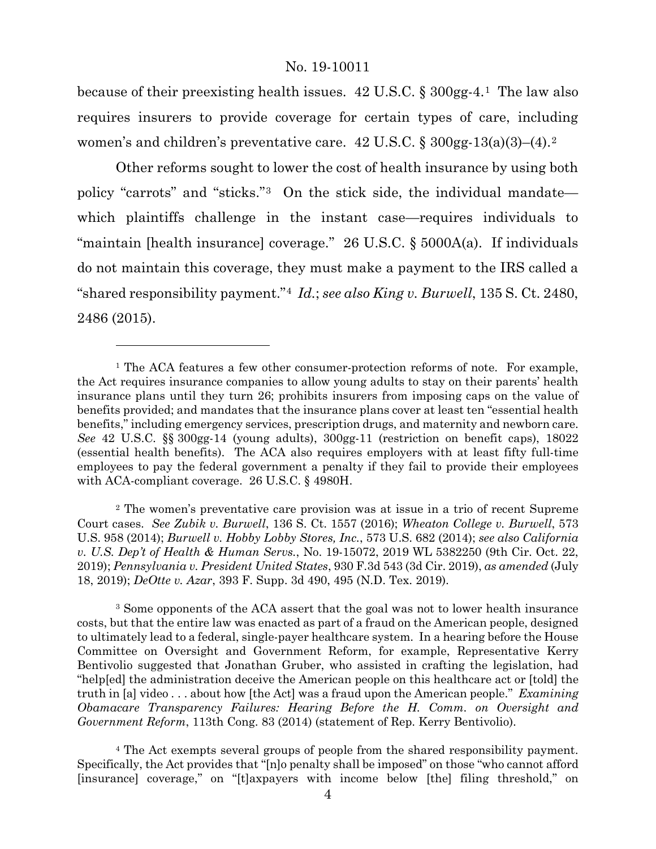because of their preexisting health issues.  $42 \text{ U.S.C.}$  §  $300$  gg-4.<sup>[1](#page-3-0)</sup> The law also requires insurers to provide coverage for certain types of care, including women's and children's preventative care.  $42 \text{ U.S.C.}$  $42 \text{ U.S.C.}$  $42 \text{ U.S.C.}$  §  $300 \text{gg-13(a)(3)}$ –(4).<sup>2</sup>

Other reforms sought to lower the cost of health insurance by using both policy "carrots" and "sticks."[3](#page-3-2) On the stick side, the individual mandate which plaintiffs challenge in the instant case—requires individuals to "maintain [health insurance] coverage." 26 U.S.C. § 5000A(a). If individuals do not maintain this coverage, they must make a payment to the IRS called a "shared responsibility payment."[4](#page-3-3) *Id.*; *see also King v. Burwell*, 135 S. Ct. 2480, 2486 (2015).

<span id="page-3-4"></span> $\overline{a}$ 

<span id="page-3-1"></span><sup>2</sup> The women's preventative care provision was at issue in a trio of recent Supreme Court cases. *See Zubik v. Burwell*, 136 S. Ct. 1557 (2016); *Wheaton College v. Burwell*, 573 U.S. 958 (2014); *Burwell v. Hobby Lobby Stores, Inc.*, 573 U.S. 682 (2014); *see also California v. U.S. Dep't of Health & Human Servs.*, No. 19-15072, 2019 WL 5382250 (9th Cir. Oct. 22, 2019); *Pennsylvania v. President United States*, 930 F.3d 543 (3d Cir. 2019), *as amended* (July 18, 2019); *DeOtte v. Azar*, 393 F. Supp. 3d 490, 495 (N.D. Tex. 2019).

<span id="page-3-2"></span><sup>3</sup> Some opponents of the ACA assert that the goal was not to lower health insurance costs, but that the entire law was enacted as part of a fraud on the American people, designed to ultimately lead to a federal, single-payer healthcare system. In a hearing before the House Committee on Oversight and Government Reform, for example, Representative Kerry Bentivolio suggested that Jonathan Gruber, who assisted in crafting the legislation, had "help[ed] the administration deceive the American people on this healthcare act or [told] the truth in [a] video . . . about how [the Act] was a fraud upon the American people." *Examining Obamacare Transparency Failures: Hearing Before the H. Comm. on Oversight and Government Reform*, 113th Cong. 83 (2014) (statement of Rep. Kerry Bentivolio).

<span id="page-3-3"></span><sup>4</sup> The Act exempts several groups of people from the shared responsibility payment. Specifically, the Act provides that "[n]o penalty shall be imposed" on those "who cannot afford [insurance] coverage," on "[t]axpayers with income below [the] filing threshold," on

<span id="page-3-0"></span><sup>&</sup>lt;sup>1</sup> The ACA features a few other consumer-protection reforms of note. For example, the Act requires insurance companies to allow young adults to stay on their parents' health insurance plans until they turn 26; prohibits insurers from imposing caps on the value of benefits provided; and mandates that the insurance plans cover at least ten "essential health benefits," including emergency services, prescription drugs, and maternity and newborn care. *See* 42 U.S.C. §§ 300gg-14 (young adults), 300gg-11 (restriction on benefit caps), 18022 (essential health benefits). The ACA also requires employers with at least fifty full-time employees to pay the federal government a penalty if they fail to provide their employees with ACA-compliant coverage. 26 U.S.C. § 4980H.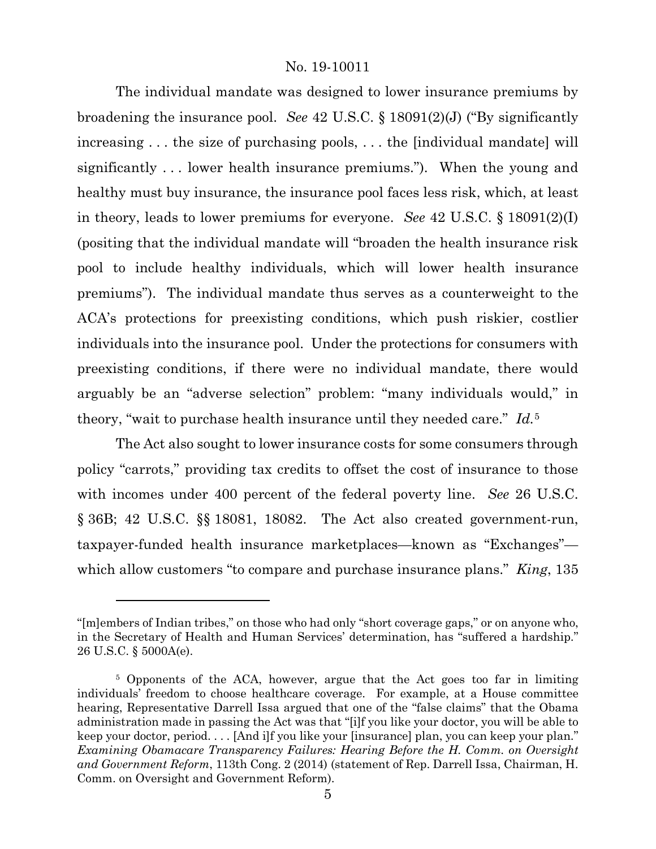The individual mandate was designed to lower insurance premiums by broadening the insurance pool. *See* 42 U.S.C. § 18091(2)(J) ("By significantly increasing . . . the size of purchasing pools, . . . the [individual mandate] will significantly . . . lower health insurance premiums."). When the young and healthy must buy insurance, the insurance pool faces less risk, which, at least in theory, leads to lower premiums for everyone. *See* 42 U.S.C. § 18091(2)(I) (positing that the individual mandate will "broaden the health insurance risk pool to include healthy individuals, which will lower health insurance premiums"). The individual mandate thus serves as a counterweight to the ACA's protections for preexisting conditions, which push riskier, costlier individuals into the insurance pool. Under the protections for consumers with preexisting conditions, if there were no individual mandate, there would arguably be an "adverse selection" problem: "many individuals would," in theory, "wait to purchase health insurance until they needed care." *Id.*[5](#page-4-0)

The Act also sought to lower insurance costs for some consumers through policy "carrots," providing tax credits to offset the cost of insurance to those with incomes under 400 percent of the federal poverty line. *See* 26 U.S.C. § 36B; 42 U.S.C. §§ 18081, 18082. The Act also created government-run, taxpayer-funded health insurance marketplaces—known as "Exchanges" which allow customers "to compare and purchase insurance plans." *King*, 135

<sup>&</sup>quot;[m]embers of Indian tribes," on those who had only "short coverage gaps," or on anyone who, in the Secretary of Health and Human Services' determination, has "suffered a hardship." 26 U.S.C. § 5000A(e).

<span id="page-4-0"></span><sup>5</sup> Opponents of the ACA, however, argue that the Act goes too far in limiting individuals' freedom to choose healthcare coverage. For example, at a House committee hearing, Representative Darrell Issa argued that one of the "false claims" that the Obama administration made in passing the Act was that "[i]f you like your doctor, you will be able to keep your doctor, period. . . . [And i]f you like your [insurance] plan, you can keep your plan." *Examining Obamacare Transparency Failures: Hearing Before the H. Comm. on Oversight and Government Reform*, 113th Cong. 2 (2014) (statement of Rep. Darrell Issa, Chairman, H. Comm. on Oversight and Government Reform).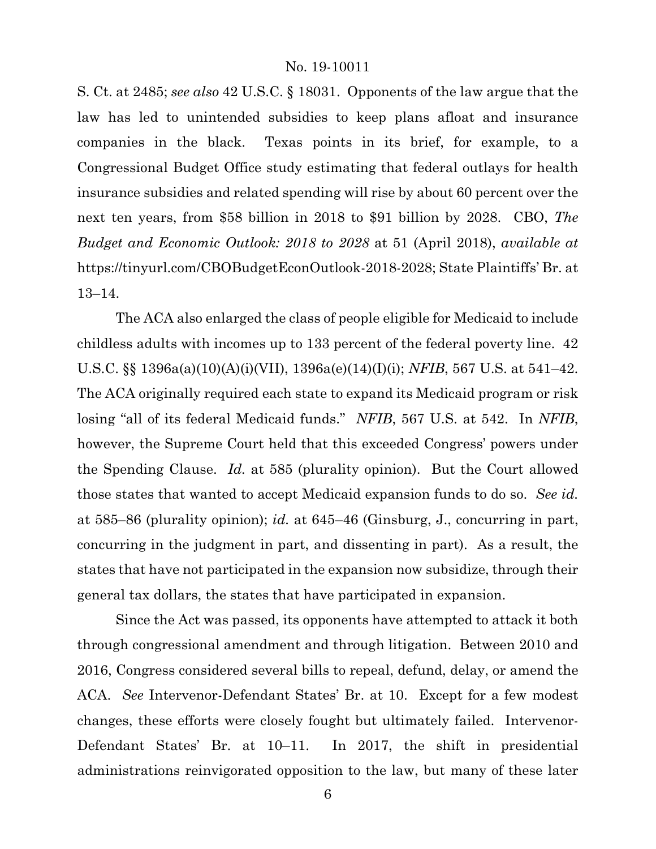S. Ct. at 2485; *see also* 42 U.S.C. § 18031. Opponents of the law argue that the law has led to unintended subsidies to keep plans afloat and insurance companies in the black. Texas points in its brief, for example, to a Congressional Budget Office study estimating that federal outlays for health insurance subsidies and related spending will rise by about 60 percent over the next ten years, from \$58 billion in 2018 to \$91 billion by 2028. CBO, *The Budget and Economic Outlook: 2018 to 2028* at 51 (April 2018), *available at* https://tinyurl.com/CBOBudgetEconOutlook-2018-2028; State Plaintiffs' Br. at 13–14.

The ACA also enlarged the class of people eligible for Medicaid to include childless adults with incomes up to 133 percent of the federal poverty line. 42 U.S.C. §§ 1396a(a)(10)(A)(i)(VII), 1396a(e)(14)(I)(i); *NFIB*, 567 U.S. at 541–42. The ACA originally required each state to expand its Medicaid program or risk losing "all of its federal Medicaid funds." *NFIB*, 567 U.S. at 542. In *NFIB*, however, the Supreme Court held that this exceeded Congress' powers under the Spending Clause. *Id.* at 585 (plurality opinion). But the Court allowed those states that wanted to accept Medicaid expansion funds to do so. *See id.* at 585–86 (plurality opinion); *id.* at 645–46 (Ginsburg, J., concurring in part, concurring in the judgment in part, and dissenting in part). As a result, the states that have not participated in the expansion now subsidize, through their general tax dollars, the states that have participated in expansion.

Since the Act was passed, its opponents have attempted to attack it both through congressional amendment and through litigation. Between 2010 and 2016, Congress considered several bills to repeal, defund, delay, or amend the ACA. *See* Intervenor-Defendant States' Br. at 10. Except for a few modest changes, these efforts were closely fought but ultimately failed. Intervenor-Defendant States' Br. at 10–11. In 2017, the shift in presidential administrations reinvigorated opposition to the law, but many of these later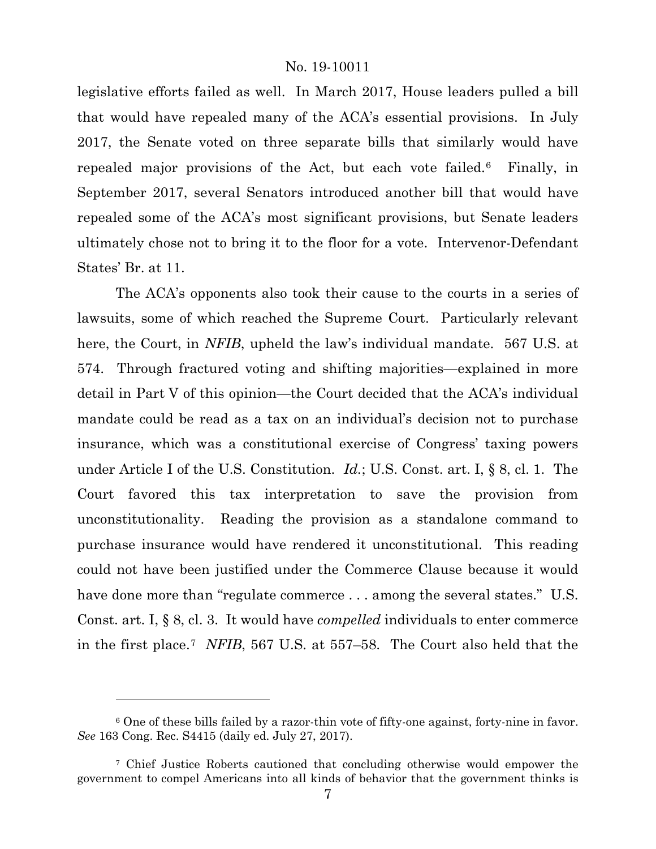legislative efforts failed as well. In March 2017, House leaders pulled a bill that would have repealed many of the ACA's essential provisions. In July 2017, the Senate voted on three separate bills that similarly would have repealed major provisions of the Act, but each vote failed.[6](#page-6-0) Finally, in September 2017, several Senators introduced another bill that would have repealed some of the ACA's most significant provisions, but Senate leaders ultimately chose not to bring it to the floor for a vote. Intervenor-Defendant States' Br. at 11.

The ACA's opponents also took their cause to the courts in a series of lawsuits, some of which reached the Supreme Court. Particularly relevant here, the Court, in *NFIB*, upheld the law's individual mandate. 567 U.S. at 574. Through fractured voting and shifting majorities—explained in more detail in Part V of this opinion—the Court decided that the ACA's individual mandate could be read as a tax on an individual's decision not to purchase insurance, which was a constitutional exercise of Congress' taxing powers under Article I of the U.S. Constitution. *Id.*; U.S. Const. art. I, § 8, cl. 1. The Court favored this tax interpretation to save the provision from unconstitutionality. Reading the provision as a standalone command to purchase insurance would have rendered it unconstitutional. This reading could not have been justified under the Commerce Clause because it would have done more than "regulate commerce ... among the several states." U.S. Const. art. I, § 8, cl. 3. It would have *compelled* individuals to enter commerce in the first place.[7](#page-6-1) *NFIB*, 567 U.S. at 557–58. The Court also held that the

<span id="page-6-0"></span><sup>6</sup> One of these bills failed by a razor-thin vote of fifty-one against, forty-nine in favor. *See* 163 Cong. Rec. S4415 (daily ed. July 27, 2017).

<span id="page-6-1"></span><sup>7</sup> Chief Justice Roberts cautioned that concluding otherwise would empower the government to compel Americans into all kinds of behavior that the government thinks is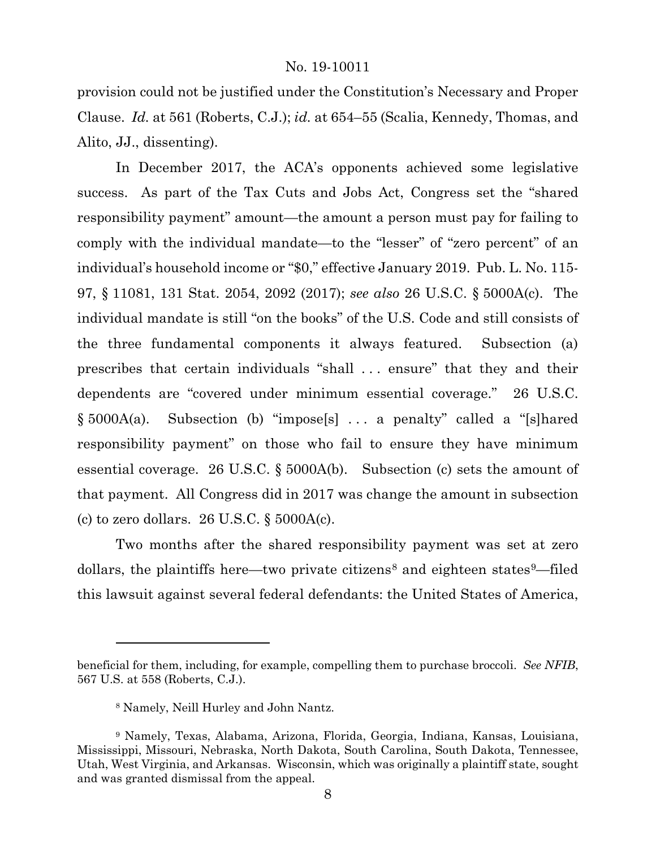provision could not be justified under the Constitution's Necessary and Proper Clause. *Id.* at 561 (Roberts, C.J.); *id.* at 654–55 (Scalia, Kennedy, Thomas, and Alito, JJ., dissenting).

In December 2017, the ACA's opponents achieved some legislative success. As part of the Tax Cuts and Jobs Act, Congress set the "shared responsibility payment" amount—the amount a person must pay for failing to comply with the individual mandate—to the "lesser" of "zero percent" of an individual's household income or "\$0," effective January 2019. Pub. L. No. 115- 97, § 11081, 131 Stat. 2054, 2092 (2017); *see also* 26 U.S.C. § 5000A(c). The individual mandate is still "on the books" of the U.S. Code and still consists of the three fundamental components it always featured. Subsection (a) prescribes that certain individuals "shall . . . ensure" that they and their dependents are "covered under minimum essential coverage." 26 U.S.C. § 5000A(a). Subsection (b) "impose[s] . . . a penalty" called a "[s]hared responsibility payment" on those who fail to ensure they have minimum essential coverage. 26 U.S.C. § 5000A(b). Subsection (c) sets the amount of that payment. All Congress did in 2017 was change the amount in subsection (c) to zero dollars.  $26$  U.S.C.  $\S$  5000A(c).

Two months after the shared responsibility payment was set at zero dollars, the plaintiffs here—two private citizens<sup>[8](#page-7-0)</sup> and eighteen states<sup>[9](#page-7-1)</sup>—filed this lawsuit against several federal defendants: the United States of America,

beneficial for them, including, for example, compelling them to purchase broccoli. *See NFIB*, 567 U.S. at 558 (Roberts, C.J.).

<sup>8</sup> Namely, Neill Hurley and John Nantz.

<span id="page-7-1"></span><span id="page-7-0"></span><sup>9</sup> Namely, Texas, Alabama, Arizona, Florida, Georgia, Indiana, Kansas, Louisiana, Mississippi, Missouri, Nebraska, North Dakota, South Carolina, South Dakota, Tennessee, Utah, West Virginia, and Arkansas. Wisconsin, which was originally a plaintiff state, sought and was granted dismissal from the appeal.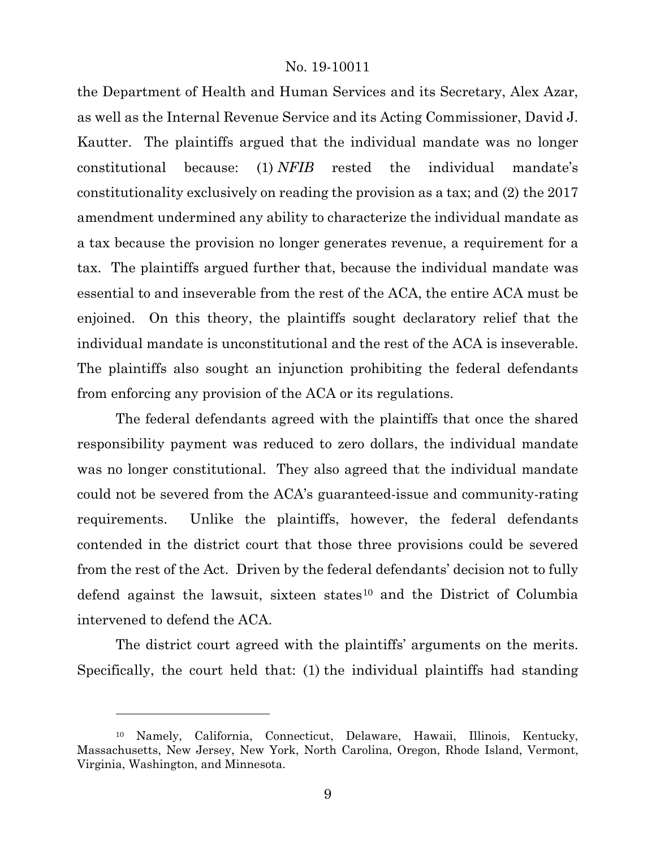the Department of Health and Human Services and its Secretary, Alex Azar, as well as the Internal Revenue Service and its Acting Commissioner, David J. Kautter. The plaintiffs argued that the individual mandate was no longer constitutional because: (1) *NFIB* rested the individual mandate's constitutionality exclusively on reading the provision as a tax; and (2) the 2017 amendment undermined any ability to characterize the individual mandate as a tax because the provision no longer generates revenue, a requirement for a tax. The plaintiffs argued further that, because the individual mandate was essential to and inseverable from the rest of the ACA, the entire ACA must be enjoined. On this theory, the plaintiffs sought declaratory relief that the individual mandate is unconstitutional and the rest of the ACA is inseverable. The plaintiffs also sought an injunction prohibiting the federal defendants from enforcing any provision of the ACA or its regulations.

The federal defendants agreed with the plaintiffs that once the shared responsibility payment was reduced to zero dollars, the individual mandate was no longer constitutional. They also agreed that the individual mandate could not be severed from the ACA's guaranteed-issue and community-rating requirements. Unlike the plaintiffs, however, the federal defendants contended in the district court that those three provisions could be severed from the rest of the Act.Driven by the federal defendants' decision not to fully defend against the lawsuit, sixteen states<sup>[10](#page-8-0)</sup> and the District of Columbia intervened to defend the ACA.

The district court agreed with the plaintiffs' arguments on the merits. Specifically, the court held that: (1) the individual plaintiffs had standing

<span id="page-8-0"></span><sup>10</sup> Namely, California, Connecticut, Delaware, Hawaii, Illinois, Kentucky, Massachusetts, New Jersey, New York, North Carolina, Oregon, Rhode Island, Vermont, Virginia, Washington, and Minnesota.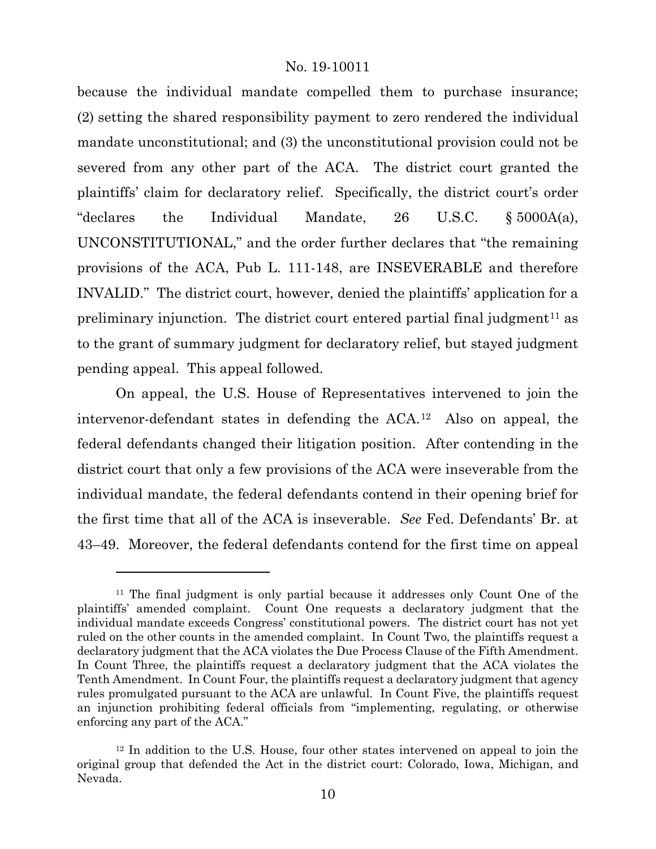because the individual mandate compelled them to purchase insurance; (2) setting the shared responsibility payment to zero rendered the individual mandate unconstitutional; and (3) the unconstitutional provision could not be severed from any other part of the ACA. The district court granted the plaintiffs' claim for declaratory relief. Specifically, the district court's order "declares the Individual Mandate, 26 U.S.C. § 5000A(a), UNCONSTITUTIONAL," and the order further declares that "the remaining provisions of the ACA, Pub L. 111-148, are INSEVERABLE and therefore INVALID." The district court, however, denied the plaintiffs' application for a preliminary injunction. The district court entered partial final judgment<sup>[11](#page-9-0)</sup> as to the grant of summary judgment for declaratory relief, but stayed judgment pending appeal. This appeal followed.

On appeal, the U.S. House of Representatives intervened to join the intervenor-defendant states in defending the ACA.[12](#page-9-1) Also on appeal, the federal defendants changed their litigation position. After contending in the district court that only a few provisions of the ACA were inseverable from the individual mandate, the federal defendants contend in their opening brief for the first time that all of the ACA is inseverable. *See* Fed. Defendants' Br. at 43–49. Moreover, the federal defendants contend for the first time on appeal

<span id="page-9-0"></span><sup>11</sup> The final judgment is only partial because it addresses only Count One of the plaintiffs' amended complaint. Count One requests a declaratory judgment that the individual mandate exceeds Congress' constitutional powers. The district court has not yet ruled on the other counts in the amended complaint. In Count Two, the plaintiffs request a declaratory judgment that the ACA violates the Due Process Clause of the Fifth Amendment. In Count Three, the plaintiffs request a declaratory judgment that the ACA violates the Tenth Amendment. In Count Four, the plaintiffs request a declaratory judgment that agency rules promulgated pursuant to the ACA are unlawful. In Count Five, the plaintiffs request an injunction prohibiting federal officials from "implementing, regulating, or otherwise enforcing any part of the ACA."

<span id="page-9-1"></span><sup>12</sup> In addition to the U.S. House, four other states intervened on appeal to join the original group that defended the Act in the district court: Colorado, Iowa, Michigan, and Nevada.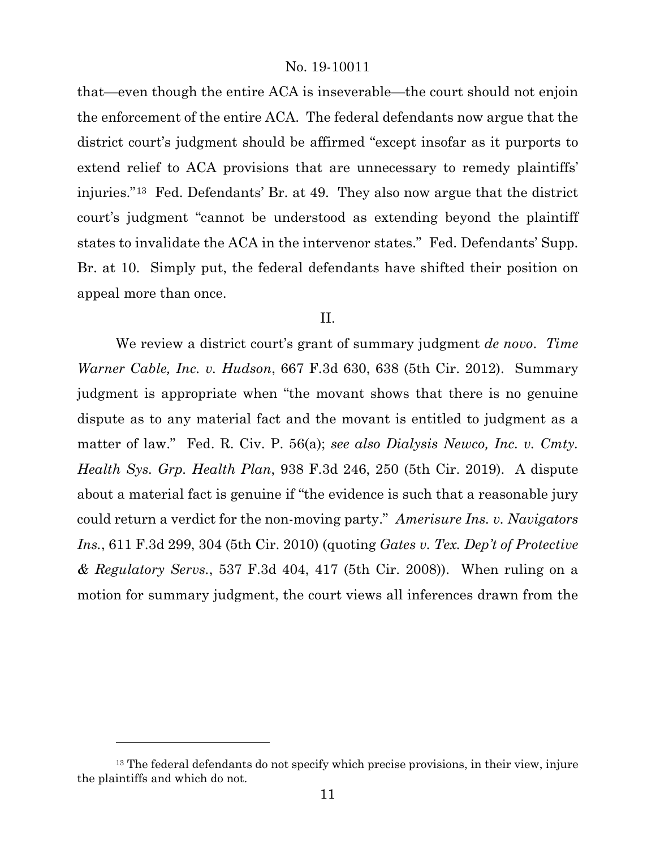that—even though the entire ACA is inseverable—the court should not enjoin the enforcement of the entire ACA. The federal defendants now argue that the district court's judgment should be affirmed "except insofar as it purports to extend relief to ACA provisions that are unnecessary to remedy plaintiffs' injuries."[13](#page-10-0) Fed. Defendants' Br. at 49. They also now argue that the district court's judgment "cannot be understood as extending beyond the plaintiff states to invalidate the ACA in the intervenor states." Fed. Defendants' Supp. Br. at 10. Simply put, the federal defendants have shifted their position on appeal more than once.

#### II.

We review a district court's grant of summary judgment *de novo*. *Time Warner Cable, Inc. v. Hudson*, 667 F.3d 630, 638 (5th Cir. 2012). Summary judgment is appropriate when "the movant shows that there is no genuine dispute as to any material fact and the movant is entitled to judgment as a matter of law." Fed. R. Civ. P. 56(a); *see also Dialysis Newco, Inc. v. Cmty. Health Sys. Grp. Health Plan*, 938 F.3d 246, 250 (5th Cir. 2019). A dispute about a material fact is genuine if "the evidence is such that a reasonable jury could return a verdict for the non-moving party." *Amerisure Ins. v. Navigators Ins.*, 611 F.3d 299, 304 (5th Cir. 2010) (quoting *Gates v. Tex. Dep't of Protective & Regulatory Servs.*, 537 F.3d 404, 417 (5th Cir. 2008)). When ruling on a motion for summary judgment, the court views all inferences drawn from the

<span id="page-10-0"></span><sup>&</sup>lt;sup>13</sup> The federal defendants do not specify which precise provisions, in their view, injure the plaintiffs and which do not.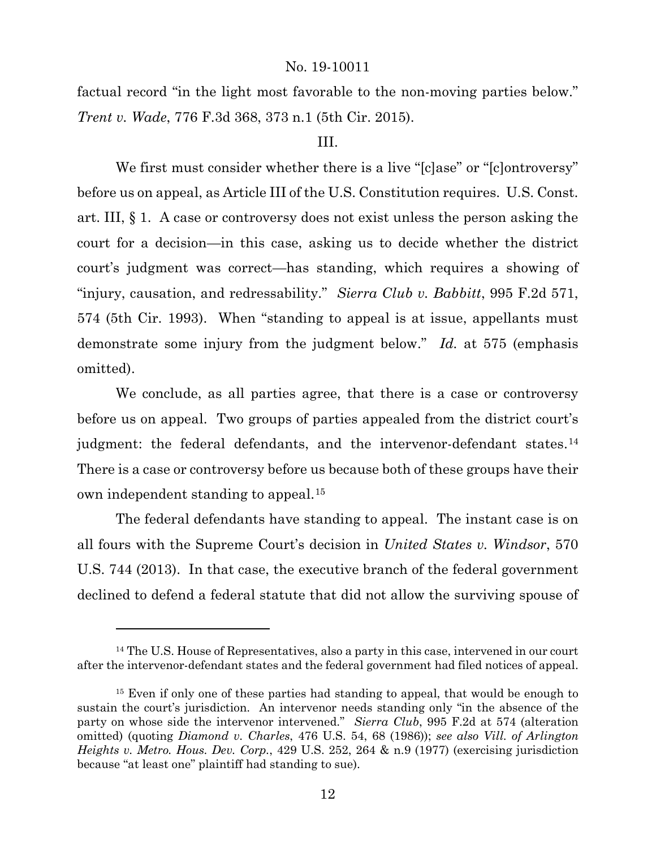factual record "in the light most favorable to the non-moving parties below." *Trent v. Wade*, 776 F.3d 368, 373 n.1 (5th Cir. 2015).

# III.

We first must consider whether there is a live "[c]ase" or "[c]ontroversy" before us on appeal, as Article III of the U.S. Constitution requires. U.S. Const. art. III, § 1. A case or controversy does not exist unless the person asking the court for a decision—in this case, asking us to decide whether the district court's judgment was correct—has standing, which requires a showing of "injury, causation, and redressability." *Sierra Club v. Babbitt*, 995 F.2d 571, 574 (5th Cir. 1993). When "standing to appeal is at issue, appellants must demonstrate some injury from the judgment below." *Id.* at 575 (emphasis omitted).

We conclude, as all parties agree, that there is a case or controversy before us on appeal. Two groups of parties appealed from the district court's judgment: the federal defendants, and the intervenor-defendant states.<sup>[14](#page-11-0)</sup> There is a case or controversy before us because both of these groups have their own independent standing to appeal.[15](#page-11-1)

The federal defendants have standing to appeal. The instant case is on all fours with the Supreme Court's decision in *United States v. Windsor*, 570 U.S. 744 (2013). In that case, the executive branch of the federal government declined to defend a federal statute that did not allow the surviving spouse of

<span id="page-11-0"></span><sup>&</sup>lt;sup>14</sup> The U.S. House of Representatives, also a party in this case, intervened in our court after the intervenor-defendant states and the federal government had filed notices of appeal.

<span id="page-11-1"></span><sup>&</sup>lt;sup>15</sup> Even if only one of these parties had standing to appeal, that would be enough to sustain the court's jurisdiction. An intervenor needs standing only "in the absence of the party on whose side the intervenor intervened." *Sierra Club*, 995 F.2d at 574 (alteration omitted) (quoting *Diamond v. Charles*, 476 U.S. 54, 68 (1986)); *see also Vill. of Arlington Heights v. Metro. Hous. Dev. Corp.*, 429 U.S. 252, 264 & n.9 (1977) (exercising jurisdiction because "at least one" plaintiff had standing to sue).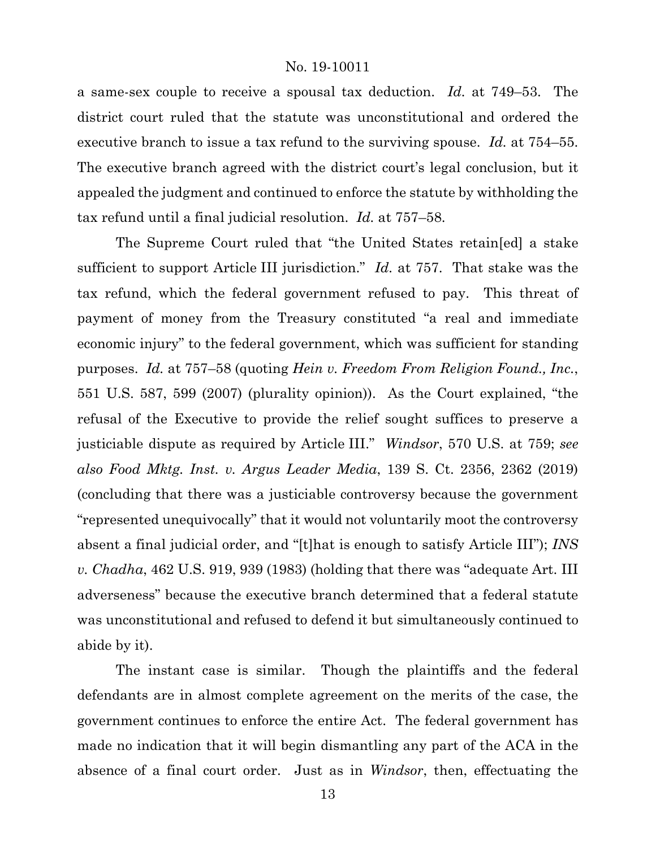a same-sex couple to receive a spousal tax deduction. *Id.* at 749–53. The district court ruled that the statute was unconstitutional and ordered the executive branch to issue a tax refund to the surviving spouse. *Id.* at 754–55. The executive branch agreed with the district court's legal conclusion, but it appealed the judgment and continued to enforce the statute by withholding the tax refund until a final judicial resolution. *Id.* at 757–58.

The Supreme Court ruled that "the United States retain[ed] a stake sufficient to support Article III jurisdiction." *Id.* at 757. That stake was the tax refund, which the federal government refused to pay. This threat of payment of money from the Treasury constituted "a real and immediate economic injury" to the federal government, which was sufficient for standing purposes. *Id.* at 757–58 (quoting *Hein v. Freedom From Religion Found., Inc.*, 551 U.S. 587, 599 (2007) (plurality opinion)). As the Court explained, "the refusal of the Executive to provide the relief sought suffices to preserve a justiciable dispute as required by Article III." *Windsor*, 570 U.S. at 759; *see also Food Mktg. Inst. v. Argus Leader Media*, 139 S. Ct. 2356, 2362 (2019) (concluding that there was a justiciable controversy because the government "represented unequivocally" that it would not voluntarily moot the controversy absent a final judicial order, and "[t]hat is enough to satisfy Article III"); *INS v. Chadha*, 462 U.S. 919, 939 (1983) (holding that there was "adequate Art. III adverseness" because the executive branch determined that a federal statute was unconstitutional and refused to defend it but simultaneously continued to abide by it).

The instant case is similar. Though the plaintiffs and the federal defendants are in almost complete agreement on the merits of the case, the government continues to enforce the entire Act. The federal government has made no indication that it will begin dismantling any part of the ACA in the absence of a final court order. Just as in *Windsor*, then, effectuating the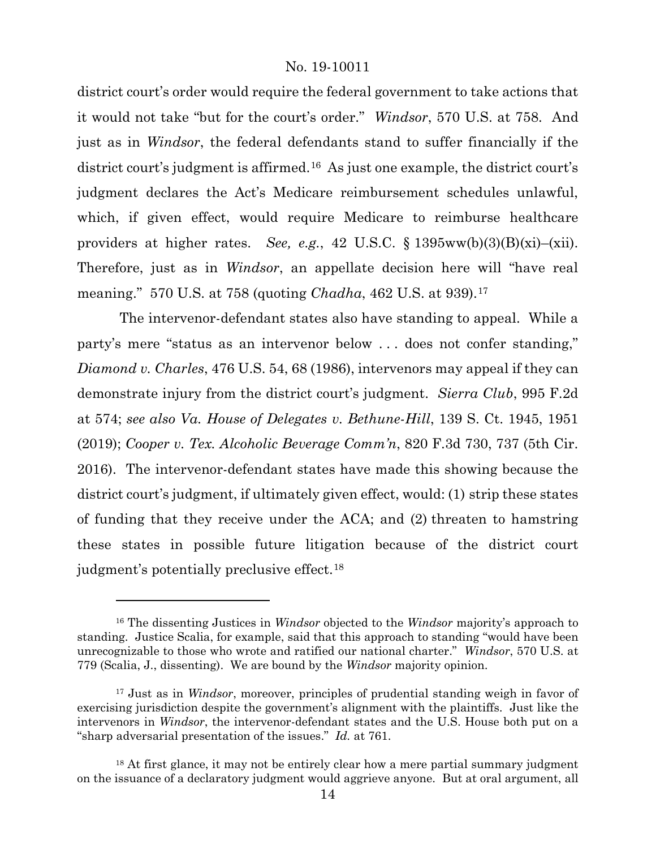district court's order would require the federal government to take actions that it would not take "but for the court's order." *Windsor*, 570 U.S. at 758. And just as in *Windsor*, the federal defendants stand to suffer financially if the district court's judgment is affirmed.[16](#page-13-0) As just one example, the district court's judgment declares the Act's Medicare reimbursement schedules unlawful, which, if given effect, would require Medicare to reimburse healthcare providers at higher rates. *See, e.g.*, 42 U.S.C. § 1395ww(b)(3)(B)(xi)–(xii). Therefore, just as in *Windsor*, an appellate decision here will "have real meaning." 570 U.S. at 758 (quoting *Chadha*, 462 U.S. at 939).[17](#page-13-1)

The intervenor-defendant states also have standing to appeal. While a party's mere "status as an intervenor below . . . does not confer standing," *Diamond v. Charles*, 476 U.S. 54, 68 (1986), intervenors may appeal if they can demonstrate injury from the district court's judgment. *Sierra Club*, 995 F.2d at 574; *see also Va. House of Delegates v. Bethune-Hill*, 139 S. Ct. 1945, 1951 (2019); *Cooper v. Tex. Alcoholic Beverage Comm'n*, 820 F.3d 730, 737 (5th Cir. 2016). The intervenor-defendant states have made this showing because the district court's judgment, if ultimately given effect, would: (1) strip these states of funding that they receive under the ACA; and (2) threaten to hamstring these states in possible future litigation because of the district court judgment's potentially preclusive effect.[18](#page-13-2)

<span id="page-13-0"></span><sup>16</sup> The dissenting Justices in *Windsor* objected to the *Windsor* majority's approach to standing. Justice Scalia, for example, said that this approach to standing "would have been unrecognizable to those who wrote and ratified our national charter." *Windsor*, 570 U.S. at 779 (Scalia, J., dissenting). We are bound by the *Windsor* majority opinion.

<span id="page-13-1"></span><sup>17</sup> Just as in *Windsor*, moreover, principles of prudential standing weigh in favor of exercising jurisdiction despite the government's alignment with the plaintiffs. Just like the intervenors in *Windsor*, the intervenor-defendant states and the U.S. House both put on a "sharp adversarial presentation of the issues." *Id.* at 761.

<span id="page-13-2"></span><sup>&</sup>lt;sup>18</sup> At first glance, it may not be entirely clear how a mere partial summary judgment on the issuance of a declaratory judgment would aggrieve anyone. But at oral argument, all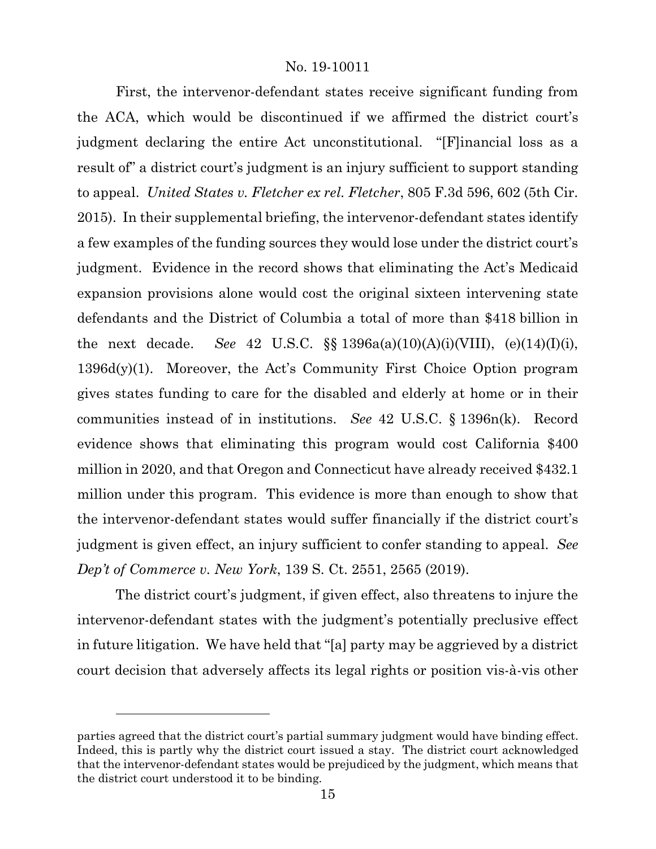First, the intervenor-defendant states receive significant funding from the ACA, which would be discontinued if we affirmed the district court's judgment declaring the entire Act unconstitutional. "[F]inancial loss as a result of" a district court's judgment is an injury sufficient to support standing to appeal. *United States v. Fletcher ex rel. Fletcher*, 805 F.3d 596, 602 (5th Cir. 2015). In their supplemental briefing, the intervenor-defendant states identify a few examples of the funding sources they would lose under the district court's judgment. Evidence in the record shows that eliminating the Act's Medicaid expansion provisions alone would cost the original sixteen intervening state defendants and the District of Columbia a total of more than \$418 billion in the next decade. *See* 42 U.S.C. §§ 1396a(a)(10)(A)(i)(VIII), (e)(14)(I)(i), 1396d(y)(1). Moreover, the Act's Community First Choice Option program gives states funding to care for the disabled and elderly at home or in their communities instead of in institutions. *See* 42 U.S.C. § 1396n(k). Record evidence shows that eliminating this program would cost California \$400 million in 2020, and that Oregon and Connecticut have already received \$432.1 million under this program. This evidence is more than enough to show that the intervenor-defendant states would suffer financially if the district court's judgment is given effect, an injury sufficient to confer standing to appeal. *See Dep't of Commerce v. New York*, 139 S. Ct. 2551, 2565 (2019).

The district court's judgment, if given effect, also threatens to injure the intervenor-defendant states with the judgment's potentially preclusive effect in future litigation. We have held that "[a] party may be aggrieved by a district court decision that adversely affects its legal rights or position vis-à-vis other

parties agreed that the district court's partial summary judgment would have binding effect. Indeed, this is partly why the district court issued a stay. The district court acknowledged that the intervenor-defendant states would be prejudiced by the judgment, which means that the district court understood it to be binding.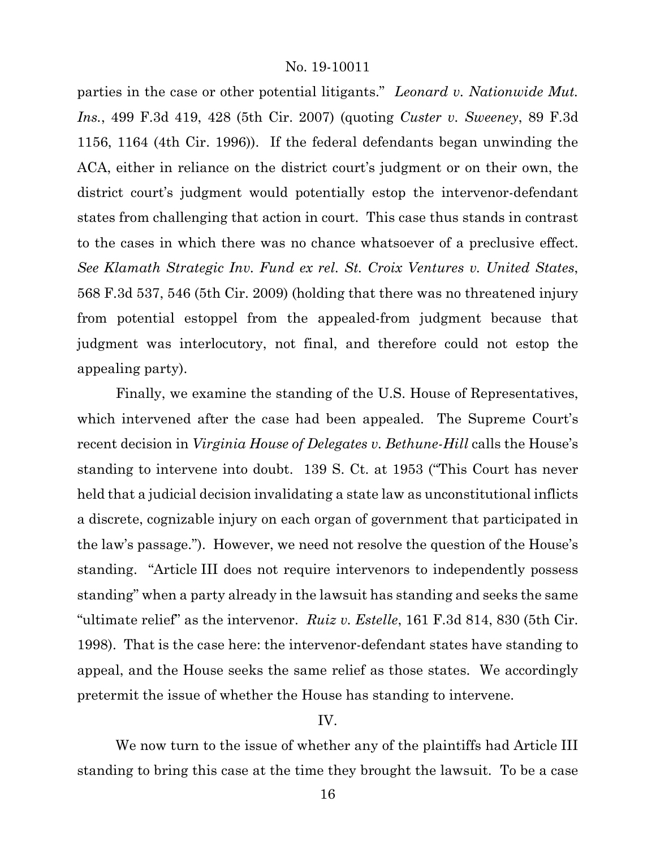parties in the case or other potential litigants." *Leonard v. Nationwide Mut. Ins.*, 499 F.3d 419, 428 (5th Cir. 2007) (quoting *Custer v. Sweeney*, 89 F.3d 1156, 1164 (4th Cir. 1996)). If the federal defendants began unwinding the ACA, either in reliance on the district court's judgment or on their own, the district court's judgment would potentially estop the intervenor-defendant states from challenging that action in court. This case thus stands in contrast to the cases in which there was no chance whatsoever of a preclusive effect. *See Klamath Strategic Inv. Fund ex rel. St. Croix Ventures v. United States*, 568 F.3d 537, 546 (5th Cir. 2009) (holding that there was no threatened injury from potential estoppel from the appealed-from judgment because that judgment was interlocutory, not final, and therefore could not estop the appealing party).

Finally, we examine the standing of the U.S. House of Representatives, which intervened after the case had been appealed. The Supreme Court's recent decision in *Virginia House of Delegates v. Bethune-Hill* calls the House's standing to intervene into doubt. 139 S. Ct. at 1953 ("This Court has never held that a judicial decision invalidating a state law as unconstitutional inflicts a discrete, cognizable injury on each organ of government that participated in the law's passage."). However, we need not resolve the question of the House's standing. "Article III does not require intervenors to independently possess standing" when a party already in the lawsuit has standing and seeks the same "ultimate relief" as the intervenor. *Ruiz v. Estelle*, 161 F.3d 814, 830 (5th Cir. 1998). That is the case here: the intervenor-defendant states have standing to appeal, and the House seeks the same relief as those states. We accordingly pretermit the issue of whether the House has standing to intervene.

# IV.

We now turn to the issue of whether any of the plaintiffs had Article III standing to bring this case at the time they brought the lawsuit. To be a case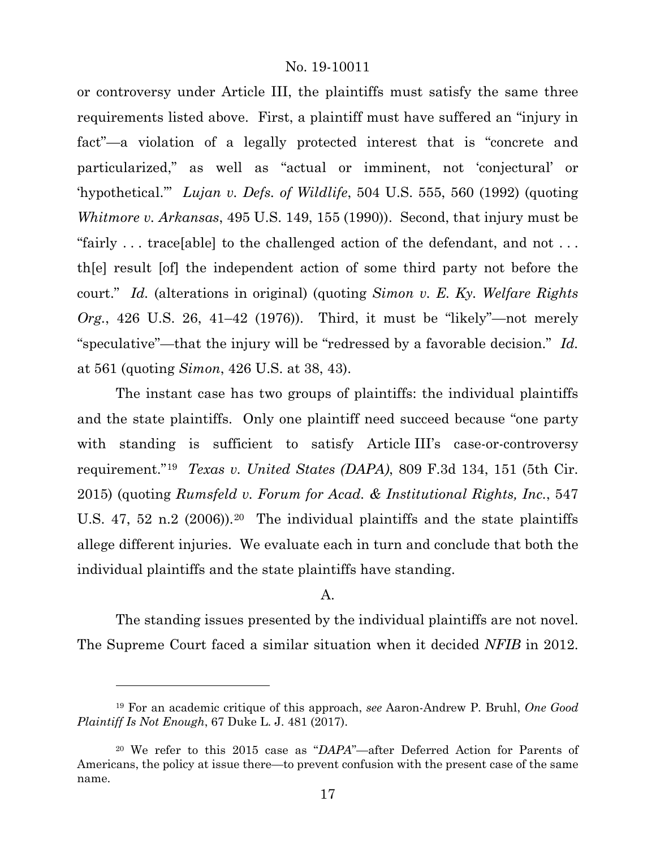or controversy under Article III, the plaintiffs must satisfy the same three requirements listed above. First, a plaintiff must have suffered an "injury in fact"—a violation of a legally protected interest that is "concrete and particularized," as well as "actual or imminent, not 'conjectural' or 'hypothetical.'" *Lujan v. Defs. of Wildlife*, 504 U.S. 555, 560 (1992) (quoting *Whitmore v. Arkansas*, 495 U.S. 149, 155 (1990)). Second, that injury must be "fairly . . . trace[able] to the challenged action of the defendant, and not . . . th[e] result [of] the independent action of some third party not before the court." *Id.* (alterations in original) (quoting *Simon v. E. Ky. Welfare Rights Org.*, 426 U.S. 26, 41–42 (1976)). Third, it must be "likely"—not merely "speculative"—that the injury will be "redressed by a favorable decision." *Id.* at 561 (quoting *Simon*, 426 U.S. at 38, 43).

The instant case has two groups of plaintiffs: the individual plaintiffs and the state plaintiffs. Only one plaintiff need succeed because "one party with standing is sufficient to satisfy Article III's case-or-controversy requirement."[19](#page-16-0) *Texas v. United States (DAPA)*, 809 F.3d 134, 151 (5th Cir. 2015) (quoting *Rumsfeld v. Forum for Acad. & Institutional Rights, Inc.*, 547 U.S. 47, 52 n.2 (2006)).<sup>20</sup> The individual plaintiffs and the state plaintiffs allege different injuries. We evaluate each in turn and conclude that both the individual plaintiffs and the state plaintiffs have standing.

# A.

The standing issues presented by the individual plaintiffs are not novel. The Supreme Court faced a similar situation when it decided *NFIB* in 2012.

<span id="page-16-0"></span><sup>19</sup> For an academic critique of this approach, *see* Aaron-Andrew P. Bruhl, *One Good Plaintiff Is Not Enough*, 67 Duke L. J. 481 (2017).

<span id="page-16-1"></span><sup>20</sup> We refer to this 2015 case as "*DAPA*"—after Deferred Action for Parents of Americans, the policy at issue there—to prevent confusion with the present case of the same name.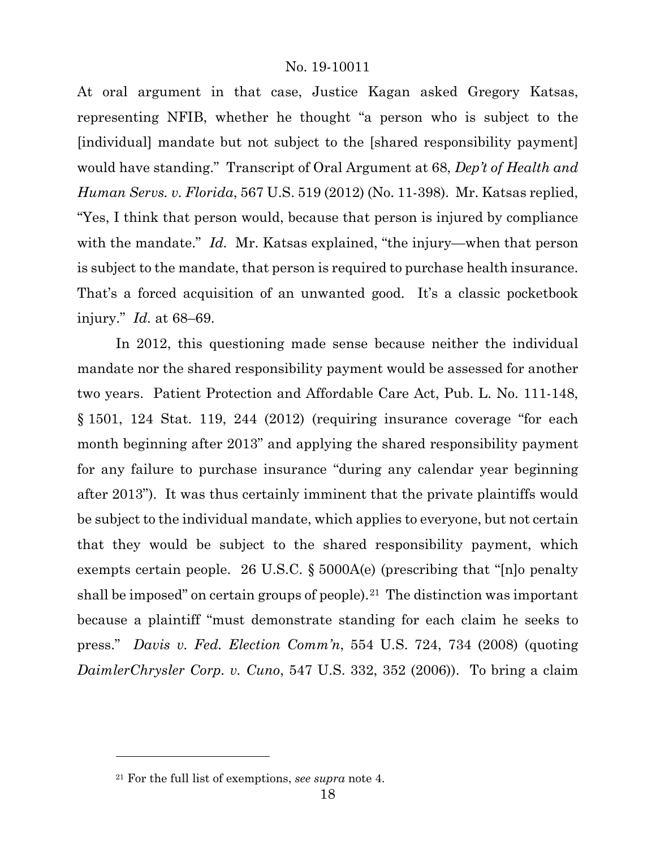At oral argument in that case, Justice Kagan asked Gregory Katsas, representing NFIB, whether he thought "a person who is subject to the [individual] mandate but not subject to the [shared responsibility payment] would have standing." Transcript of Oral Argument at 68, *Dep't of Health and Human Servs. v. Florida*, 567 U.S. 519 (2012) (No. 11-398). Mr. Katsas replied, "Yes, I think that person would, because that person is injured by compliance with the mandate." *Id.* Mr. Katsas explained, "the injury—when that person is subject to the mandate, that person is required to purchase health insurance. That's a forced acquisition of an unwanted good. It's a classic pocketbook injury." *Id.* at 68–69.

In 2012, this questioning made sense because neither the individual mandate nor the shared responsibility payment would be assessed for another two years. Patient Protection and Affordable Care Act, Pub. L. No. 111-148, § 1501, 124 Stat. 119, 244 (2012) (requiring insurance coverage "for each month beginning after 2013" and applying the shared responsibility payment for any failure to purchase insurance "during any calendar year beginning after 2013"). It was thus certainly imminent that the private plaintiffs would be subject to the individual mandate, which applies to everyone, but not certain that they would be subject to the shared responsibility payment, which exempts certain people. 26 U.S.C. § 5000A(e) (prescribing that "[n]o penalty shall be imposed" on certain groups of people).<sup>[21](#page-17-0)</sup> The distinction was important because a plaintiff "must demonstrate standing for each claim he seeks to press." *Davis v. Fed. Election Comm'n*, 554 U.S. 724, 734 (2008) (quoting *DaimlerChrysler Corp. v. Cuno*, 547 U.S. 332, 352 (2006)). To bring a claim

<span id="page-17-0"></span><sup>21</sup> For the full list of exemptions, *see supra* note [4.](#page-3-4)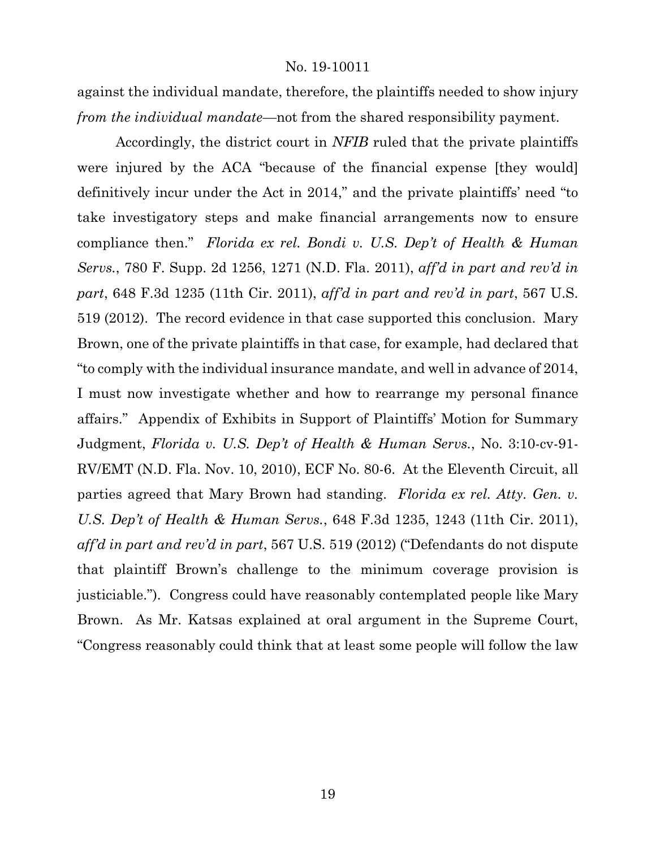against the individual mandate, therefore, the plaintiffs needed to show injury *from the individual mandate*—not from the shared responsibility payment.

Accordingly, the district court in *NFIB* ruled that the private plaintiffs were injured by the ACA "because of the financial expense [they would] definitively incur under the Act in 2014," and the private plaintiffs' need "to take investigatory steps and make financial arrangements now to ensure compliance then." *Florida ex rel. Bondi v. U.S. Dep't of Health & Human Servs.*, 780 F. Supp. 2d 1256, 1271 (N.D. Fla. 2011), *aff'd in part and rev'd in part*, 648 F.3d 1235 (11th Cir. 2011), *aff'd in part and rev'd in part*, 567 U.S. 519 (2012). The record evidence in that case supported this conclusion. Mary Brown, one of the private plaintiffs in that case, for example, had declared that "to comply with the individual insurance mandate, and well in advance of 2014, I must now investigate whether and how to rearrange my personal finance affairs." Appendix of Exhibits in Support of Plaintiffs' Motion for Summary Judgment, *Florida v. U.S. Dep't of Health & Human Servs.*, No. 3:10-cv-91- RV/EMT (N.D. Fla. Nov. 10, 2010), ECF No. 80-6. At the Eleventh Circuit, all parties agreed that Mary Brown had standing. *Florida ex rel. Atty. Gen. v. U.S. Dep't of Health & Human Servs.*, 648 F.3d 1235, 1243 (11th Cir. 2011), *aff'd in part and rev'd in part*, 567 U.S. 519 (2012) ("Defendants do not dispute that plaintiff Brown's challenge to the minimum coverage provision is justiciable."). Congress could have reasonably contemplated people like Mary Brown. As Mr. Katsas explained at oral argument in the Supreme Court, "Congress reasonably could think that at least some people will follow the law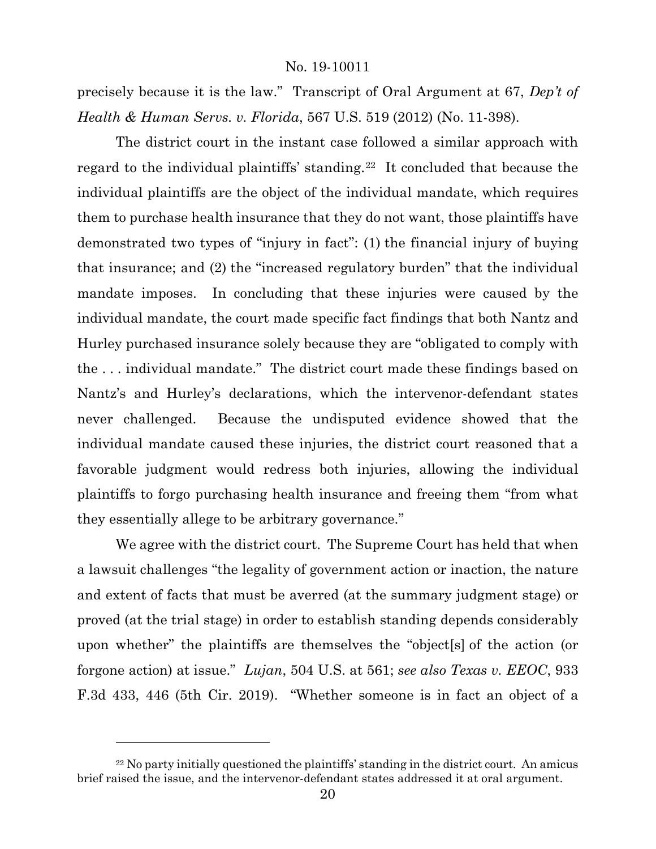precisely because it is the law." Transcript of Oral Argument at 67, *Dep't of Health & Human Servs. v. Florida*, 567 U.S. 519 (2012) (No. 11-398).

The district court in the instant case followed a similar approach with regard to the individual plaintiffs' standing.<sup>22</sup> It concluded that because the individual plaintiffs are the object of the individual mandate, which requires them to purchase health insurance that they do not want, those plaintiffs have demonstrated two types of "injury in fact": (1) the financial injury of buying that insurance; and (2) the "increased regulatory burden" that the individual mandate imposes. In concluding that these injuries were caused by the individual mandate, the court made specific fact findings that both Nantz and Hurley purchased insurance solely because they are "obligated to comply with the . . . individual mandate." The district court made these findings based on Nantz's and Hurley's declarations, which the intervenor-defendant states never challenged. Because the undisputed evidence showed that the individual mandate caused these injuries, the district court reasoned that a favorable judgment would redress both injuries, allowing the individual plaintiffs to forgo purchasing health insurance and freeing them "from what they essentially allege to be arbitrary governance."

We agree with the district court. The Supreme Court has held that when a lawsuit challenges "the legality of government action or inaction, the nature and extent of facts that must be averred (at the summary judgment stage) or proved (at the trial stage) in order to establish standing depends considerably upon whether" the plaintiffs are themselves the "object[s] of the action (or forgone action) at issue." *Lujan*, 504 U.S. at 561; *see also Texas v. EEOC*, 933 F.3d 433, 446 (5th Cir. 2019). "Whether someone is in fact an object of a

<span id="page-19-0"></span><sup>&</sup>lt;sup>22</sup> No party initially questioned the plaintiffs' standing in the district court. An amicus brief raised the issue, and the intervenor-defendant states addressed it at oral argument.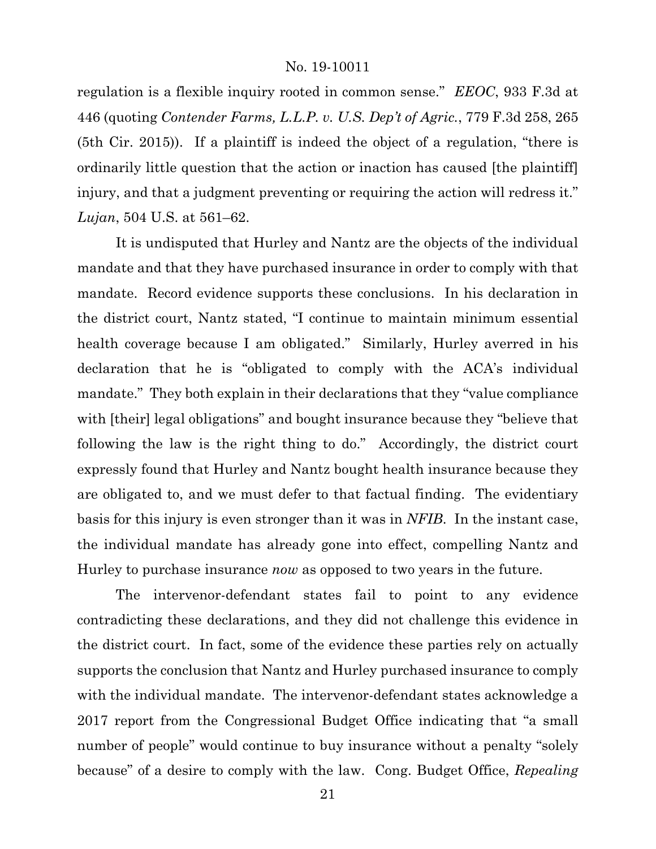regulation is a flexible inquiry rooted in common sense." *EEOC*, 933 F.3d at 446 (quoting *Contender Farms, L.L.P. v. U.S. Dep't of Agric.*, 779 F.3d 258, 265 (5th Cir. 2015)). If a plaintiff is indeed the object of a regulation, "there is ordinarily little question that the action or inaction has caused [the plaintiff] injury, and that a judgment preventing or requiring the action will redress it." *Lujan*, 504 U.S. at 561–62.

It is undisputed that Hurley and Nantz are the objects of the individual mandate and that they have purchased insurance in order to comply with that mandate. Record evidence supports these conclusions. In his declaration in the district court, Nantz stated, "I continue to maintain minimum essential health coverage because I am obligated." Similarly, Hurley averred in his declaration that he is "obligated to comply with the ACA's individual mandate." They both explain in their declarations that they "value compliance with [their] legal obligations" and bought insurance because they "believe that following the law is the right thing to do." Accordingly, the district court expressly found that Hurley and Nantz bought health insurance because they are obligated to, and we must defer to that factual finding. The evidentiary basis for this injury is even stronger than it was in *NFIB*. In the instant case, the individual mandate has already gone into effect, compelling Nantz and Hurley to purchase insurance *now* as opposed to two years in the future.

The intervenor-defendant states fail to point to any evidence contradicting these declarations, and they did not challenge this evidence in the district court. In fact, some of the evidence these parties rely on actually supports the conclusion that Nantz and Hurley purchased insurance to comply with the individual mandate. The intervenor-defendant states acknowledge a 2017 report from the Congressional Budget Office indicating that "a small number of people" would continue to buy insurance without a penalty "solely because" of a desire to comply with the law. Cong. Budget Office, *Repealing*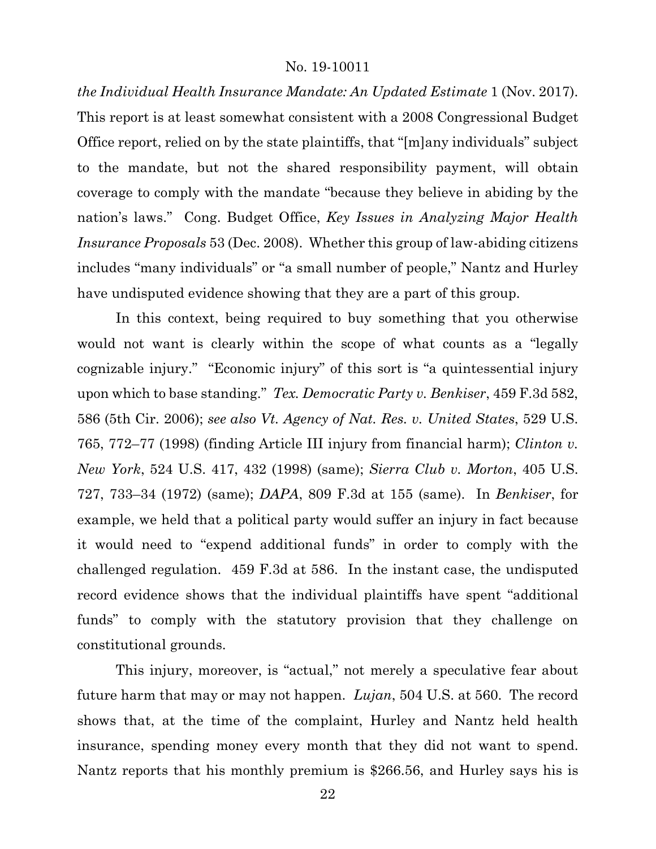*the Individual Health Insurance Mandate: An Updated Estimate* 1 (Nov. 2017). This report is at least somewhat consistent with a 2008 Congressional Budget Office report, relied on by the state plaintiffs, that "[m]any individuals" subject to the mandate, but not the shared responsibility payment, will obtain coverage to comply with the mandate "because they believe in abiding by the nation's laws." Cong. Budget Office, *Key Issues in Analyzing Major Health Insurance Proposals* 53 (Dec. 2008). Whether this group of law-abiding citizens includes "many individuals" or "a small number of people," Nantz and Hurley have undisputed evidence showing that they are a part of this group.

In this context, being required to buy something that you otherwise would not want is clearly within the scope of what counts as a "legally cognizable injury." "Economic injury" of this sort is "a quintessential injury upon which to base standing." *Tex. Democratic Party v. Benkiser*, 459 F.3d 582, 586 (5th Cir. 2006); *see also Vt. Agency of Nat. Res. v. United States*, 529 U.S. 765, 772–77 (1998) (finding Article III injury from financial harm); *Clinton v. New York*, 524 U.S. 417, 432 (1998) (same); *Sierra Club v. Morton*, 405 U.S. 727, 733–34 (1972) (same); *DAPA*, 809 F.3d at 155 (same). In *Benkiser*, for example, we held that a political party would suffer an injury in fact because it would need to "expend additional funds" in order to comply with the challenged regulation. 459 F.3d at 586. In the instant case, the undisputed record evidence shows that the individual plaintiffs have spent "additional funds" to comply with the statutory provision that they challenge on constitutional grounds.

This injury, moreover, is "actual," not merely a speculative fear about future harm that may or may not happen. *Lujan*, 504 U.S. at 560. The record shows that, at the time of the complaint, Hurley and Nantz held health insurance, spending money every month that they did not want to spend. Nantz reports that his monthly premium is \$266.56, and Hurley says his is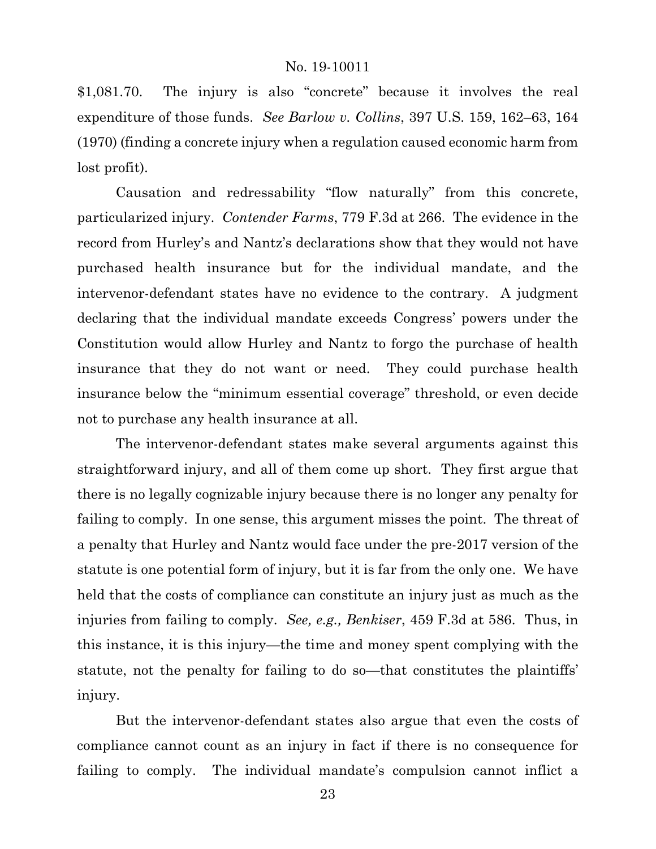\$1,081.70. The injury is also "concrete" because it involves the real expenditure of those funds. *See Barlow v. Collins*, 397 U.S. 159, 162–63, 164 (1970) (finding a concrete injury when a regulation caused economic harm from lost profit).

Causation and redressability "flow naturally" from this concrete, particularized injury. *Contender Farms*, 779 F.3d at 266. The evidence in the record from Hurley's and Nantz's declarations show that they would not have purchased health insurance but for the individual mandate, and the intervenor-defendant states have no evidence to the contrary. A judgment declaring that the individual mandate exceeds Congress' powers under the Constitution would allow Hurley and Nantz to forgo the purchase of health insurance that they do not want or need. They could purchase health insurance below the "minimum essential coverage" threshold, or even decide not to purchase any health insurance at all.

The intervenor-defendant states make several arguments against this straightforward injury, and all of them come up short. They first argue that there is no legally cognizable injury because there is no longer any penalty for failing to comply. In one sense, this argument misses the point. The threat of a penalty that Hurley and Nantz would face under the pre-2017 version of the statute is one potential form of injury, but it is far from the only one. We have held that the costs of compliance can constitute an injury just as much as the injuries from failing to comply. *See, e.g., Benkiser*, 459 F.3d at 586. Thus, in this instance, it is this injury—the time and money spent complying with the statute, not the penalty for failing to do so—that constitutes the plaintiffs' injury.

But the intervenor-defendant states also argue that even the costs of compliance cannot count as an injury in fact if there is no consequence for failing to comply. The individual mandate's compulsion cannot inflict a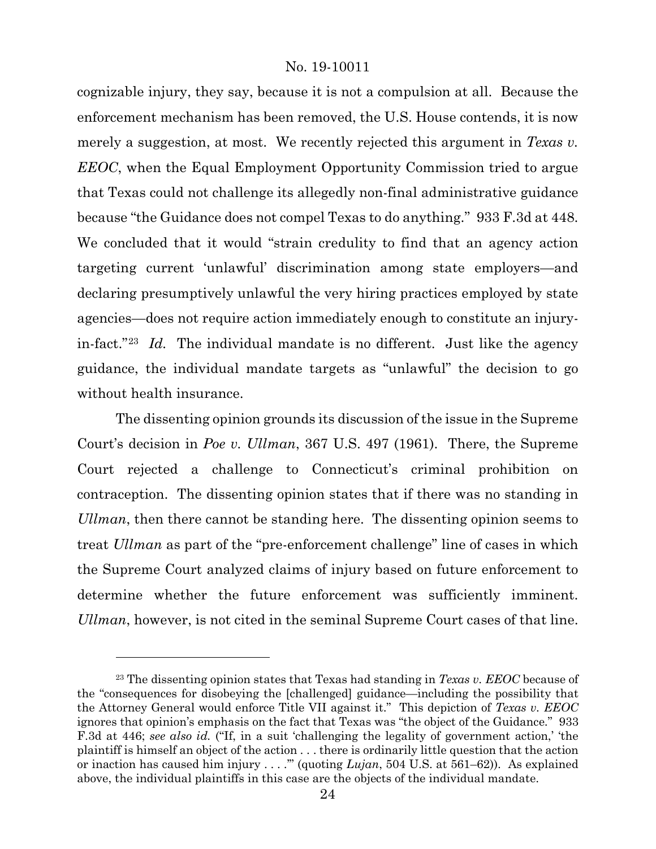cognizable injury, they say, because it is not a compulsion at all. Because the enforcement mechanism has been removed, the U.S. House contends, it is now merely a suggestion, at most. We recently rejected this argument in *Texas v. EEOC*, when the Equal Employment Opportunity Commission tried to argue that Texas could not challenge its allegedly non-final administrative guidance because "the Guidance does not compel Texas to do anything." 933 F.3d at 448. We concluded that it would "strain credulity to find that an agency action targeting current 'unlawful' discrimination among state employers—and declaring presumptively unlawful the very hiring practices employed by state agencies—does not require action immediately enough to constitute an injuryin-fact."[23](#page-23-0) *Id.* The individual mandate is no different. Just like the agency guidance, the individual mandate targets as "unlawful" the decision to go without health insurance.

The dissenting opinion grounds its discussion of the issue in the Supreme Court's decision in *Poe v. Ullman*, 367 U.S. 497 (1961). There, the Supreme Court rejected a challenge to Connecticut's criminal prohibition on contraception. The dissenting opinion states that if there was no standing in *Ullman*, then there cannot be standing here. The dissenting opinion seems to treat *Ullman* as part of the "pre-enforcement challenge" line of cases in which the Supreme Court analyzed claims of injury based on future enforcement to determine whether the future enforcement was sufficiently imminent. *Ullman*, however, is not cited in the seminal Supreme Court cases of that line.

<span id="page-23-0"></span><sup>23</sup> The dissenting opinion states that Texas had standing in *Texas v. EEOC* because of the "consequences for disobeying the [challenged] guidance—including the possibility that the Attorney General would enforce Title VII against it." This depiction of *Texas v. EEOC* ignores that opinion's emphasis on the fact that Texas was "the object of the Guidance." 933 F.3d at 446; *see also id.* ("If, in a suit 'challenging the legality of government action,' 'the plaintiff is himself an object of the action . . . there is ordinarily little question that the action or inaction has caused him injury . . . .'" (quoting *Lujan*, 504 U.S. at 561–62)). As explained above, the individual plaintiffs in this case are the objects of the individual mandate.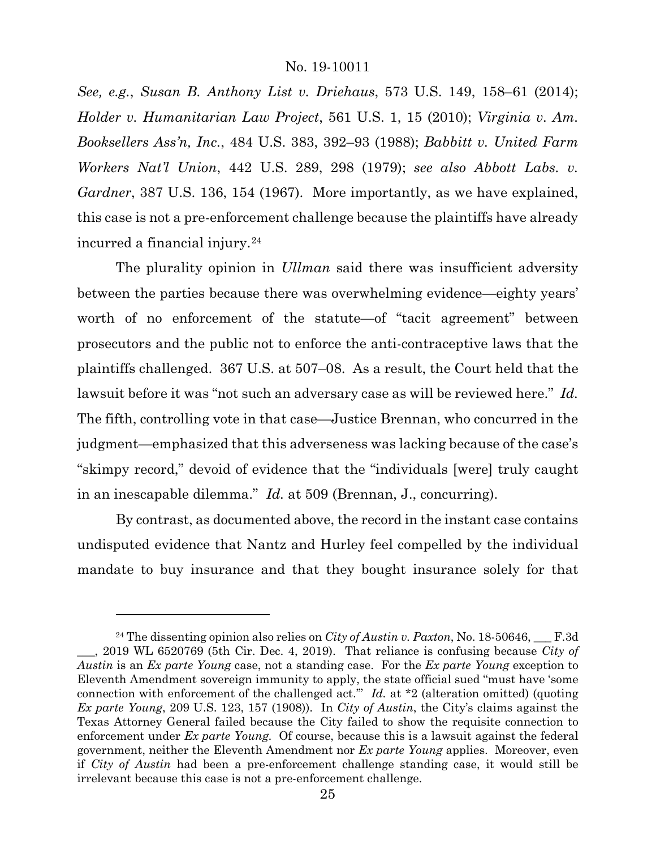*See, e.g.*, *Susan B. Anthony List v. Driehaus*, 573 U.S. 149, 158–61 (2014); *Holder v. Humanitarian Law Project*, 561 U.S. 1, 15 (2010); *Virginia v. Am. Booksellers Ass'n, Inc.*, 484 U.S. 383, 392–93 (1988); *Babbitt v. United Farm Workers Nat'l Union*, 442 U.S. 289, 298 (1979); *see also Abbott Labs. v. Gardner*, 387 U.S. 136, 154 (1967). More importantly, as we have explained, this case is not a pre-enforcement challenge because the plaintiffs have already incurred a financial injury.[24](#page-24-0)

The plurality opinion in *Ullman* said there was insufficient adversity between the parties because there was overwhelming evidence—eighty years' worth of no enforcement of the statute—of "tacit agreement" between prosecutors and the public not to enforce the anti-contraceptive laws that the plaintiffs challenged. 367 U.S. at 507–08. As a result, the Court held that the lawsuit before it was "not such an adversary case as will be reviewed here." *Id.* The fifth, controlling vote in that case—Justice Brennan, who concurred in the judgment—emphasized that this adverseness was lacking because of the case's "skimpy record," devoid of evidence that the "individuals [were] truly caught in an inescapable dilemma." *Id.* at 509 (Brennan, J., concurring).

By contrast, as documented above, the record in the instant case contains undisputed evidence that Nantz and Hurley feel compelled by the individual mandate to buy insurance and that they bought insurance solely for that

<span id="page-24-0"></span><sup>&</sup>lt;sup>24</sup> The dissenting opinion also relies on *City of Austin v. Paxton*, No. 18-50646,  $\quad$  F.3d \_\_\_, 2019 WL 6520769 (5th Cir. Dec. 4, 2019). That reliance is confusing because *City of Austin* is an *Ex parte Young* case, not a standing case. For the *Ex parte Young* exception to Eleventh Amendment sovereign immunity to apply, the state official sued "must have 'some connection with enforcement of the challenged act.'" *Id.* at \*2 (alteration omitted) (quoting *Ex parte Young*, 209 U.S. 123, 157 (1908)). In *City of Austin*, the City's claims against the Texas Attorney General failed because the City failed to show the requisite connection to enforcement under *Ex parte Young*. Of course, because this is a lawsuit against the federal government, neither the Eleventh Amendment nor *Ex parte Young* applies. Moreover, even if *City of Austin* had been a pre-enforcement challenge standing case, it would still be irrelevant because this case is not a pre-enforcement challenge.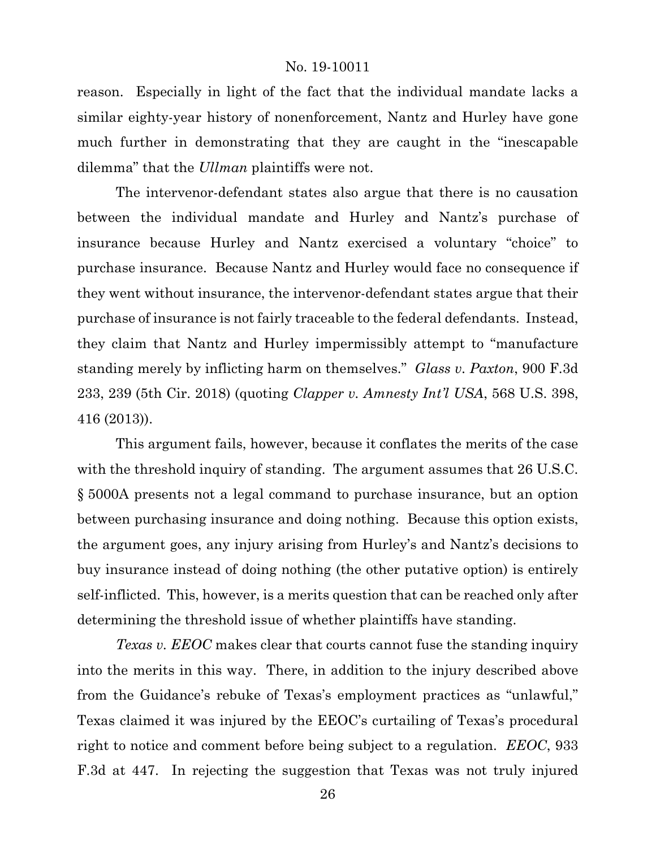reason. Especially in light of the fact that the individual mandate lacks a similar eighty-year history of nonenforcement, Nantz and Hurley have gone much further in demonstrating that they are caught in the "inescapable dilemma" that the *Ullman* plaintiffs were not.

The intervenor-defendant states also argue that there is no causation between the individual mandate and Hurley and Nantz's purchase of insurance because Hurley and Nantz exercised a voluntary "choice" to purchase insurance. Because Nantz and Hurley would face no consequence if they went without insurance, the intervenor-defendant states argue that their purchase of insurance is not fairly traceable to the federal defendants. Instead, they claim that Nantz and Hurley impermissibly attempt to "manufacture standing merely by inflicting harm on themselves." *Glass v. Paxton*, 900 F.3d 233, 239 (5th Cir. 2018) (quoting *Clapper v. Amnesty Int'l USA*, 568 U.S. 398, 416 (2013)).

This argument fails, however, because it conflates the merits of the case with the threshold inquiry of standing. The argument assumes that 26 U.S.C. § 5000A presents not a legal command to purchase insurance, but an option between purchasing insurance and doing nothing. Because this option exists, the argument goes, any injury arising from Hurley's and Nantz's decisions to buy insurance instead of doing nothing (the other putative option) is entirely self-inflicted. This, however, is a merits question that can be reached only after determining the threshold issue of whether plaintiffs have standing.

*Texas v. EEOC* makes clear that courts cannot fuse the standing inquiry into the merits in this way. There, in addition to the injury described above from the Guidance's rebuke of Texas's employment practices as "unlawful," Texas claimed it was injured by the EEOC's curtailing of Texas's procedural right to notice and comment before being subject to a regulation. *EEOC*, 933 F.3d at 447. In rejecting the suggestion that Texas was not truly injured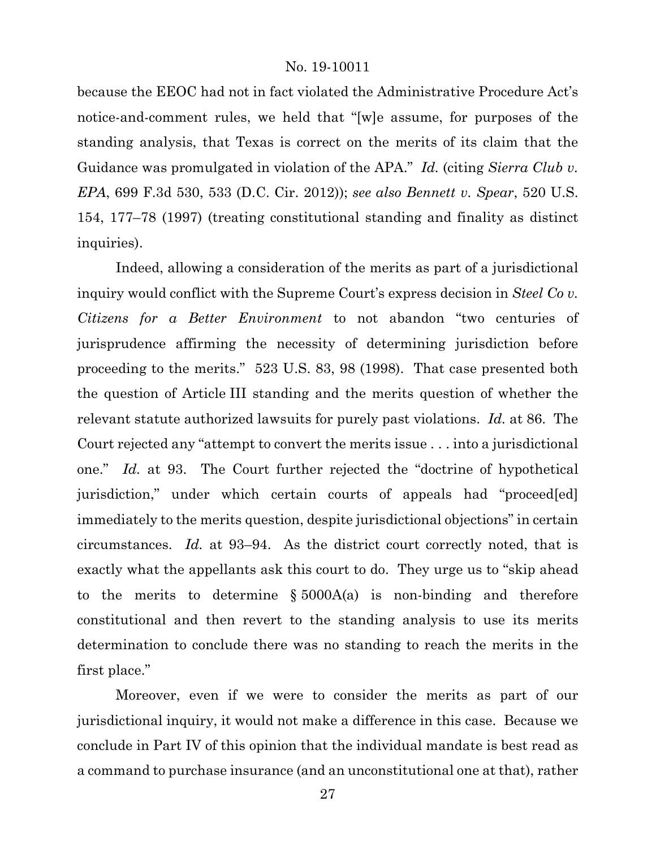because the EEOC had not in fact violated the Administrative Procedure Act's notice-and-comment rules, we held that "[w]e assume, for purposes of the standing analysis, that Texas is correct on the merits of its claim that the Guidance was promulgated in violation of the APA." *Id.* (citing *Sierra Club v. EPA*, 699 F.3d 530, 533 (D.C. Cir. 2012)); *see also Bennett v. Spear*, 520 U.S. 154, 177–78 (1997) (treating constitutional standing and finality as distinct inquiries).

Indeed, allowing a consideration of the merits as part of a jurisdictional inquiry would conflict with the Supreme Court's express decision in *Steel Co v. Citizens for a Better Environment* to not abandon "two centuries of jurisprudence affirming the necessity of determining jurisdiction before proceeding to the merits." 523 U.S. 83, 98 (1998). That case presented both the question of Article III standing and the merits question of whether the relevant statute authorized lawsuits for purely past violations. *Id.* at 86. The Court rejected any "attempt to convert the merits issue . . . into a jurisdictional one." *Id.* at 93. The Court further rejected the "doctrine of hypothetical jurisdiction," under which certain courts of appeals had "proceed[ed] immediately to the merits question, despite jurisdictional objections" in certain circumstances. *Id.* at 93–94. As the district court correctly noted, that is exactly what the appellants ask this court to do. They urge us to "skip ahead to the merits to determine  $\S 5000A(a)$  is non-binding and therefore constitutional and then revert to the standing analysis to use its merits determination to conclude there was no standing to reach the merits in the first place."

Moreover, even if we were to consider the merits as part of our jurisdictional inquiry, it would not make a difference in this case. Because we conclude in Part IV of this opinion that the individual mandate is best read as a command to purchase insurance (and an unconstitutional one at that), rather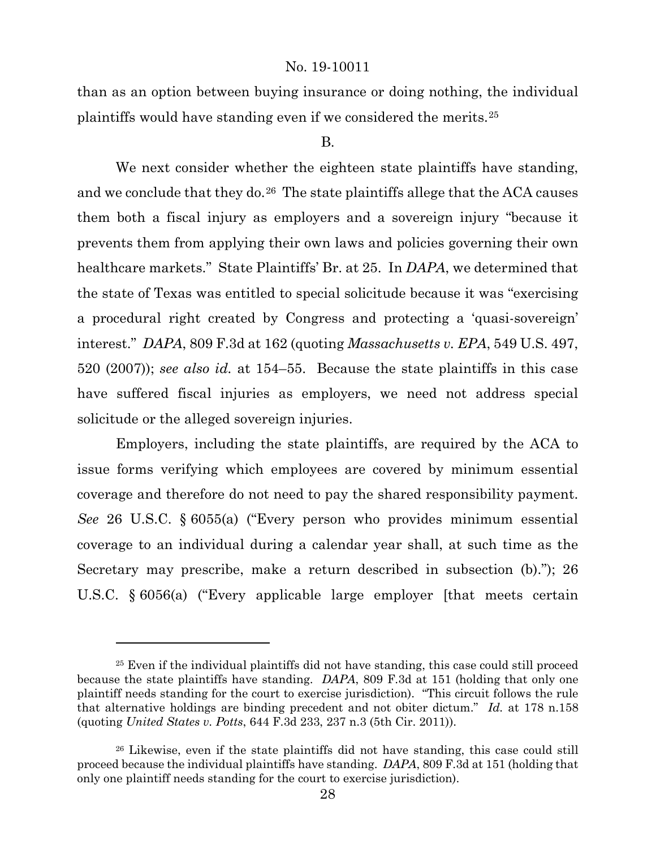than as an option between buying insurance or doing nothing, the individual plaintiffs would have standing even if we considered the merits.[25](#page-27-0)

#### B.

We next consider whether the eighteen state plaintiffs have standing, and we conclude that they do.<sup>[26](#page-27-1)</sup> The state plaintiffs allege that the ACA causes them both a fiscal injury as employers and a sovereign injury "because it prevents them from applying their own laws and policies governing their own healthcare markets." State Plaintiffs' Br. at 25. In *DAPA*, we determined that the state of Texas was entitled to special solicitude because it was "exercising a procedural right created by Congress and protecting a 'quasi-sovereign' interest." *DAPA*, 809 F.3d at 162 (quoting *Massachusetts v. EPA*, 549 U.S. 497, 520 (2007)); *see also id.* at 154–55. Because the state plaintiffs in this case have suffered fiscal injuries as employers, we need not address special solicitude or the alleged sovereign injuries.

Employers, including the state plaintiffs, are required by the ACA to issue forms verifying which employees are covered by minimum essential coverage and therefore do not need to pay the shared responsibility payment. *See* 26 U.S.C. § 6055(a) ("Every person who provides minimum essential coverage to an individual during a calendar year shall, at such time as the Secretary may prescribe, make a return described in subsection (b)."); 26 U.S.C. § 6056(a) ("Every applicable large employer [that meets certain

<span id="page-27-0"></span><sup>&</sup>lt;sup>25</sup> Even if the individual plaintiffs did not have standing, this case could still proceed because the state plaintiffs have standing. *DAPA*, 809 F.3d at 151 (holding that only one plaintiff needs standing for the court to exercise jurisdiction). "This circuit follows the rule that alternative holdings are binding precedent and not obiter dictum." *Id.* at 178 n.158 (quoting *United States v. Potts*, 644 F.3d 233, 237 n.3 (5th Cir. 2011)).

<span id="page-27-1"></span><sup>&</sup>lt;sup>26</sup> Likewise, even if the state plaintiffs did not have standing, this case could still proceed because the individual plaintiffs have standing. *DAPA*, 809 F.3d at 151 (holding that only one plaintiff needs standing for the court to exercise jurisdiction).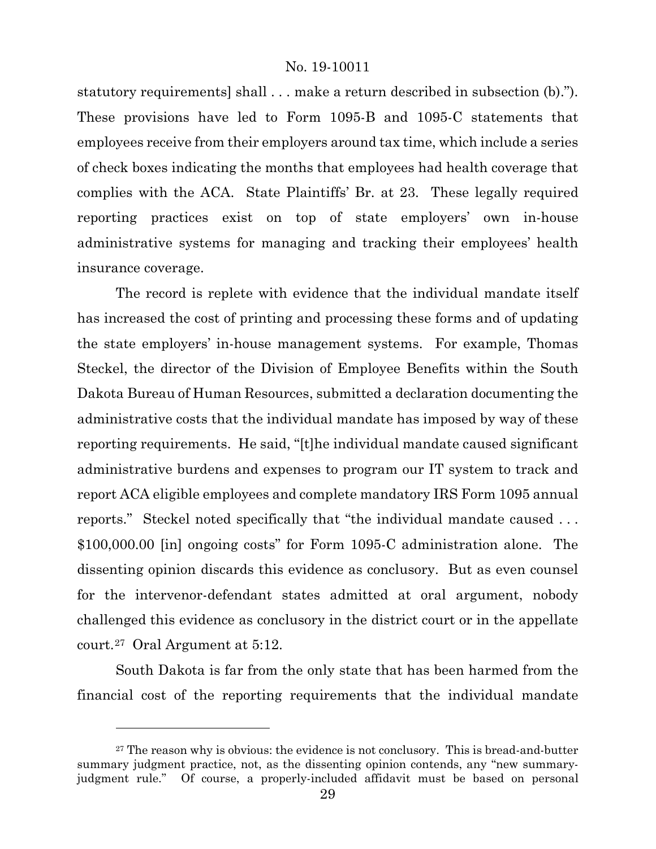statutory requirements] shall . . . make a return described in subsection (b)."). These provisions have led to Form 1095-B and 1095-C statements that employees receive from their employers around tax time, which include a series of check boxes indicating the months that employees had health coverage that complies with the ACA. State Plaintiffs' Br. at 23. These legally required reporting practices exist on top of state employers' own in-house administrative systems for managing and tracking their employees' health insurance coverage.

The record is replete with evidence that the individual mandate itself has increased the cost of printing and processing these forms and of updating the state employers' in-house management systems. For example, Thomas Steckel, the director of the Division of Employee Benefits within the South Dakota Bureau of Human Resources, submitted a declaration documenting the administrative costs that the individual mandate has imposed by way of these reporting requirements. He said, "[t]he individual mandate caused significant administrative burdens and expenses to program our IT system to track and report ACA eligible employees and complete mandatory IRS Form 1095 annual reports." Steckel noted specifically that "the individual mandate caused . . . \$100,000.00 [in] ongoing costs" for Form 1095-C administration alone. The dissenting opinion discards this evidence as conclusory. But as even counsel for the intervenor-defendant states admitted at oral argument, nobody challenged this evidence as conclusory in the district court or in the appellate court.[27](#page-28-0) Oral Argument at 5:12.

South Dakota is far from the only state that has been harmed from the financial cost of the reporting requirements that the individual mandate

<span id="page-28-0"></span> $27$  The reason why is obvious: the evidence is not conclusory. This is bread-and-butter summary judgment practice, not, as the dissenting opinion contends, any "new summaryjudgment rule." Of course, a properly-included affidavit must be based on personal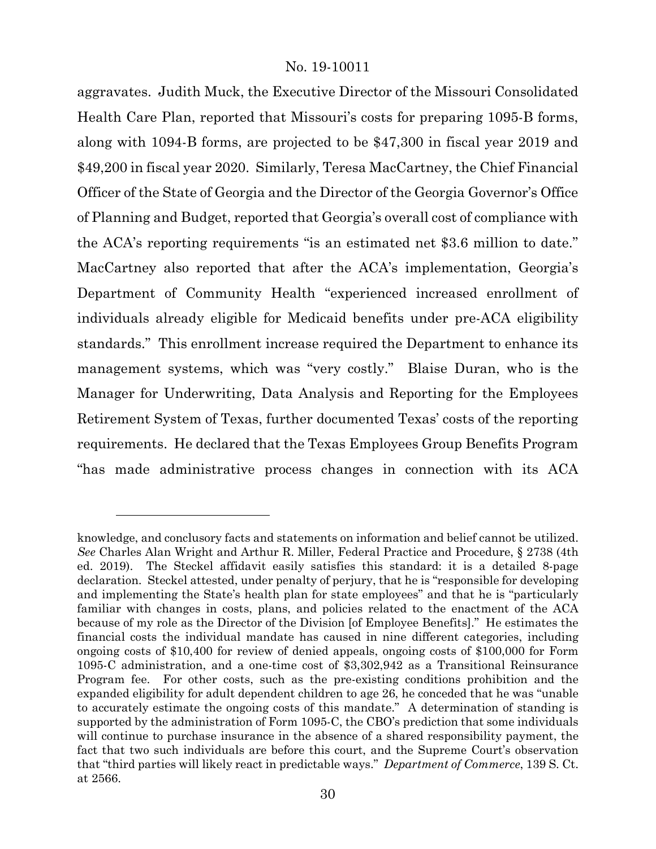aggravates. Judith Muck, the Executive Director of the Missouri Consolidated Health Care Plan, reported that Missouri's costs for preparing 1095-B forms, along with 1094-B forms, are projected to be \$47,300 in fiscal year 2019 and \$49,200 in fiscal year 2020. Similarly, Teresa MacCartney, the Chief Financial Officer of the State of Georgia and the Director of the Georgia Governor's Office of Planning and Budget, reported that Georgia's overall cost of compliance with the ACA's reporting requirements "is an estimated net \$3.6 million to date." MacCartney also reported that after the ACA's implementation, Georgia's Department of Community Health "experienced increased enrollment of individuals already eligible for Medicaid benefits under pre-ACA eligibility standards." This enrollment increase required the Department to enhance its management systems, which was "very costly." Blaise Duran, who is the Manager for Underwriting, Data Analysis and Reporting for the Employees Retirement System of Texas, further documented Texas' costs of the reporting requirements. He declared that the Texas Employees Group Benefits Program "has made administrative process changes in connection with its ACA

knowledge, and conclusory facts and statements on information and belief cannot be utilized. *See* Charles Alan Wright and Arthur R. Miller, Federal Practice and Procedure, § 2738 (4th ed. 2019). The Steckel affidavit easily satisfies this standard: it is a detailed 8-page declaration. Steckel attested, under penalty of perjury, that he is "responsible for developing and implementing the State's health plan for state employees" and that he is "particularly familiar with changes in costs, plans, and policies related to the enactment of the ACA because of my role as the Director of the Division [of Employee Benefits]." He estimates the financial costs the individual mandate has caused in nine different categories, including ongoing costs of \$10,400 for review of denied appeals, ongoing costs of \$100,000 for Form 1095-C administration, and a one-time cost of \$3,302,942 as a Transitional Reinsurance Program fee. For other costs, such as the pre-existing conditions prohibition and the expanded eligibility for adult dependent children to age 26, he conceded that he was "unable to accurately estimate the ongoing costs of this mandate." A determination of standing is supported by the administration of Form 1095-C, the CBO's prediction that some individuals will continue to purchase insurance in the absence of a shared responsibility payment, the fact that two such individuals are before this court, and the Supreme Court's observation that "third parties will likely react in predictable ways." *Department of Commerce*, 139 S. Ct. at 2566.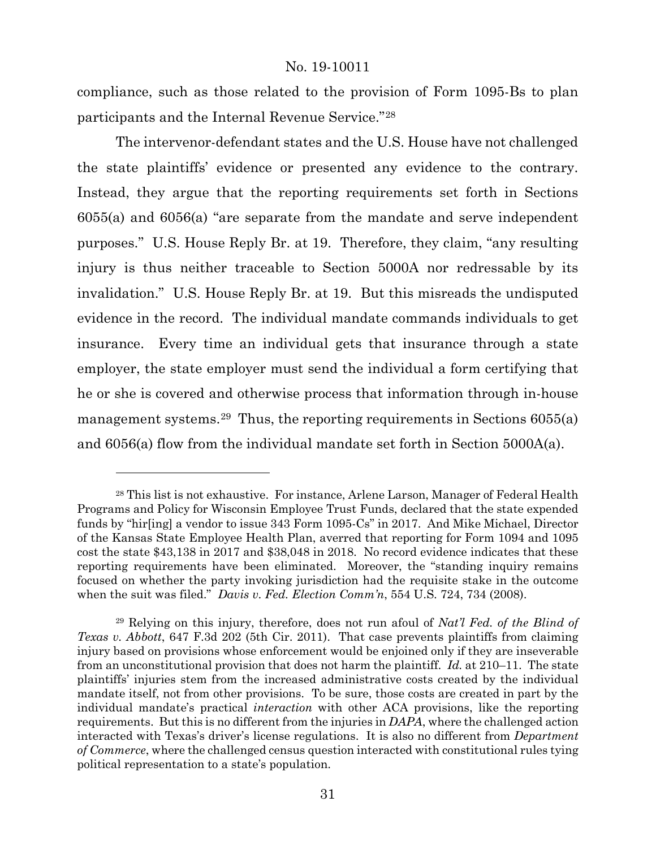compliance, such as those related to the provision of Form 1095-Bs to plan participants and the Internal Revenue Service."[28](#page-30-0)

The intervenor-defendant states and the U.S. House have not challenged the state plaintiffs' evidence or presented any evidence to the contrary. Instead, they argue that the reporting requirements set forth in Sections 6055(a) and 6056(a) "are separate from the mandate and serve independent purposes." U.S. House Reply Br. at 19. Therefore, they claim, "any resulting injury is thus neither traceable to Section 5000A nor redressable by its invalidation." U.S. House Reply Br. at 19.But this misreads the undisputed evidence in the record. The individual mandate commands individuals to get insurance. Every time an individual gets that insurance through a state employer, the state employer must send the individual a form certifying that he or she is covered and otherwise process that information through in-house management systems.[29](#page-30-1) Thus, the reporting requirements in Sections 6055(a) and 6056(a) flow from the individual mandate set forth in Section 5000A(a).

<span id="page-30-0"></span><sup>28</sup> This list is not exhaustive. For instance, Arlene Larson, Manager of Federal Health Programs and Policy for Wisconsin Employee Trust Funds, declared that the state expended funds by "hir[ing] a vendor to issue 343 Form 1095-Cs" in 2017. And Mike Michael, Director of the Kansas State Employee Health Plan, averred that reporting for Form 1094 and 1095 cost the state \$43,138 in 2017 and \$38,048 in 2018. No record evidence indicates that these reporting requirements have been eliminated. Moreover, the "standing inquiry remains focused on whether the party invoking jurisdiction had the requisite stake in the outcome when the suit was filed." *Davis v. Fed. Election Comm'n*, 554 U.S. 724, 734 (2008).

<span id="page-30-1"></span><sup>29</sup> Relying on this injury, therefore, does not run afoul of *Nat'l Fed. of the Blind of Texas v. Abbott*, 647 F.3d 202 (5th Cir. 2011). That case prevents plaintiffs from claiming injury based on provisions whose enforcement would be enjoined only if they are inseverable from an unconstitutional provision that does not harm the plaintiff. *Id.* at 210–11. The state plaintiffs' injuries stem from the increased administrative costs created by the individual mandate itself, not from other provisions. To be sure, those costs are created in part by the individual mandate's practical *interaction* with other ACA provisions, like the reporting requirements. But this is no different from the injuries in *DAPA*, where the challenged action interacted with Texas's driver's license regulations. It is also no different from *Department of Commerce*, where the challenged census question interacted with constitutional rules tying political representation to a state's population.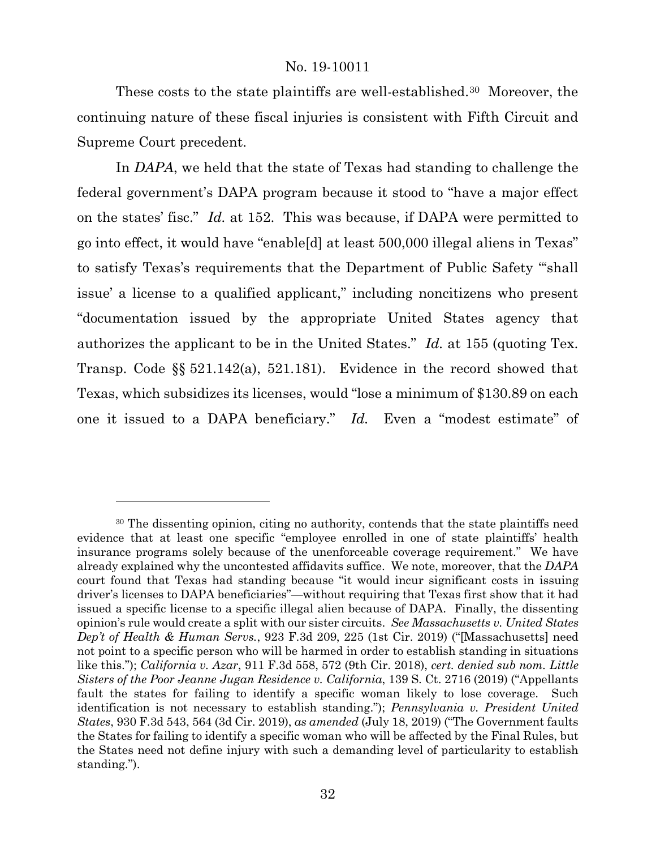These costs to the state plaintiffs are well-established.<sup>[30](#page-31-0)</sup> Moreover, the continuing nature of these fiscal injuries is consistent with Fifth Circuit and Supreme Court precedent.

In *DAPA*, we held that the state of Texas had standing to challenge the federal government's DAPA program because it stood to "have a major effect on the states' fisc." *Id.* at 152. This was because, if DAPA were permitted to go into effect, it would have "enable[d] at least 500,000 illegal aliens in Texas" to satisfy Texas's requirements that the Department of Public Safety "'shall issue' a license to a qualified applicant," including noncitizens who present "documentation issued by the appropriate United States agency that authorizes the applicant to be in the United States." *Id.* at 155 (quoting Tex. Transp. Code §§ 521.142(a), 521.181). Evidence in the record showed that Texas, which subsidizes its licenses, would "lose a minimum of \$130.89 on each one it issued to a DAPA beneficiary." *Id.* Even a "modest estimate" of

<span id="page-31-0"></span><sup>30</sup> The dissenting opinion, citing no authority, contends that the state plaintiffs need evidence that at least one specific "employee enrolled in one of state plaintiffs' health insurance programs solely because of the unenforceable coverage requirement." We have already explained why the uncontested affidavits suffice. We note, moreover, that the *DAPA* court found that Texas had standing because "it would incur significant costs in issuing driver's licenses to DAPA beneficiaries"—without requiring that Texas first show that it had issued a specific license to a specific illegal alien because of DAPA. Finally, the dissenting opinion's rule would create a split with our sister circuits. *See Massachusetts v. United States Dep't of Health & Human Servs.*, 923 F.3d 209, 225 (1st Cir. 2019) ("[Massachusetts] need not point to a specific person who will be harmed in order to establish standing in situations like this."); *California v. Azar*, 911 F.3d 558, 572 (9th Cir. 2018), *cert. denied sub nom. Little Sisters of the Poor Jeanne Jugan Residence v. California*, 139 S. Ct. 2716 (2019) ("Appellants fault the states for failing to identify a specific woman likely to lose coverage. Such identification is not necessary to establish standing."); *Pennsylvania v. President United States*, 930 F.3d 543, 564 (3d Cir. 2019), *as amended* (July 18, 2019) ("The Government faults the States for failing to identify a specific woman who will be affected by the Final Rules, but the States need not define injury with such a demanding level of particularity to establish standing.").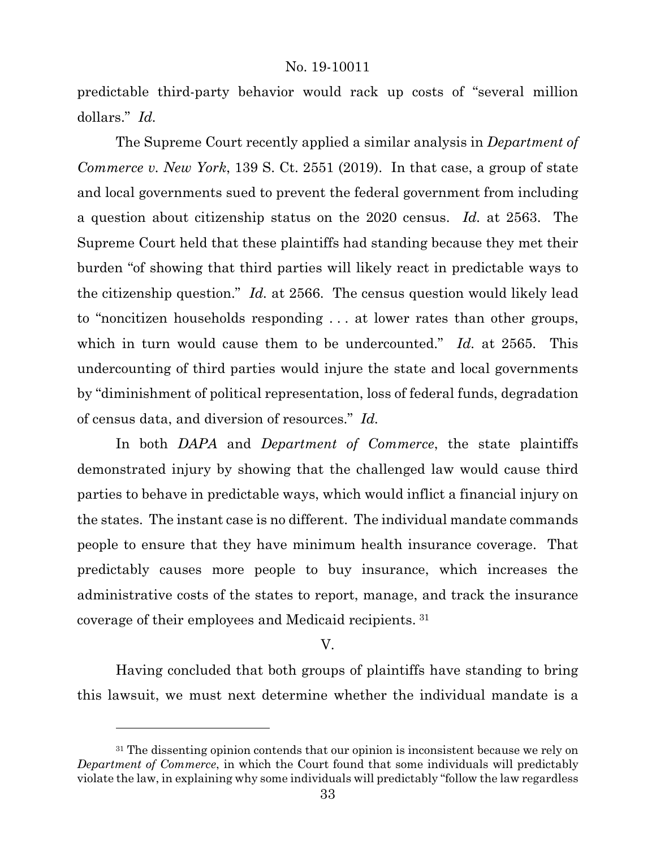predictable third-party behavior would rack up costs of "several million dollars." *Id.*

The Supreme Court recently applied a similar analysis in *Department of Commerce v. New York*, 139 S. Ct. 2551 (2019). In that case, a group of state and local governments sued to prevent the federal government from including a question about citizenship status on the 2020 census. *Id.* at 2563. The Supreme Court held that these plaintiffs had standing because they met their burden "of showing that third parties will likely react in predictable ways to the citizenship question." *Id.* at 2566. The census question would likely lead to "noncitizen households responding . . . at lower rates than other groups, which in turn would cause them to be undercounted." *Id.* at 2565. This undercounting of third parties would injure the state and local governments by "diminishment of political representation, loss of federal funds, degradation of census data, and diversion of resources." *Id.*

In both *DAPA* and *Department of Commerce*, the state plaintiffs demonstrated injury by showing that the challenged law would cause third parties to behave in predictable ways, which would inflict a financial injury on the states. The instant case is no different. The individual mandate commands people to ensure that they have minimum health insurance coverage. That predictably causes more people to buy insurance, which increases the administrative costs of the states to report, manage, and track the insurance coverage of their employees and Medicaid recipients. [31](#page-32-0)

#### V.

Having concluded that both groups of plaintiffs have standing to bring this lawsuit, we must next determine whether the individual mandate is a

<span id="page-32-0"></span><sup>&</sup>lt;sup>31</sup> The dissenting opinion contends that our opinion is inconsistent because we rely on *Department of Commerce*, in which the Court found that some individuals will predictably violate the law, in explaining why some individuals will predictably "follow the law regardless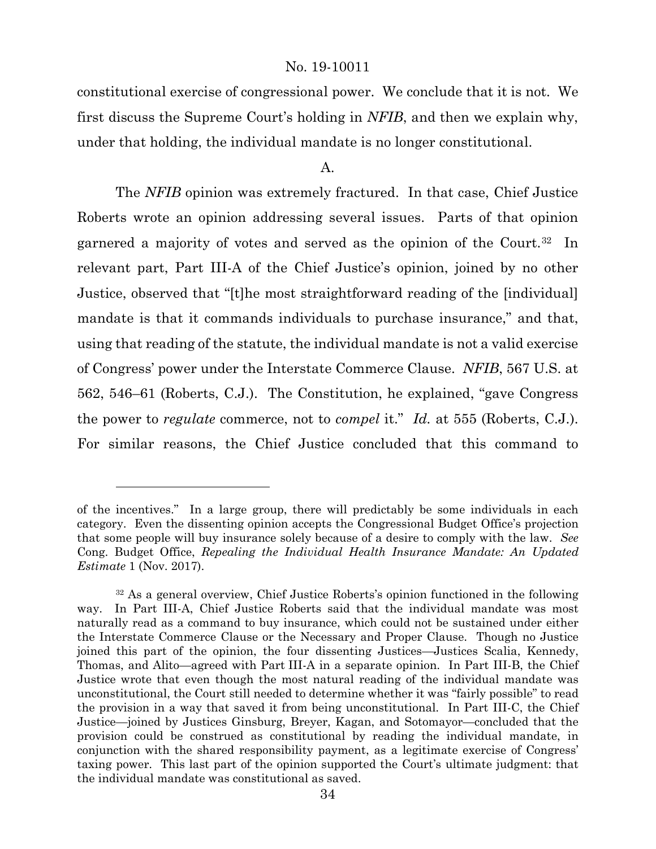constitutional exercise of congressional power. We conclude that it is not. We first discuss the Supreme Court's holding in *NFIB*, and then we explain why, under that holding, the individual mandate is no longer constitutional.

#### A.

The *NFIB* opinion was extremely fractured. In that case, Chief Justice Roberts wrote an opinion addressing several issues. Parts of that opinion garnered a majority of votes and served as the opinion of the Court.<sup>32</sup> In relevant part, Part III-A of the Chief Justice's opinion, joined by no other Justice, observed that "[t]he most straightforward reading of the [individual] mandate is that it commands individuals to purchase insurance," and that, using that reading of the statute, the individual mandate is not a valid exercise of Congress' power under the Interstate Commerce Clause. *NFIB*, 567 U.S. at 562, 546–61 (Roberts, C.J.). The Constitution, he explained, "gave Congress the power to *regulate* commerce, not to *compel* it." *Id.* at 555 (Roberts, C.J.). For similar reasons, the Chief Justice concluded that this command to

of the incentives." In a large group, there will predictably be some individuals in each category. Even the dissenting opinion accepts the Congressional Budget Office's projection that some people will buy insurance solely because of a desire to comply with the law. *See* Cong. Budget Office, *Repealing the Individual Health Insurance Mandate: An Updated Estimate* 1 (Nov. 2017).

<span id="page-33-0"></span><sup>32</sup> As a general overview, Chief Justice Roberts's opinion functioned in the following way. In Part III-A, Chief Justice Roberts said that the individual mandate was most naturally read as a command to buy insurance, which could not be sustained under either the Interstate Commerce Clause or the Necessary and Proper Clause. Though no Justice joined this part of the opinion, the four dissenting Justices—Justices Scalia, Kennedy, Thomas, and Alito—agreed with Part III-A in a separate opinion. In Part III-B, the Chief Justice wrote that even though the most natural reading of the individual mandate was unconstitutional, the Court still needed to determine whether it was "fairly possible" to read the provision in a way that saved it from being unconstitutional. In Part III-C, the Chief Justice—joined by Justices Ginsburg, Breyer, Kagan, and Sotomayor—concluded that the provision could be construed as constitutional by reading the individual mandate, in conjunction with the shared responsibility payment, as a legitimate exercise of Congress' taxing power. This last part of the opinion supported the Court's ultimate judgment: that the individual mandate was constitutional as saved.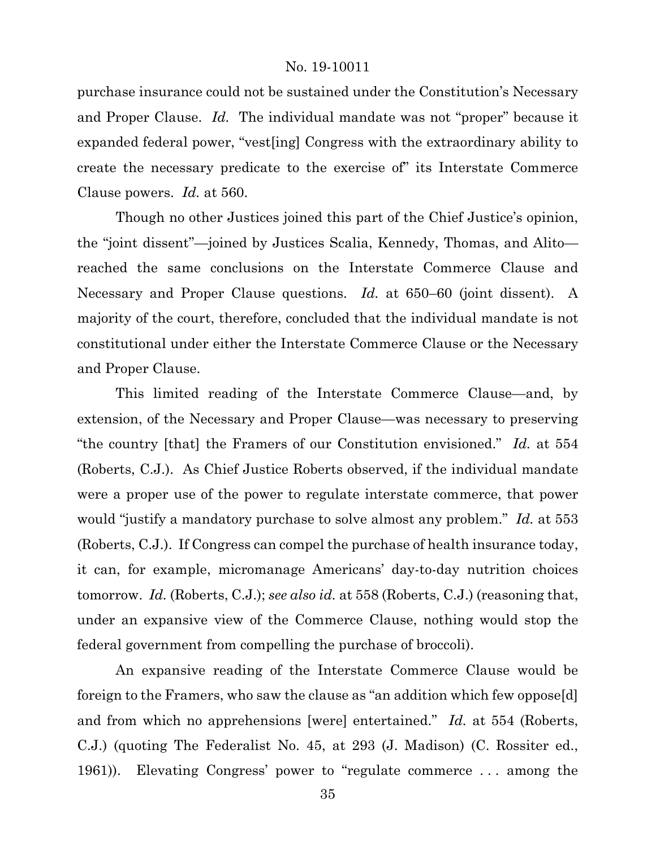purchase insurance could not be sustained under the Constitution's Necessary and Proper Clause. *Id.* The individual mandate was not "proper" because it expanded federal power, "vest[ing] Congress with the extraordinary ability to create the necessary predicate to the exercise of" its Interstate Commerce Clause powers. *Id.* at 560.

Though no other Justices joined this part of the Chief Justice's opinion, the "joint dissent"—joined by Justices Scalia, Kennedy, Thomas, and Alito reached the same conclusions on the Interstate Commerce Clause and Necessary and Proper Clause questions. *Id.* at 650–60 (joint dissent). A majority of the court, therefore, concluded that the individual mandate is not constitutional under either the Interstate Commerce Clause or the Necessary and Proper Clause.

This limited reading of the Interstate Commerce Clause—and, by extension, of the Necessary and Proper Clause—was necessary to preserving "the country [that] the Framers of our Constitution envisioned." *Id.* at 554 (Roberts, C.J.). As Chief Justice Roberts observed, if the individual mandate were a proper use of the power to regulate interstate commerce, that power would "justify a mandatory purchase to solve almost any problem." *Id.* at 553 (Roberts, C.J.). If Congress can compel the purchase of health insurance today, it can, for example, micromanage Americans' day-to-day nutrition choices tomorrow. *Id.* (Roberts, C.J.); *see also id.* at 558 (Roberts, C.J.) (reasoning that, under an expansive view of the Commerce Clause, nothing would stop the federal government from compelling the purchase of broccoli).

An expansive reading of the Interstate Commerce Clause would be foreign to the Framers, who saw the clause as "an addition which few oppose[d] and from which no apprehensions [were] entertained." *Id.* at 554 (Roberts, C.J.) (quoting The Federalist No. 45, at 293 (J. Madison) (C. Rossiter ed., 1961)). Elevating Congress' power to "regulate commerce . . . among the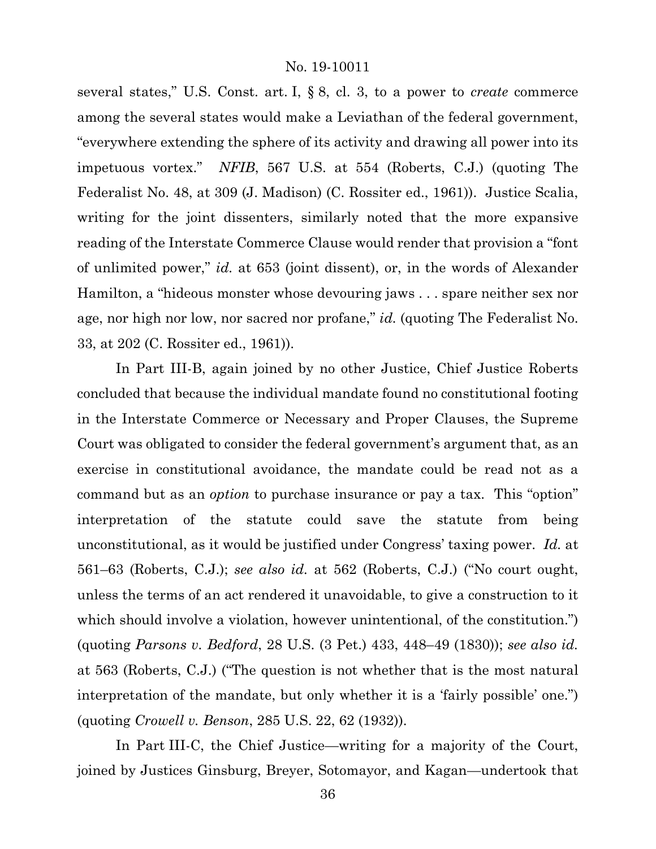several states," U.S. Const. art. I, § 8, cl. 3, to a power to *create* commerce among the several states would make a Leviathan of the federal government, "everywhere extending the sphere of its activity and drawing all power into its impetuous vortex." *NFIB*, 567 U.S. at 554 (Roberts, C.J.) (quoting The Federalist No. 48, at 309 (J. Madison) (C. Rossiter ed., 1961)). Justice Scalia, writing for the joint dissenters, similarly noted that the more expansive reading of the Interstate Commerce Clause would render that provision a "font of unlimited power," *id.* at 653 (joint dissent), or, in the words of Alexander Hamilton, a "hideous monster whose devouring jaws . . . spare neither sex nor age, nor high nor low, nor sacred nor profane," *id.* (quoting The Federalist No. 33, at 202 (C. Rossiter ed., 1961)).

In Part III-B, again joined by no other Justice, Chief Justice Roberts concluded that because the individual mandate found no constitutional footing in the Interstate Commerce or Necessary and Proper Clauses, the Supreme Court was obligated to consider the federal government's argument that, as an exercise in constitutional avoidance, the mandate could be read not as a command but as an *option* to purchase insurance or pay a tax. This "option" interpretation of the statute could save the statute from being unconstitutional, as it would be justified under Congress' taxing power. *Id.* at 561–63 (Roberts, C.J.); *see also id.* at 562 (Roberts, C.J.) ("No court ought, unless the terms of an act rendered it unavoidable, to give a construction to it which should involve a violation, however unintentional, of the constitution.") (quoting *Parsons v. Bedford*, 28 U.S. (3 Pet.) 433, 448–49 (1830)); *see also id.* at 563 (Roberts, C.J.) ("The question is not whether that is the most natural interpretation of the mandate, but only whether it is a 'fairly possible' one.") (quoting *Crowell v. Benson*, 285 U.S. 22, 62 (1932)).

In Part III-C, the Chief Justice—writing for a majority of the Court, joined by Justices Ginsburg, Breyer, Sotomayor, and Kagan—undertook that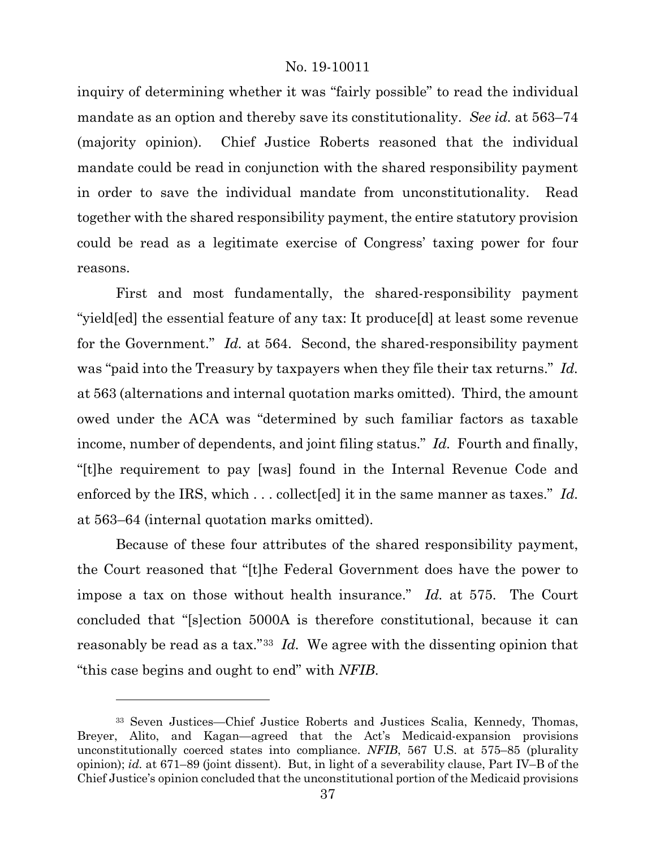inquiry of determining whether it was "fairly possible" to read the individual mandate as an option and thereby save its constitutionality. *See id.* at 563–74 (majority opinion). Chief Justice Roberts reasoned that the individual mandate could be read in conjunction with the shared responsibility payment in order to save the individual mandate from unconstitutionality. Read together with the shared responsibility payment, the entire statutory provision could be read as a legitimate exercise of Congress' taxing power for four reasons.

First and most fundamentally, the shared-responsibility payment "yield[ed] the essential feature of any tax: It produce[d] at least some revenue for the Government." *Id.* at 564. Second, the shared-responsibility payment was "paid into the Treasury by taxpayers when they file their tax returns." *Id.* at 563 (alternations and internal quotation marks omitted). Third, the amount owed under the ACA was "determined by such familiar factors as taxable income, number of dependents, and joint filing status." *Id.* Fourth and finally, "[t]he requirement to pay [was] found in the Internal Revenue Code and enforced by the IRS, which . . . collect[ed] it in the same manner as taxes." *Id.* at 563–64 (internal quotation marks omitted).

Because of these four attributes of the shared responsibility payment, the Court reasoned that "[t]he Federal Government does have the power to impose a tax on those without health insurance." *Id.* at 575. The Court concluded that "[s]ection 5000A is therefore constitutional, because it can reasonably be read as a tax."[33](#page-36-0) *Id.* We agree with the dissenting opinion that "this case begins and ought to end" with *NFIB*.

l

<span id="page-36-0"></span><sup>33</sup> Seven Justices—Chief Justice Roberts and Justices Scalia, Kennedy, Thomas, Breyer, Alito, and Kagan—agreed that the Act's Medicaid-expansion provisions unconstitutionally coerced states into compliance. *NFIB*, 567 U.S. at 575–85 (plurality opinion); *id.* at 671–89 (joint dissent). But, in light of a severability clause, Part IV–B of the Chief Justice's opinion concluded that the unconstitutional portion of the Medicaid provisions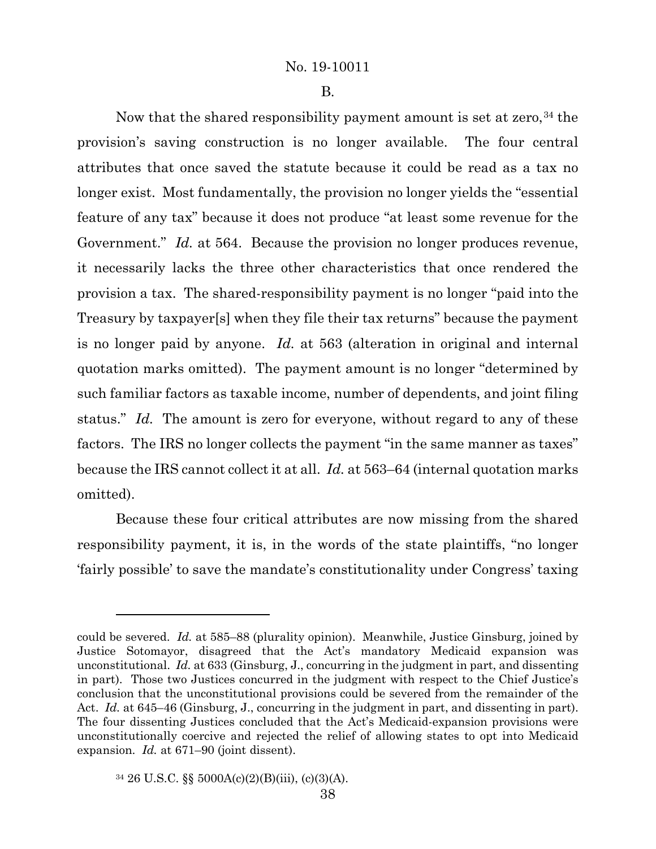B.

Now that the shared responsibility payment amount is set at zero,  $34$  the provision's saving construction is no longer available. The four central attributes that once saved the statute because it could be read as a tax no longer exist. Most fundamentally, the provision no longer yields the "essential feature of any tax" because it does not produce "at least some revenue for the Government." *Id.* at 564. Because the provision no longer produces revenue, it necessarily lacks the three other characteristics that once rendered the provision a tax. The shared-responsibility payment is no longer "paid into the Treasury by taxpayer[s] when they file their tax returns" because the payment is no longer paid by anyone. *Id.* at 563 (alteration in original and internal quotation marks omitted). The payment amount is no longer "determined by such familiar factors as taxable income, number of dependents, and joint filing status." *Id.* The amount is zero for everyone, without regard to any of these factors. The IRS no longer collects the payment "in the same manner as taxes" because the IRS cannot collect it at all. *Id.* at 563–64 (internal quotation marks omitted).

Because these four critical attributes are now missing from the shared responsibility payment, it is, in the words of the state plaintiffs, "no longer 'fairly possible' to save the mandate's constitutionality under Congress' taxing

could be severed. *Id.* at 585–88 (plurality opinion). Meanwhile, Justice Ginsburg, joined by Justice Sotomayor, disagreed that the Act's mandatory Medicaid expansion was unconstitutional. *Id.* at 633 (Ginsburg, J., concurring in the judgment in part, and dissenting in part). Those two Justices concurred in the judgment with respect to the Chief Justice's conclusion that the unconstitutional provisions could be severed from the remainder of the Act. *Id.* at 645–46 (Ginsburg, J., concurring in the judgment in part, and dissenting in part). The four dissenting Justices concluded that the Act's Medicaid-expansion provisions were unconstitutionally coercive and rejected the relief of allowing states to opt into Medicaid expansion. *Id.* at 671–90 (joint dissent).

<span id="page-37-0"></span><sup>34</sup> 26 U.S.C. §§ 5000A(c)(2)(B)(iii), (c)(3)(A).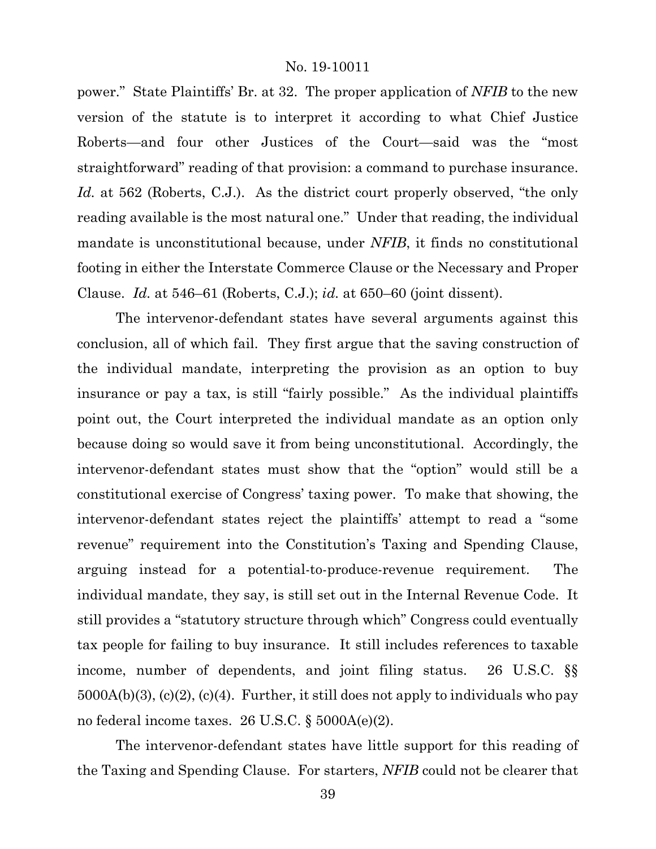power." State Plaintiffs' Br. at 32. The proper application of *NFIB* to the new version of the statute is to interpret it according to what Chief Justice Roberts—and four other Justices of the Court—said was the "most straightforward" reading of that provision: a command to purchase insurance. *Id.* at 562 (Roberts, C.J.). As the district court properly observed, "the only reading available is the most natural one." Under that reading, the individual mandate is unconstitutional because, under *NFIB*, it finds no constitutional footing in either the Interstate Commerce Clause or the Necessary and Proper Clause. *Id.* at 546–61 (Roberts, C.J.); *id.* at 650–60 (joint dissent).

The intervenor-defendant states have several arguments against this conclusion, all of which fail. They first argue that the saving construction of the individual mandate, interpreting the provision as an option to buy insurance or pay a tax, is still "fairly possible." As the individual plaintiffs point out, the Court interpreted the individual mandate as an option only because doing so would save it from being unconstitutional. Accordingly, the intervenor-defendant states must show that the "option" would still be a constitutional exercise of Congress' taxing power. To make that showing, the intervenor-defendant states reject the plaintiffs' attempt to read a "some revenue" requirement into the Constitution's Taxing and Spending Clause, arguing instead for a potential-to-produce-revenue requirement. The individual mandate, they say, is still set out in the Internal Revenue Code. It still provides a "statutory structure through which" Congress could eventually tax people for failing to buy insurance. It still includes references to taxable income, number of dependents, and joint filing status. 26 U.S.C. §§  $5000A(b)(3)$ ,  $(c)(2)$ ,  $(c)(4)$ . Further, it still does not apply to individuals who pay no federal income taxes. 26 U.S.C. § 5000A(e)(2).

The intervenor-defendant states have little support for this reading of the Taxing and Spending Clause. For starters, *NFIB* could not be clearer that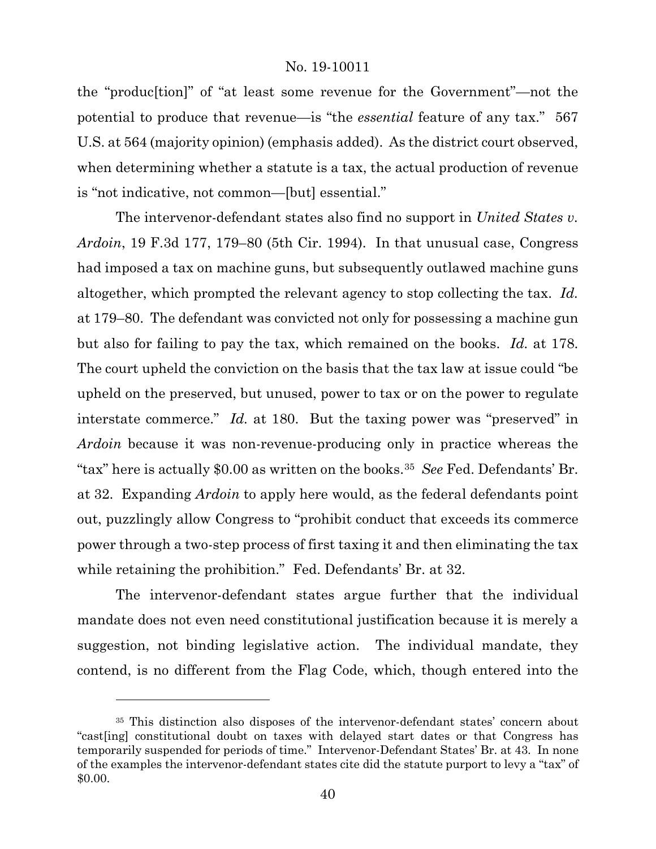the "produc[tion]" of "at least some revenue for the Government"—not the potential to produce that revenue—is "the *essential* feature of any tax." 567 U.S. at 564 (majority opinion) (emphasis added). As the district court observed, when determining whether a statute is a tax, the actual production of revenue is "not indicative, not common—[but] essential."

The intervenor-defendant states also find no support in *United States v. Ardoin*, 19 F.3d 177, 179–80 (5th Cir. 1994). In that unusual case, Congress had imposed a tax on machine guns, but subsequently outlawed machine guns altogether, which prompted the relevant agency to stop collecting the tax. *Id.* at 179–80. The defendant was convicted not only for possessing a machine gun but also for failing to pay the tax, which remained on the books. *Id.* at 178. The court upheld the conviction on the basis that the tax law at issue could "be upheld on the preserved, but unused, power to tax or on the power to regulate interstate commerce." *Id.* at 180. But the taxing power was "preserved" in *Ardoin* because it was non-revenue-producing only in practice whereas the "tax" here is actually \$0.00 as written on the books.[35](#page-39-0) *See* Fed. Defendants' Br. at 32. Expanding *Ardoin* to apply here would, as the federal defendants point out, puzzlingly allow Congress to "prohibit conduct that exceeds its commerce power through a two-step process of first taxing it and then eliminating the tax while retaining the prohibition." Fed. Defendants' Br. at 32.

The intervenor-defendant states argue further that the individual mandate does not even need constitutional justification because it is merely a suggestion, not binding legislative action. The individual mandate, they contend, is no different from the Flag Code, which, though entered into the

l

<span id="page-39-0"></span><sup>35</sup> This distinction also disposes of the intervenor-defendant states' concern about "cast[ing] constitutional doubt on taxes with delayed start dates or that Congress has temporarily suspended for periods of time." Intervenor-Defendant States' Br. at 43. In none of the examples the intervenor-defendant states cite did the statute purport to levy a "tax" of \$0.00.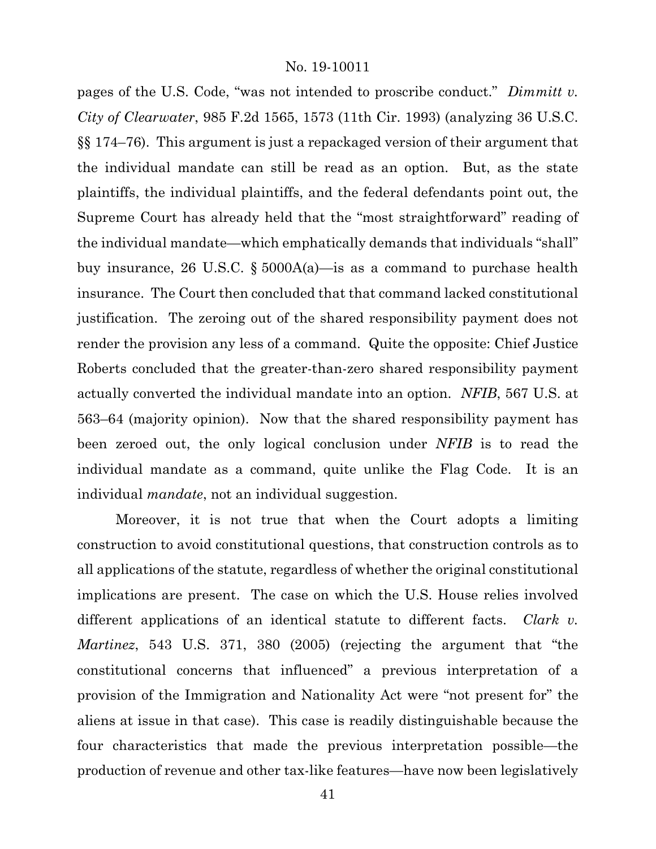pages of the U.S. Code, "was not intended to proscribe conduct." *Dimmitt v. City of Clearwater*, 985 F.2d 1565, 1573 (11th Cir. 1993) (analyzing 36 U.S.C. §§ 174–76). This argument is just a repackaged version of their argument that the individual mandate can still be read as an option. But, as the state plaintiffs, the individual plaintiffs, and the federal defendants point out, the Supreme Court has already held that the "most straightforward" reading of the individual mandate—which emphatically demands that individuals "shall" buy insurance, 26 U.S.C. § 5000A(a)—is as a command to purchase health insurance. The Court then concluded that that command lacked constitutional justification. The zeroing out of the shared responsibility payment does not render the provision any less of a command. Quite the opposite: Chief Justice Roberts concluded that the greater-than-zero shared responsibility payment actually converted the individual mandate into an option. *NFIB*, 567 U.S. at 563–64 (majority opinion). Now that the shared responsibility payment has been zeroed out, the only logical conclusion under *NFIB* is to read the individual mandate as a command, quite unlike the Flag Code. It is an individual *mandate*, not an individual suggestion.

Moreover, it is not true that when the Court adopts a limiting construction to avoid constitutional questions, that construction controls as to all applications of the statute, regardless of whether the original constitutional implications are present. The case on which the U.S. House relies involved different applications of an identical statute to different facts. *Clark v. Martinez*, 543 U.S. 371, 380 (2005) (rejecting the argument that "the constitutional concerns that influenced" a previous interpretation of a provision of the Immigration and Nationality Act were "not present for" the aliens at issue in that case). This case is readily distinguishable because the four characteristics that made the previous interpretation possible—the production of revenue and other tax-like features—have now been legislatively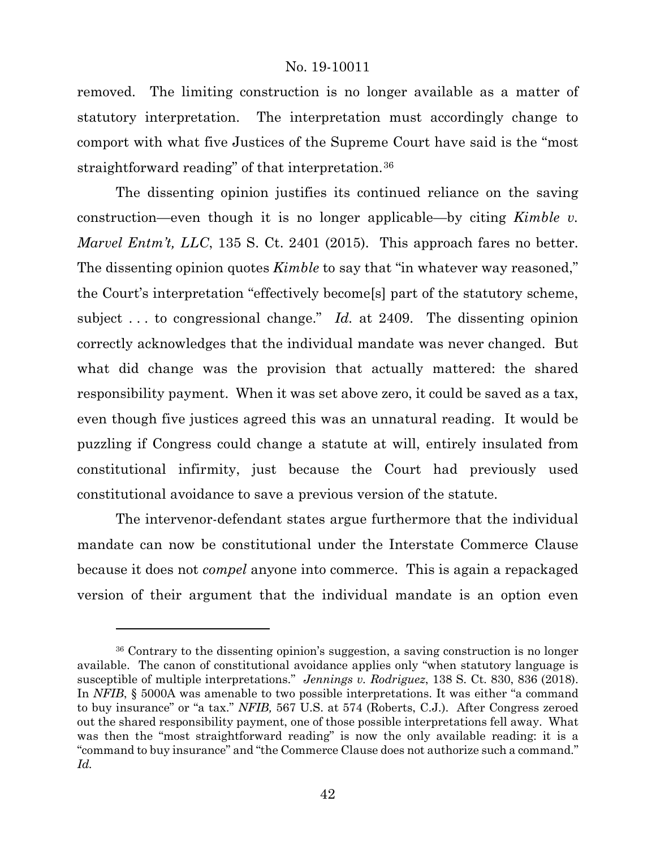removed. The limiting construction is no longer available as a matter of statutory interpretation. The interpretation must accordingly change to comport with what five Justices of the Supreme Court have said is the "most straightforward reading" of that interpretation.[36](#page-41-0)

The dissenting opinion justifies its continued reliance on the saving construction—even though it is no longer applicable—by citing *Kimble v. Marvel Entm't, LLC*, 135 S. Ct. 2401 (2015). This approach fares no better. The dissenting opinion quotes *Kimble* to say that "in whatever way reasoned," the Court's interpretation "effectively become[s] part of the statutory scheme, subject . . . to congressional change." *Id.* at 2409. The dissenting opinion correctly acknowledges that the individual mandate was never changed. But what did change was the provision that actually mattered: the shared responsibility payment. When it was set above zero, it could be saved as a tax, even though five justices agreed this was an unnatural reading. It would be puzzling if Congress could change a statute at will, entirely insulated from constitutional infirmity, just because the Court had previously used constitutional avoidance to save a previous version of the statute.

The intervenor-defendant states argue furthermore that the individual mandate can now be constitutional under the Interstate Commerce Clause because it does not *compel* anyone into commerce. This is again a repackaged version of their argument that the individual mandate is an option even

<span id="page-41-0"></span><sup>36</sup> Contrary to the dissenting opinion's suggestion, a saving construction is no longer available. The canon of constitutional avoidance applies only "when statutory language is susceptible of multiple interpretations." *Jennings v. Rodriguez*, 138 S. Ct. 830, 836 (2018). In *NFIB*, § 5000A was amenable to two possible interpretations. It was either "a command to buy insurance" or "a tax." *NFIB,* 567 U.S. at 574 (Roberts, C.J.). After Congress zeroed out the shared responsibility payment, one of those possible interpretations fell away. What was then the "most straightforward reading" is now the only available reading: it is a "command to buy insurance" and "the Commerce Clause does not authorize such a command." *Id.*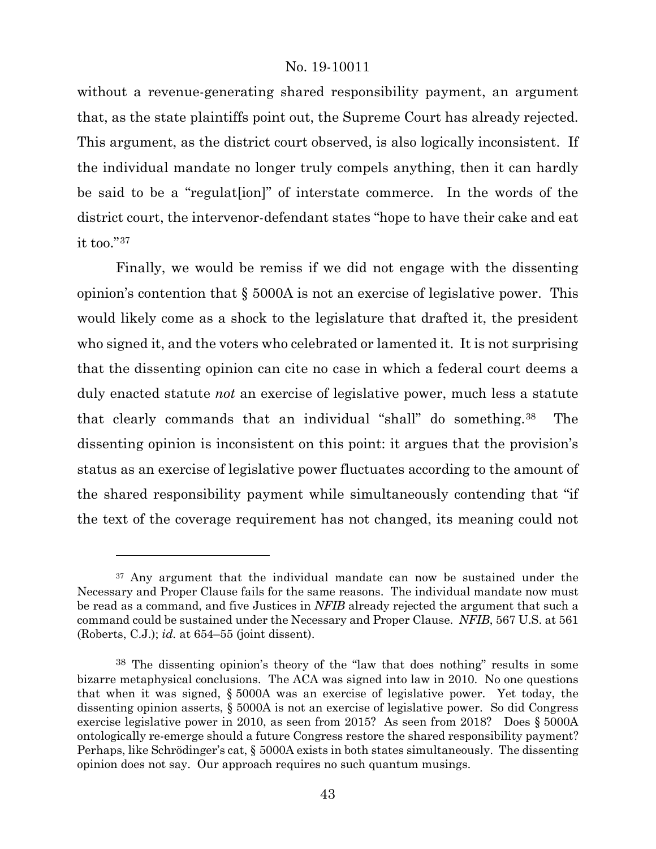without a revenue-generating shared responsibility payment, an argument that, as the state plaintiffs point out, the Supreme Court has already rejected. This argument, as the district court observed, is also logically inconsistent. If the individual mandate no longer truly compels anything, then it can hardly be said to be a "regulat[ion]" of interstate commerce. In the words of the district court, the intervenor-defendant states "hope to have their cake and eat it too."[37](#page-42-0)

Finally, we would be remiss if we did not engage with the dissenting opinion's contention that § 5000A is not an exercise of legislative power. This would likely come as a shock to the legislature that drafted it, the president who signed it, and the voters who celebrated or lamented it. It is not surprising that the dissenting opinion can cite no case in which a federal court deems a duly enacted statute *not* an exercise of legislative power, much less a statute that clearly commands that an individual "shall" do something.[38](#page-42-1) The dissenting opinion is inconsistent on this point: it argues that the provision's status as an exercise of legislative power fluctuates according to the amount of the shared responsibility payment while simultaneously contending that "if the text of the coverage requirement has not changed, its meaning could not

l

<span id="page-42-0"></span><sup>&</sup>lt;sup>37</sup> Any argument that the individual mandate can now be sustained under the Necessary and Proper Clause fails for the same reasons. The individual mandate now must be read as a command, and five Justices in *NFIB* already rejected the argument that such a command could be sustained under the Necessary and Proper Clause. *NFIB*, 567 U.S. at 561 (Roberts, C.J.); *id.* at 654–55 (joint dissent).

<span id="page-42-1"></span><sup>38</sup> The dissenting opinion's theory of the "law that does nothing" results in some bizarre metaphysical conclusions. The ACA was signed into law in 2010. No one questions that when it was signed, § 5000A was an exercise of legislative power. Yet today, the dissenting opinion asserts, § 5000A is not an exercise of legislative power. So did Congress exercise legislative power in 2010, as seen from 2015? As seen from 2018? Does § 5000A ontologically re-emerge should a future Congress restore the shared responsibility payment? Perhaps, like Schrödinger's cat, § 5000A exists in both states simultaneously. The dissenting opinion does not say. Our approach requires no such quantum musings.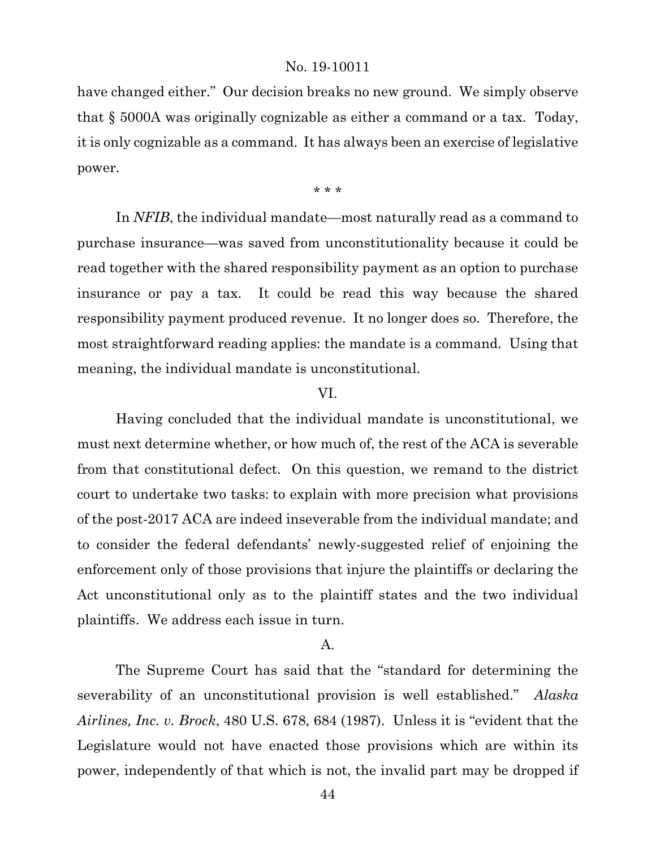have changed either." Our decision breaks no new ground. We simply observe that § 5000A was originally cognizable as either a command or a tax. Today, it is only cognizable as a command. It has always been an exercise of legislative power.

\* \* \*

In *NFIB*, the individual mandate—most naturally read as a command to purchase insurance—was saved from unconstitutionality because it could be read together with the shared responsibility payment as an option to purchase insurance or pay a tax. It could be read this way because the shared responsibility payment produced revenue. It no longer does so. Therefore, the most straightforward reading applies: the mandate is a command. Using that meaning, the individual mandate is unconstitutional.

#### VI.

Having concluded that the individual mandate is unconstitutional, we must next determine whether, or how much of, the rest of the ACA is severable from that constitutional defect. On this question, we remand to the district court to undertake two tasks: to explain with more precision what provisions of the post-2017 ACA are indeed inseverable from the individual mandate; and to consider the federal defendants' newly-suggested relief of enjoining the enforcement only of those provisions that injure the plaintiffs or declaring the Act unconstitutional only as to the plaintiff states and the two individual plaintiffs. We address each issue in turn.

# A.

The Supreme Court has said that the "standard for determining the severability of an unconstitutional provision is well established." *Alaska Airlines, Inc. v. Brock*, 480 U.S. 678, 684 (1987). Unless it is "evident that the Legislature would not have enacted those provisions which are within its power, independently of that which is not, the invalid part may be dropped if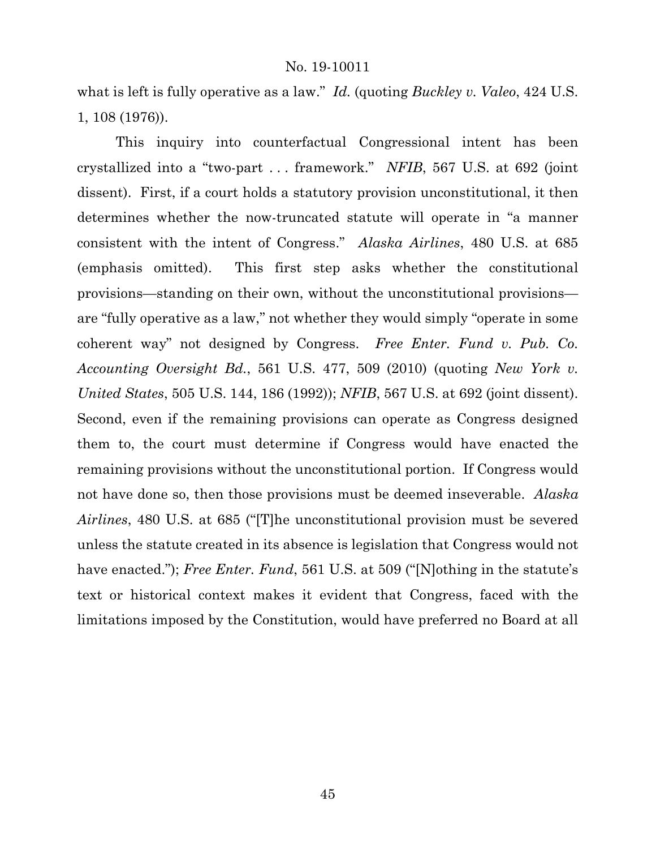what is left is fully operative as a law." *Id.* (quoting *Buckley v. Valeo*, 424 U.S. 1, 108 (1976)).

This inquiry into counterfactual Congressional intent has been crystallized into a "two-part . . . framework." *NFIB*, 567 U.S. at 692 (joint dissent). First, if a court holds a statutory provision unconstitutional, it then determines whether the now-truncated statute will operate in "a manner consistent with the intent of Congress." *Alaska Airlines*, 480 U.S. at 685 (emphasis omitted). This first step asks whether the constitutional provisions—standing on their own, without the unconstitutional provisions are "fully operative as a law," not whether they would simply "operate in some coherent way" not designed by Congress. *Free Enter. Fund v. Pub. Co. Accounting Oversight Bd.*, 561 U.S. 477, 509 (2010) (quoting *New York v. United States*, 505 U.S. 144, 186 (1992)); *NFIB*, 567 U.S. at 692 (joint dissent). Second, even if the remaining provisions can operate as Congress designed them to, the court must determine if Congress would have enacted the remaining provisions without the unconstitutional portion. If Congress would not have done so, then those provisions must be deemed inseverable. *Alaska Airlines*, 480 U.S. at 685 ("[T]he unconstitutional provision must be severed unless the statute created in its absence is legislation that Congress would not have enacted."); *Free Enter. Fund*, 561 U.S. at 509 ("[N]othing in the statute's text or historical context makes it evident that Congress, faced with the limitations imposed by the Constitution, would have preferred no Board at all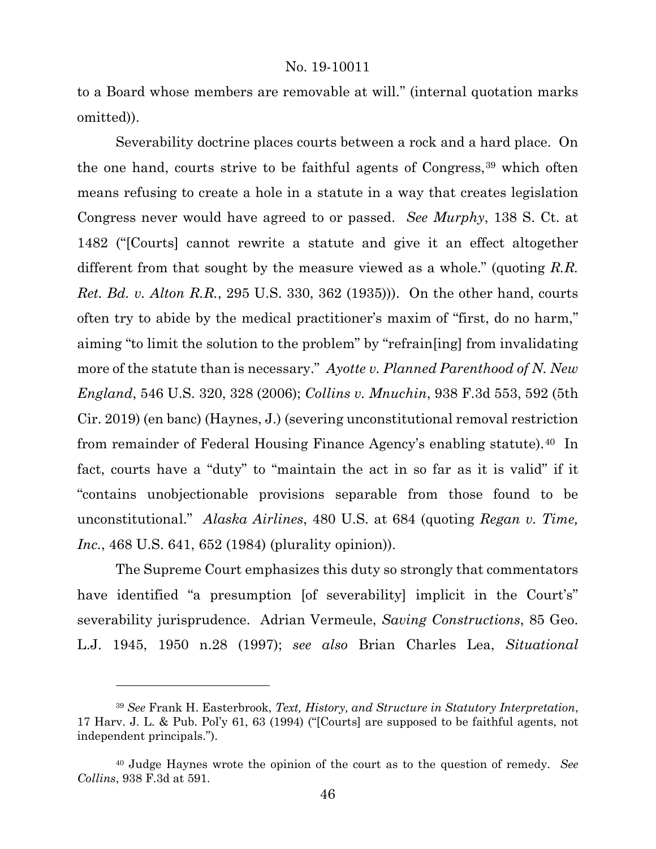to a Board whose members are removable at will." (internal quotation marks omitted)).

Severability doctrine places courts between a rock and a hard place. On the one hand, courts strive to be faithful agents of Congress,<sup>[39](#page-45-0)</sup> which often means refusing to create a hole in a statute in a way that creates legislation Congress never would have agreed to or passed. *See Murphy*, 138 S. Ct. at 1482 ("[Courts] cannot rewrite a statute and give it an effect altogether different from that sought by the measure viewed as a whole." (quoting *R.R. Ret. Bd. v. Alton R.R.*, 295 U.S. 330, 362 (1935))). On the other hand, courts often try to abide by the medical practitioner's maxim of "first, do no harm," aiming "to limit the solution to the problem" by "refrain[ing] from invalidating more of the statute than is necessary." *Ayotte v. Planned Parenthood of N. New England*, 546 U.S. 320, 328 (2006); *Collins v. Mnuchin*, 938 F.3d 553, 592 (5th Cir. 2019) (en banc) (Haynes, J.) (severing unconstitutional removal restriction from remainder of Federal Housing Finance Agency's enabling statute).[40](#page-45-1) In fact, courts have a "duty" to "maintain the act in so far as it is valid" if it "contains unobjectionable provisions separable from those found to be unconstitutional." *Alaska Airlines*, 480 U.S. at 684 (quoting *Regan v. Time, Inc.*, 468 U.S. 641, 652 (1984) (plurality opinion)).

The Supreme Court emphasizes this duty so strongly that commentators have identified "a presumption [of severability] implicit in the Court's" severability jurisprudence. Adrian Vermeule, *Saving Constructions*, 85 Geo. L.J. 1945, 1950 n.28 (1997); *see also* Brian Charles Lea, *Situational* 

<span id="page-45-0"></span><sup>39</sup> *See* Frank H. Easterbrook, *Text, History, and Structure in Statutory Interpretation*, 17 Harv. J. L. & Pub. Pol'y 61, 63 (1994) ("[Courts] are supposed to be faithful agents, not independent principals.").

<span id="page-45-1"></span><sup>40</sup> Judge Haynes wrote the opinion of the court as to the question of remedy. *See Collins*, 938 F.3d at 591.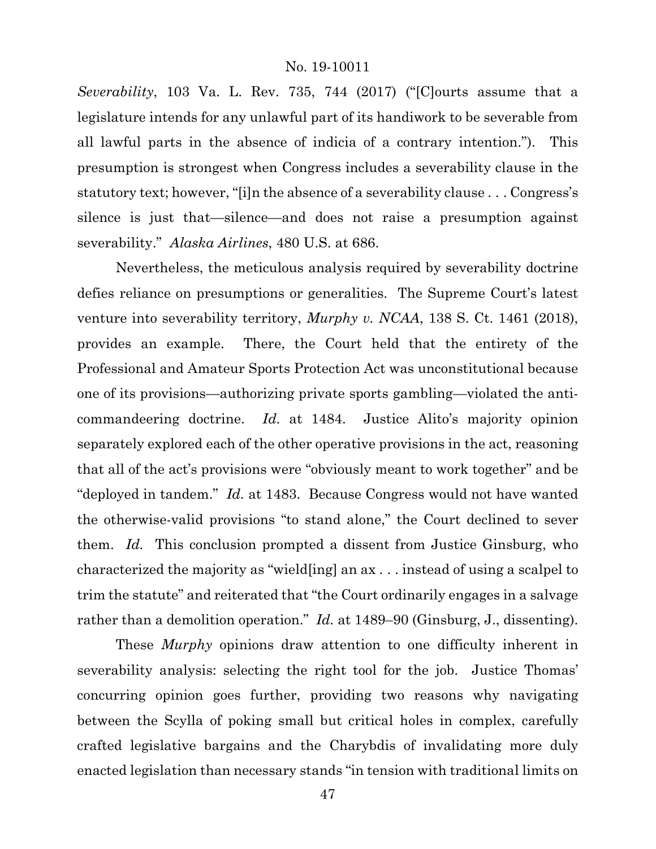*Severability*, 103 Va. L. Rev. 735, 744 (2017) ("[C]ourts assume that a legislature intends for any unlawful part of its handiwork to be severable from all lawful parts in the absence of indicia of a contrary intention."). This presumption is strongest when Congress includes a severability clause in the statutory text; however, "[i]n the absence of a severability clause . . . Congress's silence is just that—silence—and does not raise a presumption against severability." *Alaska Airlines*, 480 U.S. at 686.

Nevertheless, the meticulous analysis required by severability doctrine defies reliance on presumptions or generalities. The Supreme Court's latest venture into severability territory, *Murphy v. NCAA*, 138 S. Ct. 1461 (2018), provides an example. There, the Court held that the entirety of the Professional and Amateur Sports Protection Act was unconstitutional because one of its provisions—authorizing private sports gambling—violated the anticommandeering doctrine. *Id.* at 1484. Justice Alito's majority opinion separately explored each of the other operative provisions in the act, reasoning that all of the act's provisions were "obviously meant to work together" and be "deployed in tandem." *Id.* at 1483. Because Congress would not have wanted the otherwise-valid provisions "to stand alone," the Court declined to sever them. *Id.* This conclusion prompted a dissent from Justice Ginsburg, who characterized the majority as "wield[ing] an ax . . . instead of using a scalpel to trim the statute" and reiterated that "the Court ordinarily engages in a salvage rather than a demolition operation." *Id.* at 1489–90 (Ginsburg, J., dissenting).

These *Murphy* opinions draw attention to one difficulty inherent in severability analysis: selecting the right tool for the job. Justice Thomas' concurring opinion goes further, providing two reasons why navigating between the Scylla of poking small but critical holes in complex, carefully crafted legislative bargains and the Charybdis of invalidating more duly enacted legislation than necessary stands "in tension with traditional limits on

47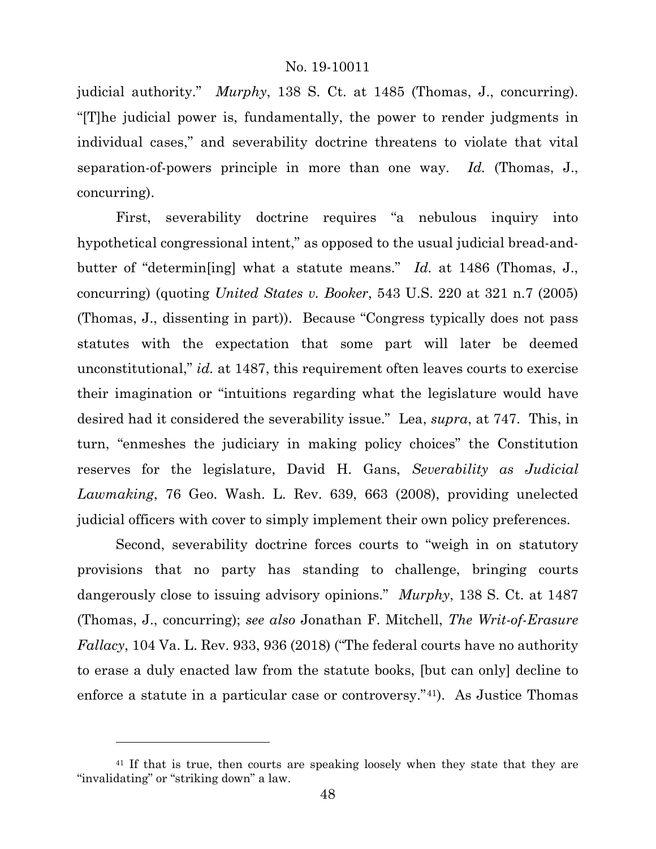judicial authority." *Murphy*, 138 S. Ct. at 1485 (Thomas, J., concurring). "[T]he judicial power is, fundamentally, the power to render judgments in individual cases," and severability doctrine threatens to violate that vital separation-of-powers principle in more than one way. *Id.* (Thomas, J., concurring).

First, severability doctrine requires "a nebulous inquiry into hypothetical congressional intent," as opposed to the usual judicial bread-andbutter of "determin[ing] what a statute means." *Id.* at 1486 (Thomas, J., concurring) (quoting *United States v. Booker*, 543 U.S. 220 at 321 n.7 (2005) (Thomas, J., dissenting in part)). Because "Congress typically does not pass statutes with the expectation that some part will later be deemed unconstitutional," *id.* at 1487, this requirement often leaves courts to exercise their imagination or "intuitions regarding what the legislature would have desired had it considered the severability issue." Lea, *supra*, at 747. This, in turn, "enmeshes the judiciary in making policy choices" the Constitution reserves for the legislature, David H. Gans, *Severability as Judicial Lawmaking*, 76 Geo. Wash. L. Rev. 639, 663 (2008), providing unelected judicial officers with cover to simply implement their own policy preferences.

Second, severability doctrine forces courts to "weigh in on statutory provisions that no party has standing to challenge, bringing courts dangerously close to issuing advisory opinions." *Murphy*, 138 S. Ct. at 1487 (Thomas, J., concurring); *see also* Jonathan F. Mitchell, *The Writ-of-Erasure Fallacy*, 104 Va. L. Rev. 933, 936 (2018) ("The federal courts have no authority to erase a duly enacted law from the statute books, [but can only] decline to enforce a statute in a particular case or controversy."[41\)](#page-47-0). As Justice Thomas

l

<span id="page-47-0"></span><sup>&</sup>lt;sup>41</sup> If that is true, then courts are speaking loosely when they state that they are "invalidating" or "striking down" a law.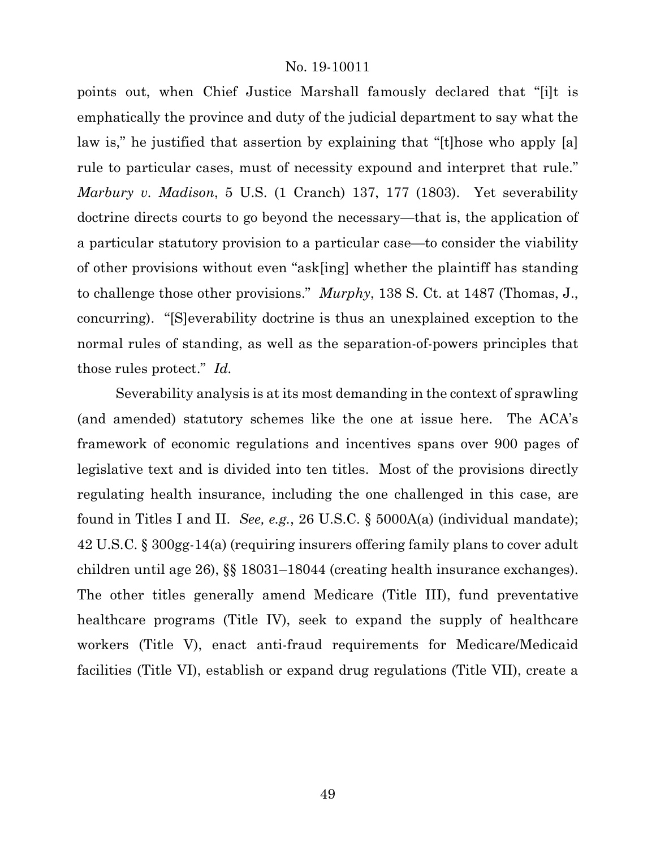points out, when Chief Justice Marshall famously declared that "[i]t is emphatically the province and duty of the judicial department to say what the law is," he justified that assertion by explaining that "[t]hose who apply [a] rule to particular cases, must of necessity expound and interpret that rule." *Marbury v. Madison*, 5 U.S. (1 Cranch) 137, 177 (1803). Yet severability doctrine directs courts to go beyond the necessary—that is, the application of a particular statutory provision to a particular case—to consider the viability of other provisions without even "ask[ing] whether the plaintiff has standing to challenge those other provisions." *Murphy*, 138 S. Ct. at 1487 (Thomas, J., concurring). "[S]everability doctrine is thus an unexplained exception to the normal rules of standing, as well as the separation-of-powers principles that those rules protect." *Id.*

Severability analysis is at its most demanding in the context of sprawling (and amended) statutory schemes like the one at issue here. The ACA's framework of economic regulations and incentives spans over 900 pages of legislative text and is divided into ten titles. Most of the provisions directly regulating health insurance, including the one challenged in this case, are found in Titles I and II. *See, e.g.*, 26 U.S.C. § 5000A(a) (individual mandate); 42 U.S.C. § 300gg-14(a) (requiring insurers offering family plans to cover adult children until age 26), §§ 18031–18044 (creating health insurance exchanges). The other titles generally amend Medicare (Title III), fund preventative healthcare programs (Title IV), seek to expand the supply of healthcare workers (Title V), enact anti-fraud requirements for Medicare/Medicaid facilities (Title VI), establish or expand drug regulations (Title VII), create a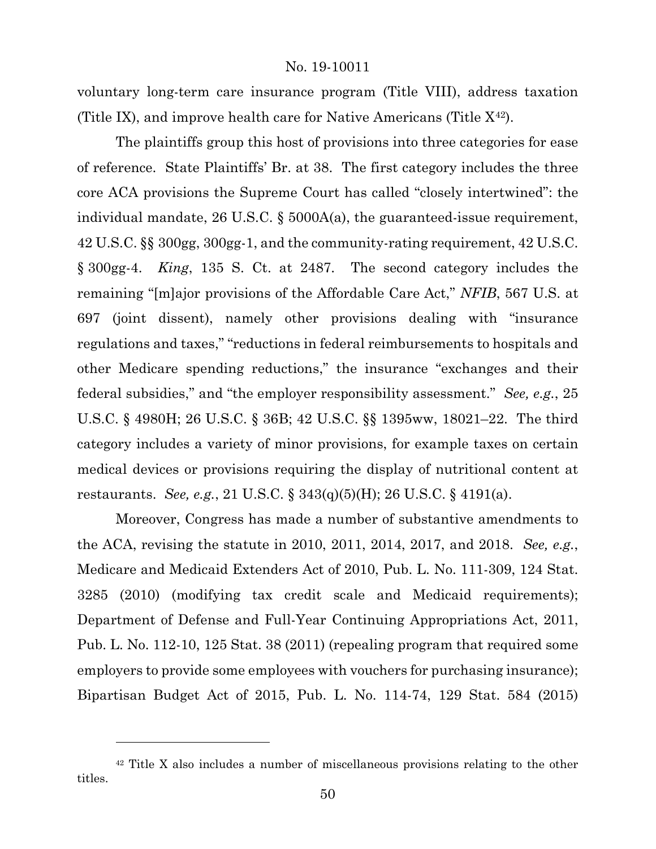voluntary long-term care insurance program (Title VIII), address taxation (Title IX), and improve health care for Native Americans (Title  $X^{42}$ ).

The plaintiffs group this host of provisions into three categories for ease of reference. State Plaintiffs' Br. at 38. The first category includes the three core ACA provisions the Supreme Court has called "closely intertwined": the individual mandate, 26 U.S.C. § 5000A(a), the guaranteed-issue requirement, 42 U.S.C. §§ 300gg, 300gg-1, and the community-rating requirement, 42 U.S.C. § 300gg-4. *King*, 135 S. Ct. at 2487. The second category includes the remaining "[m]ajor provisions of the Affordable Care Act," *NFIB*, 567 U.S. at 697 (joint dissent), namely other provisions dealing with "insurance regulations and taxes," "reductions in federal reimbursements to hospitals and other Medicare spending reductions," the insurance "exchanges and their federal subsidies," and "the employer responsibility assessment." *See, e.g.*, 25 U.S.C. § 4980H; 26 U.S.C. § 36B; 42 U.S.C. §§ 1395ww, 18021–22. The third category includes a variety of minor provisions, for example taxes on certain medical devices or provisions requiring the display of nutritional content at restaurants. *See, e.g.*, 21 U.S.C. § 343(q)(5)(H); 26 U.S.C. § 4191(a).

Moreover, Congress has made a number of substantive amendments to the ACA, revising the statute in 2010, 2011, 2014, 2017, and 2018. *See, e.g.*, Medicare and Medicaid Extenders Act of 2010, Pub. L. No. 111-309, 124 Stat. 3285 (2010) (modifying tax credit scale and Medicaid requirements); Department of Defense and Full-Year Continuing Appropriations Act, 2011, Pub. L. No. 112-10, 125 Stat. 38 (2011) (repealing program that required some employers to provide some employees with vouchers for purchasing insurance); Bipartisan Budget Act of 2015, Pub. L. No. 114-74, 129 Stat. 584 (2015)

l

<span id="page-49-0"></span><sup>42</sup> Title X also includes a number of miscellaneous provisions relating to the other titles.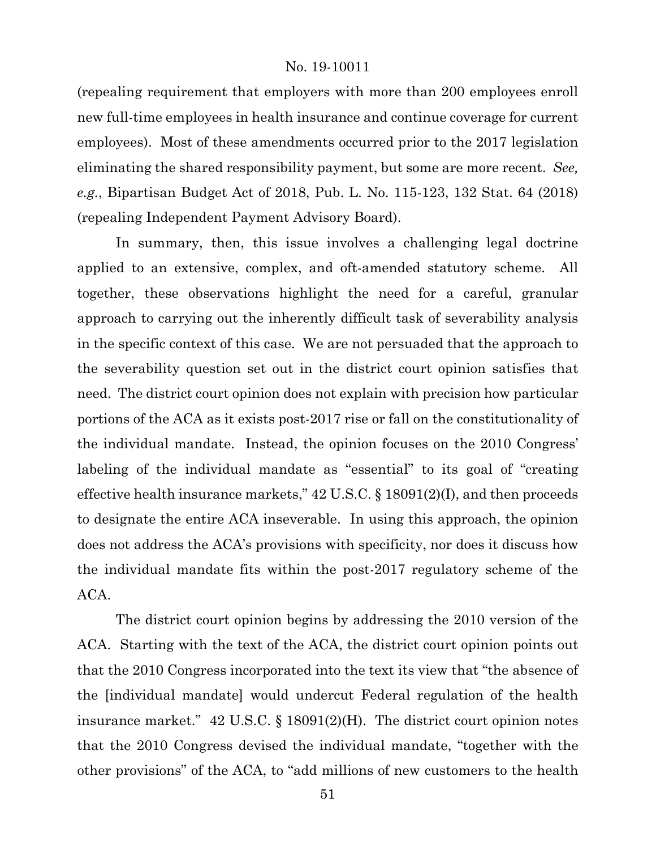(repealing requirement that employers with more than 200 employees enroll new full-time employees in health insurance and continue coverage for current employees). Most of these amendments occurred prior to the 2017 legislation eliminating the shared responsibility payment, but some are more recent. *See, e.g.*, Bipartisan Budget Act of 2018, Pub. L. No. 115-123, 132 Stat. 64 (2018) (repealing Independent Payment Advisory Board).

In summary, then, this issue involves a challenging legal doctrine applied to an extensive, complex, and oft-amended statutory scheme. All together, these observations highlight the need for a careful, granular approach to carrying out the inherently difficult task of severability analysis in the specific context of this case. We are not persuaded that the approach to the severability question set out in the district court opinion satisfies that need. The district court opinion does not explain with precision how particular portions of the ACA as it exists post-2017 rise or fall on the constitutionality of the individual mandate. Instead, the opinion focuses on the 2010 Congress' labeling of the individual mandate as "essential" to its goal of "creating effective health insurance markets," 42 U.S.C. § 18091(2)(I), and then proceeds to designate the entire ACA inseverable. In using this approach, the opinion does not address the ACA's provisions with specificity, nor does it discuss how the individual mandate fits within the post-2017 regulatory scheme of the ACA.

The district court opinion begins by addressing the 2010 version of the ACA. Starting with the text of the ACA, the district court opinion points out that the 2010 Congress incorporated into the text its view that "the absence of the [individual mandate] would undercut Federal regulation of the health insurance market." 42 U.S.C. § 18091(2)(H). The district court opinion notes that the 2010 Congress devised the individual mandate, "together with the other provisions" of the ACA, to "add millions of new customers to the health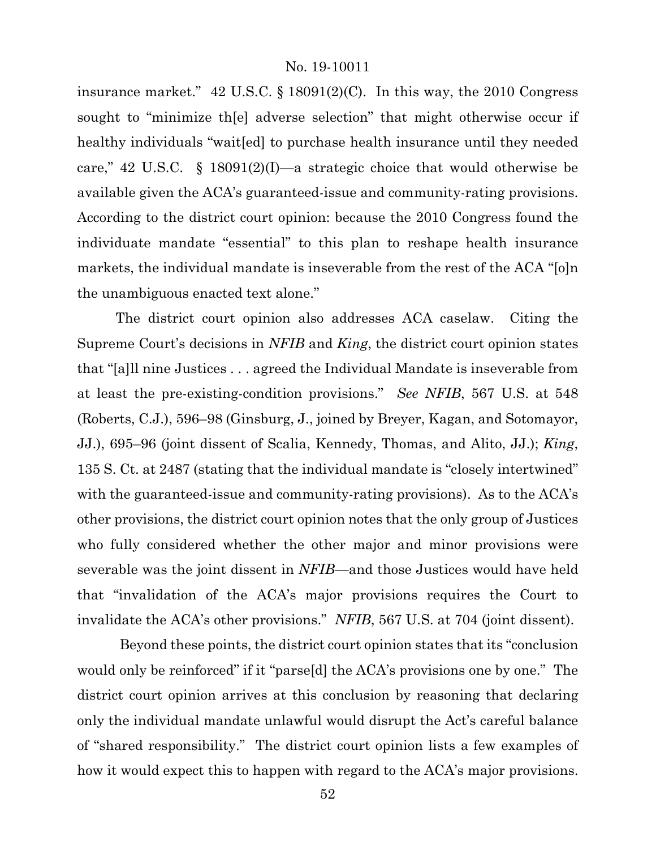insurance market."  $42 \text{ U.S.C.}$  §  $18091(2)(\text{C})$ . In this way, the 2010 Congress sought to "minimize th[e] adverse selection" that might otherwise occur if healthy individuals "wait [ed] to purchase health insurance until they needed care," 42 U.S.C. § 18091(2)(I)—a strategic choice that would otherwise be available given the ACA's guaranteed-issue and community-rating provisions. According to the district court opinion: because the 2010 Congress found the individuate mandate "essential" to this plan to reshape health insurance markets, the individual mandate is inseverable from the rest of the ACA "[o]n the unambiguous enacted text alone."

The district court opinion also addresses ACA caselaw. Citing the Supreme Court's decisions in *NFIB* and *King*, the district court opinion states that "[a]ll nine Justices . . . agreed the Individual Mandate is inseverable from at least the pre-existing-condition provisions." *See NFIB*, 567 U.S. at 548 (Roberts, C.J.), 596–98 (Ginsburg, J., joined by Breyer, Kagan, and Sotomayor, JJ.), 695–96 (joint dissent of Scalia, Kennedy, Thomas, and Alito, JJ.); *King*, 135 S. Ct. at 2487 (stating that the individual mandate is "closely intertwined" with the guaranteed-issue and community-rating provisions). As to the ACA's other provisions, the district court opinion notes that the only group of Justices who fully considered whether the other major and minor provisions were severable was the joint dissent in *NFIB*—and those Justices would have held that "invalidation of the ACA's major provisions requires the Court to invalidate the ACA's other provisions." *NFIB*, 567 U.S. at 704 (joint dissent).

Beyond these points, the district court opinion states that its "conclusion would only be reinforced" if it "parse<sup>[d]</sup> the ACA's provisions one by one." The district court opinion arrives at this conclusion by reasoning that declaring only the individual mandate unlawful would disrupt the Act's careful balance of "shared responsibility." The district court opinion lists a few examples of how it would expect this to happen with regard to the ACA's major provisions.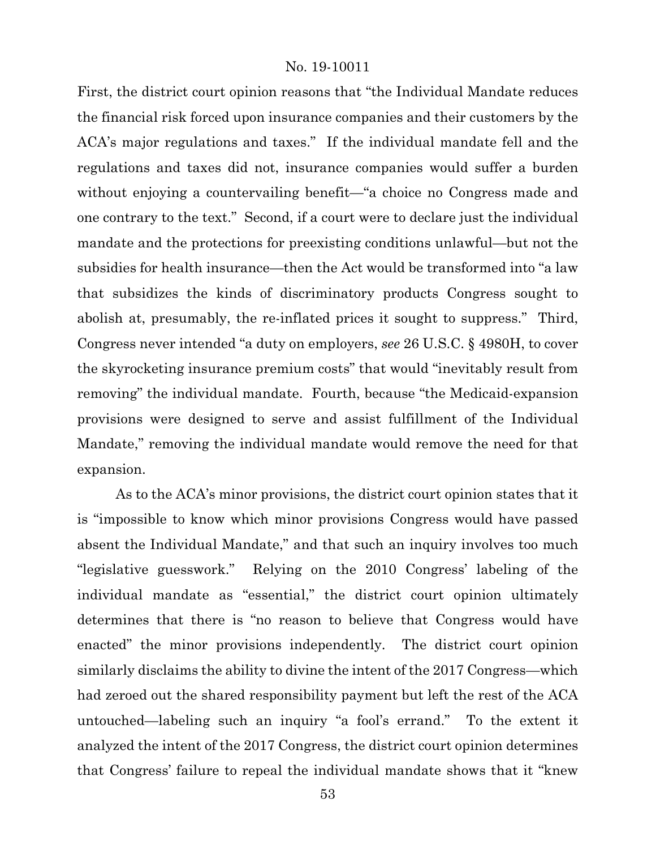First, the district court opinion reasons that "the Individual Mandate reduces the financial risk forced upon insurance companies and their customers by the ACA's major regulations and taxes." If the individual mandate fell and the regulations and taxes did not, insurance companies would suffer a burden without enjoying a countervailing benefit—"a choice no Congress made and one contrary to the text." Second, if a court were to declare just the individual mandate and the protections for preexisting conditions unlawful—but not the subsidies for health insurance—then the Act would be transformed into "a law that subsidizes the kinds of discriminatory products Congress sought to abolish at, presumably, the re-inflated prices it sought to suppress." Third, Congress never intended "a duty on employers, *see* 26 U.S.C. § 4980H, to cover the skyrocketing insurance premium costs" that would "inevitably result from removing" the individual mandate. Fourth, because "the Medicaid-expansion provisions were designed to serve and assist fulfillment of the Individual Mandate," removing the individual mandate would remove the need for that expansion.

As to the ACA's minor provisions, the district court opinion states that it is "impossible to know which minor provisions Congress would have passed absent the Individual Mandate," and that such an inquiry involves too much "legislative guesswork." Relying on the 2010 Congress' labeling of the individual mandate as "essential," the district court opinion ultimately determines that there is "no reason to believe that Congress would have enacted" the minor provisions independently. The district court opinion similarly disclaims the ability to divine the intent of the 2017 Congress—which had zeroed out the shared responsibility payment but left the rest of the ACA untouched—labeling such an inquiry "a fool's errand." To the extent it analyzed the intent of the 2017 Congress, the district court opinion determines that Congress' failure to repeal the individual mandate shows that it "knew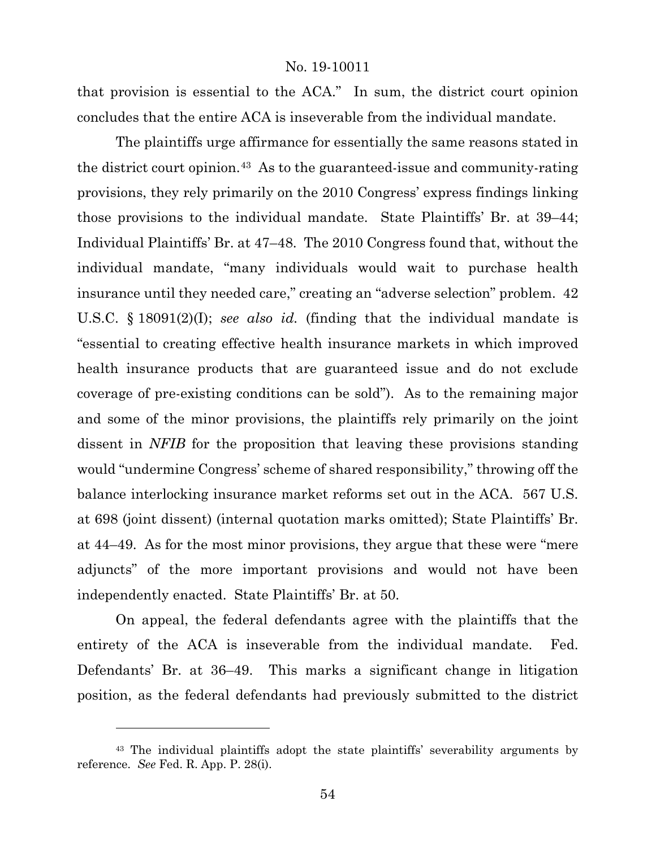that provision is essential to the ACA." In sum, the district court opinion concludes that the entire ACA is inseverable from the individual mandate.

The plaintiffs urge affirmance for essentially the same reasons stated in the district court opinion.[43](#page-53-0) As to the guaranteed-issue and community-rating provisions, they rely primarily on the 2010 Congress' express findings linking those provisions to the individual mandate. State Plaintiffs' Br. at 39–44; Individual Plaintiffs' Br. at 47–48. The 2010 Congress found that, without the individual mandate, "many individuals would wait to purchase health insurance until they needed care," creating an "adverse selection" problem. 42 U.S.C. § 18091(2)(I); *see also id.* (finding that the individual mandate is "essential to creating effective health insurance markets in which improved health insurance products that are guaranteed issue and do not exclude coverage of pre-existing conditions can be sold"). As to the remaining major and some of the minor provisions, the plaintiffs rely primarily on the joint dissent in *NFIB* for the proposition that leaving these provisions standing would "undermine Congress' scheme of shared responsibility," throwing off the balance interlocking insurance market reforms set out in the ACA. 567 U.S. at 698 (joint dissent) (internal quotation marks omitted); State Plaintiffs' Br. at 44–49. As for the most minor provisions, they argue that these were "mere adjuncts" of the more important provisions and would not have been independently enacted. State Plaintiffs' Br. at 50.

On appeal, the federal defendants agree with the plaintiffs that the entirety of the ACA is inseverable from the individual mandate. Fed. Defendants' Br. at 36–49. This marks a significant change in litigation position, as the federal defendants had previously submitted to the district

<span id="page-53-0"></span><sup>43</sup> The individual plaintiffs adopt the state plaintiffs' severability arguments by reference. *See* Fed. R. App. P. 28(i).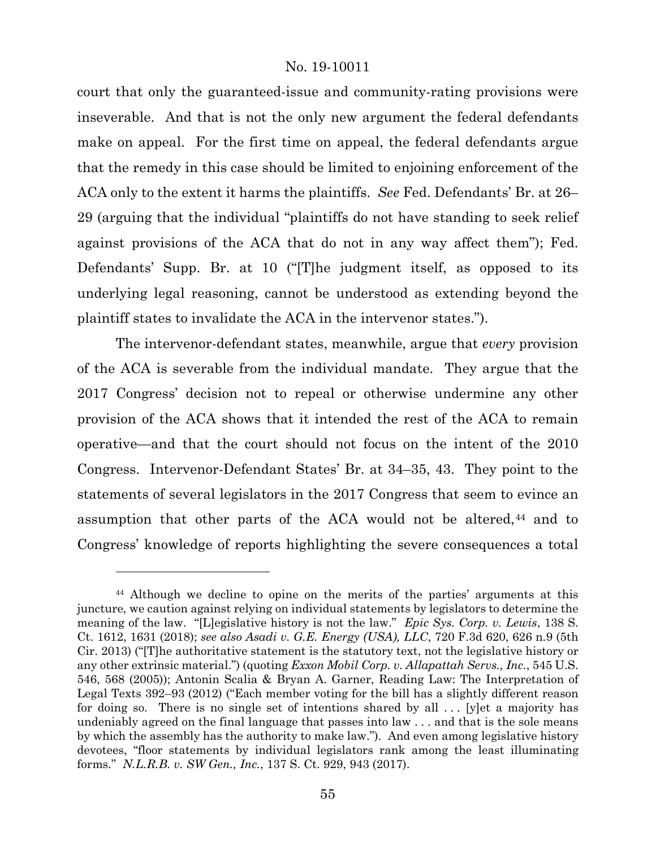court that only the guaranteed-issue and community-rating provisions were inseverable. And that is not the only new argument the federal defendants make on appeal. For the first time on appeal, the federal defendants argue that the remedy in this case should be limited to enjoining enforcement of the ACA only to the extent it harms the plaintiffs. *See* Fed. Defendants' Br. at 26– 29 (arguing that the individual "plaintiffs do not have standing to seek relief against provisions of the ACA that do not in any way affect them"); Fed. Defendants' Supp. Br. at 10 ("[T]he judgment itself, as opposed to its underlying legal reasoning, cannot be understood as extending beyond the plaintiff states to invalidate the ACA in the intervenor states.").

The intervenor-defendant states, meanwhile, argue that *every* provision of the ACA is severable from the individual mandate. They argue that the 2017 Congress' decision not to repeal or otherwise undermine any other provision of the ACA shows that it intended the rest of the ACA to remain operative—and that the court should not focus on the intent of the 2010 Congress. Intervenor-Defendant States' Br. at 34–35, 43. They point to the statements of several legislators in the 2017 Congress that seem to evince an assumption that other parts of the ACA would not be altered,<sup>[44](#page-54-0)</sup> and to Congress' knowledge of reports highlighting the severe consequences a total

<span id="page-54-0"></span><sup>44</sup> Although we decline to opine on the merits of the parties' arguments at this juncture, we caution against relying on individual statements by legislators to determine the meaning of the law. "[L]egislative history is not the law." *Epic Sys. Corp. v. Lewis*, 138 S. Ct. 1612, 1631 (2018); *see also Asadi v. G.E. Energy (USA), LLC*, 720 F.3d 620, 626 n.9 (5th Cir. 2013) ("[T]he authoritative statement is the statutory text, not the legislative history or any other extrinsic material.") (quoting *Exxon Mobil Corp. v. Allapattah Servs., Inc.*, 545 U.S. 546, 568 (2005)); Antonin Scalia & Bryan A. Garner, Reading Law: The Interpretation of Legal Texts 392–93 (2012) ("Each member voting for the bill has a slightly different reason for doing so. There is no single set of intentions shared by all  $\ldots$  [y]et a majority has undeniably agreed on the final language that passes into law . . . and that is the sole means by which the assembly has the authority to make law."). And even among legislative history devotees, "floor statements by individual legislators rank among the least illuminating forms." *N.L.R.B. v. SW Gen., Inc.*, 137 S. Ct. 929, 943 (2017).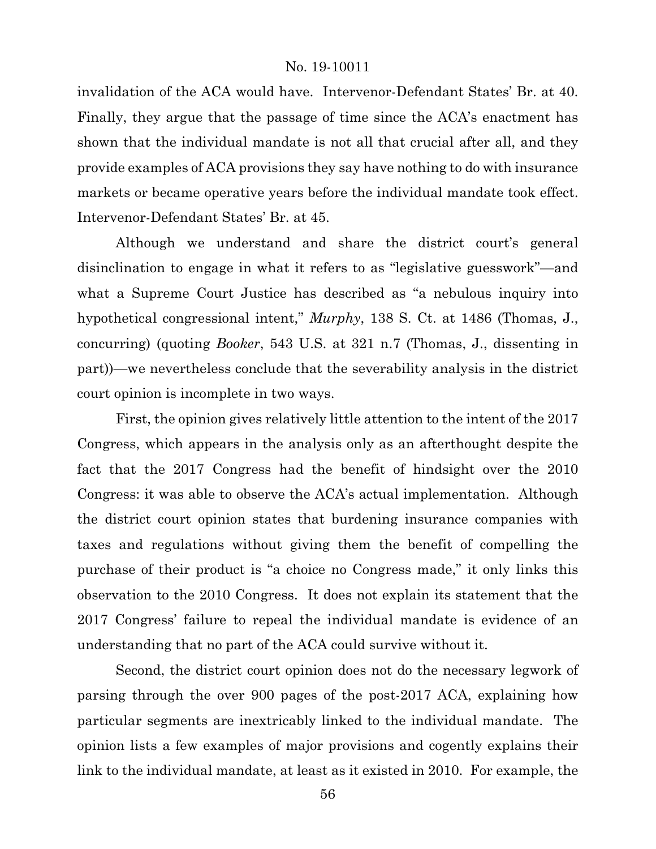invalidation of the ACA would have. Intervenor-Defendant States' Br. at 40. Finally, they argue that the passage of time since the ACA's enactment has shown that the individual mandate is not all that crucial after all, and they provide examples of ACA provisions they say have nothing to do with insurance markets or became operative years before the individual mandate took effect. Intervenor-Defendant States' Br. at 45.

Although we understand and share the district court's general disinclination to engage in what it refers to as "legislative guesswork"—and what a Supreme Court Justice has described as "a nebulous inquiry into hypothetical congressional intent," *Murphy*, 138 S. Ct. at 1486 (Thomas, J., concurring) (quoting *Booker*, 543 U.S. at 321 n.7 (Thomas, J., dissenting in part))—we nevertheless conclude that the severability analysis in the district court opinion is incomplete in two ways.

First, the opinion gives relatively little attention to the intent of the 2017 Congress, which appears in the analysis only as an afterthought despite the fact that the 2017 Congress had the benefit of hindsight over the 2010 Congress: it was able to observe the ACA's actual implementation. Although the district court opinion states that burdening insurance companies with taxes and regulations without giving them the benefit of compelling the purchase of their product is "a choice no Congress made," it only links this observation to the 2010 Congress. It does not explain its statement that the 2017 Congress' failure to repeal the individual mandate is evidence of an understanding that no part of the ACA could survive without it.

Second, the district court opinion does not do the necessary legwork of parsing through the over 900 pages of the post-2017 ACA, explaining how particular segments are inextricably linked to the individual mandate. The opinion lists a few examples of major provisions and cogently explains their link to the individual mandate, at least as it existed in 2010. For example, the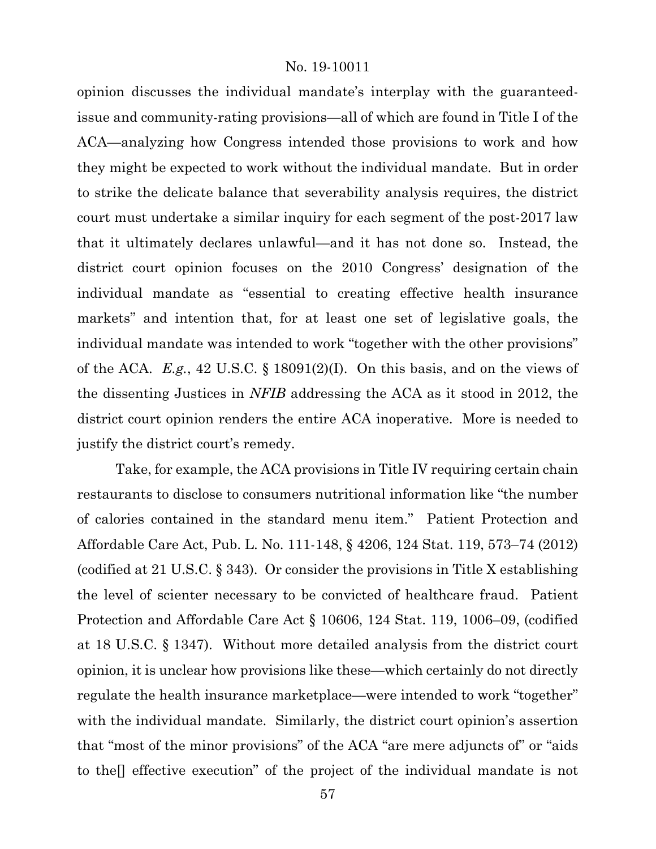opinion discusses the individual mandate's interplay with the guaranteedissue and community-rating provisions—all of which are found in Title I of the ACA—analyzing how Congress intended those provisions to work and how they might be expected to work without the individual mandate. But in order to strike the delicate balance that severability analysis requires, the district court must undertake a similar inquiry for each segment of the post-2017 law that it ultimately declares unlawful—and it has not done so. Instead, the district court opinion focuses on the 2010 Congress' designation of the individual mandate as "essential to creating effective health insurance markets" and intention that, for at least one set of legislative goals, the individual mandate was intended to work "together with the other provisions" of the ACA. *E.g.*, 42 U.S.C. § 18091(2)(I). On this basis, and on the views of the dissenting Justices in *NFIB* addressing the ACA as it stood in 2012, the district court opinion renders the entire ACA inoperative. More is needed to justify the district court's remedy.

Take, for example, the ACA provisions in Title IV requiring certain chain restaurants to disclose to consumers nutritional information like "the number of calories contained in the standard menu item." Patient Protection and Affordable Care Act, Pub. L. No. 111-148, § 4206, 124 Stat. 119, 573–74 (2012) (codified at 21 U.S.C. § 343). Or consider the provisions in Title X establishing the level of scienter necessary to be convicted of healthcare fraud. Patient Protection and Affordable Care Act § 10606, 124 Stat. 119, 1006–09, (codified at 18 U.S.C. § 1347). Without more detailed analysis from the district court opinion, it is unclear how provisions like these—which certainly do not directly regulate the health insurance marketplace—were intended to work "together" with the individual mandate. Similarly, the district court opinion's assertion that "most of the minor provisions" of the ACA "are mere adjuncts of" or "aids to the[] effective execution" of the project of the individual mandate is not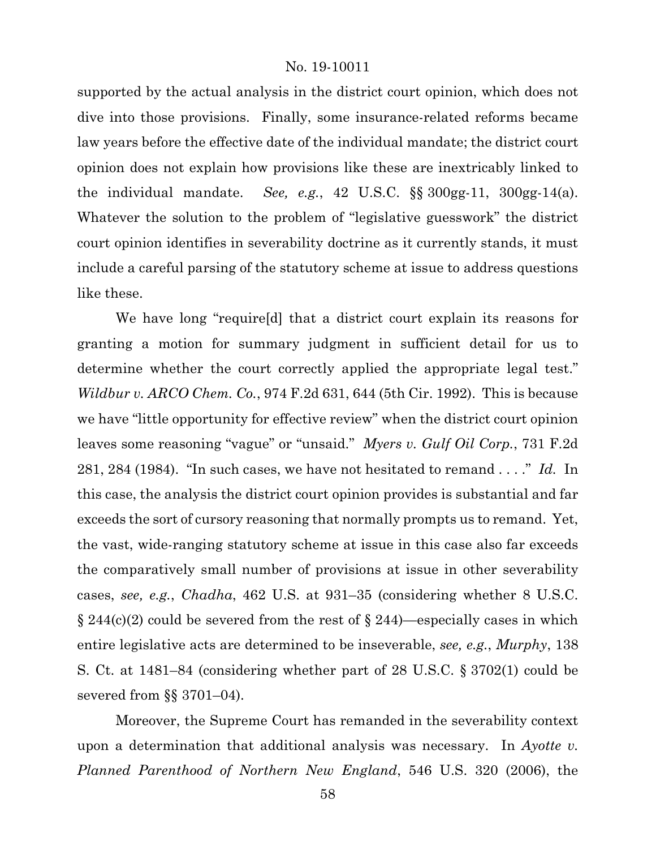supported by the actual analysis in the district court opinion, which does not dive into those provisions. Finally, some insurance-related reforms became law years before the effective date of the individual mandate; the district court opinion does not explain how provisions like these are inextricably linked to the individual mandate. *See, e.g.*, 42 U.S.C. §§ 300gg-11, 300gg-14(a). Whatever the solution to the problem of "legislative guesswork" the district court opinion identifies in severability doctrine as it currently stands, it must include a careful parsing of the statutory scheme at issue to address questions like these.

We have long "require[d] that a district court explain its reasons for granting a motion for summary judgment in sufficient detail for us to determine whether the court correctly applied the appropriate legal test." *Wildbur v. ARCO Chem. Co.*, 974 F.2d 631, 644 (5th Cir. 1992). This is because we have "little opportunity for effective review" when the district court opinion leaves some reasoning "vague" or "unsaid." *Myers v. Gulf Oil Corp.*, 731 F.2d 281, 284 (1984). "In such cases, we have not hesitated to remand . . . ." *Id.* In this case, the analysis the district court opinion provides is substantial and far exceeds the sort of cursory reasoning that normally prompts us to remand. Yet, the vast, wide-ranging statutory scheme at issue in this case also far exceeds the comparatively small number of provisions at issue in other severability cases, *see, e.g.*, *Chadha*, 462 U.S. at 931–35 (considering whether 8 U.S.C.  $\S 244(c)(2)$  could be severed from the rest of  $\S 244$ )—especially cases in which entire legislative acts are determined to be inseverable, *see, e.g.*, *Murphy*, 138 S. Ct. at 1481–84 (considering whether part of 28 U.S.C. § 3702(1) could be severed from §§ 3701–04).

Moreover, the Supreme Court has remanded in the severability context upon a determination that additional analysis was necessary. In *Ayotte v. Planned Parenthood of Northern New England*, 546 U.S. 320 (2006), the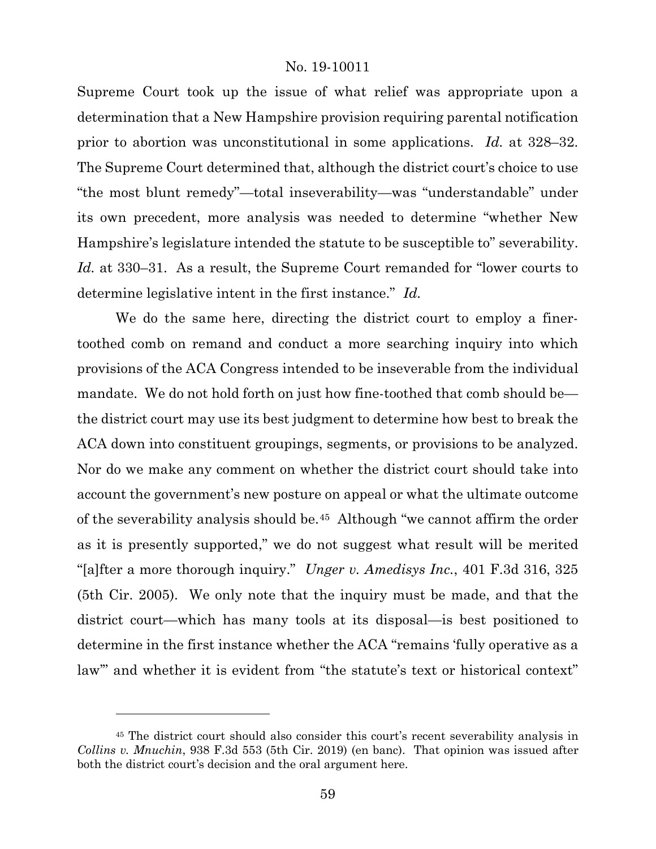Supreme Court took up the issue of what relief was appropriate upon a determination that a New Hampshire provision requiring parental notification prior to abortion was unconstitutional in some applications. *Id.* at 328–32. The Supreme Court determined that, although the district court's choice to use "the most blunt remedy"—total inseverability—was "understandable" under its own precedent, more analysis was needed to determine "whether New Hampshire's legislature intended the statute to be susceptible to" severability. *Id.* at 330–31. As a result, the Supreme Court remanded for "lower courts to determine legislative intent in the first instance." *Id.*

We do the same here, directing the district court to employ a finertoothed comb on remand and conduct a more searching inquiry into which provisions of the ACA Congress intended to be inseverable from the individual mandate. We do not hold forth on just how fine-toothed that comb should be the district court may use its best judgment to determine how best to break the ACA down into constituent groupings, segments, or provisions to be analyzed. Nor do we make any comment on whether the district court should take into account the government's new posture on appeal or what the ultimate outcome of the severability analysis should be.[45](#page-58-0) Although "we cannot affirm the order as it is presently supported," we do not suggest what result will be merited "[a]fter a more thorough inquiry." *Unger v. Amedisys Inc.*, 401 F.3d 316, 325 (5th Cir. 2005). We only note that the inquiry must be made, and that the district court—which has many tools at its disposal—is best positioned to determine in the first instance whether the ACA "remains 'fully operative as a law'" and whether it is evident from "the statute's text or historical context"

<span id="page-58-0"></span><sup>45</sup> The district court should also consider this court's recent severability analysis in *Collins v. Mnuchin*, 938 F.3d 553 (5th Cir. 2019) (en banc). That opinion was issued after both the district court's decision and the oral argument here.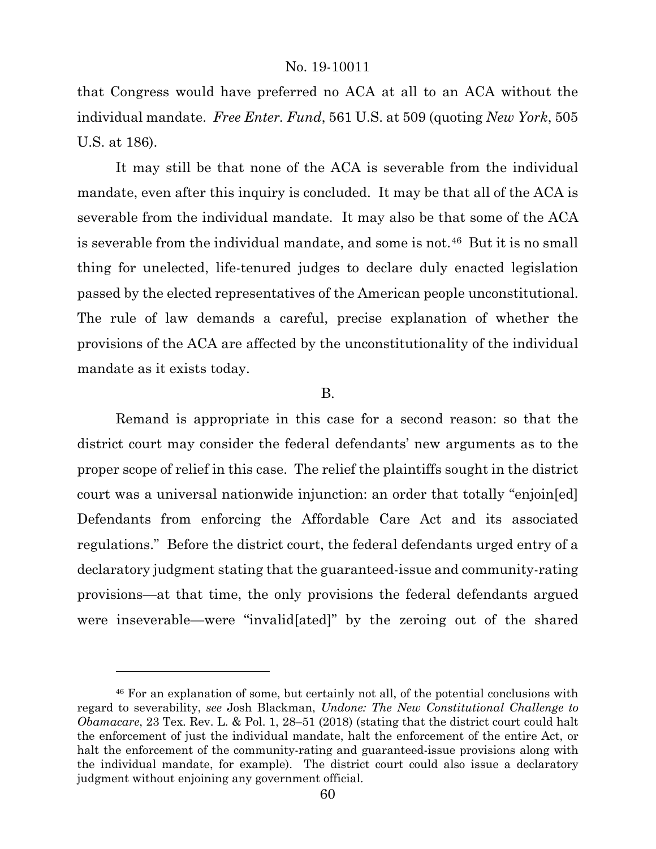that Congress would have preferred no ACA at all to an ACA without the individual mandate. *Free Enter. Fund*, 561 U.S. at 509 (quoting *New York*, 505 U.S. at 186).

It may still be that none of the ACA is severable from the individual mandate, even after this inquiry is concluded. It may be that all of the ACA is severable from the individual mandate. It may also be that some of the ACA is severable from the individual mandate, and some is not.<sup>46</sup> But it is no small thing for unelected, life-tenured judges to declare duly enacted legislation passed by the elected representatives of the American people unconstitutional. The rule of law demands a careful, precise explanation of whether the provisions of the ACA are affected by the unconstitutionality of the individual mandate as it exists today.

#### B.

Remand is appropriate in this case for a second reason: so that the district court may consider the federal defendants' new arguments as to the proper scope of relief in this case. The relief the plaintiffs sought in the district court was a universal nationwide injunction: an order that totally "enjoin[ed] Defendants from enforcing the Affordable Care Act and its associated regulations." Before the district court, the federal defendants urged entry of a declaratory judgment stating that the guaranteed-issue and community-rating provisions—at that time, the only provisions the federal defendants argued were inseverable—were "invalid[ated]" by the zeroing out of the shared

<span id="page-59-0"></span><sup>46</sup> For an explanation of some, but certainly not all, of the potential conclusions with regard to severability, *see* Josh Blackman, *Undone: The New Constitutional Challenge to Obamacare*, 23 Tex. Rev. L. & Pol. 1, 28–51 (2018) (stating that the district court could halt the enforcement of just the individual mandate, halt the enforcement of the entire Act, or halt the enforcement of the community-rating and guaranteed-issue provisions along with the individual mandate, for example). The district court could also issue a declaratory judgment without enjoining any government official.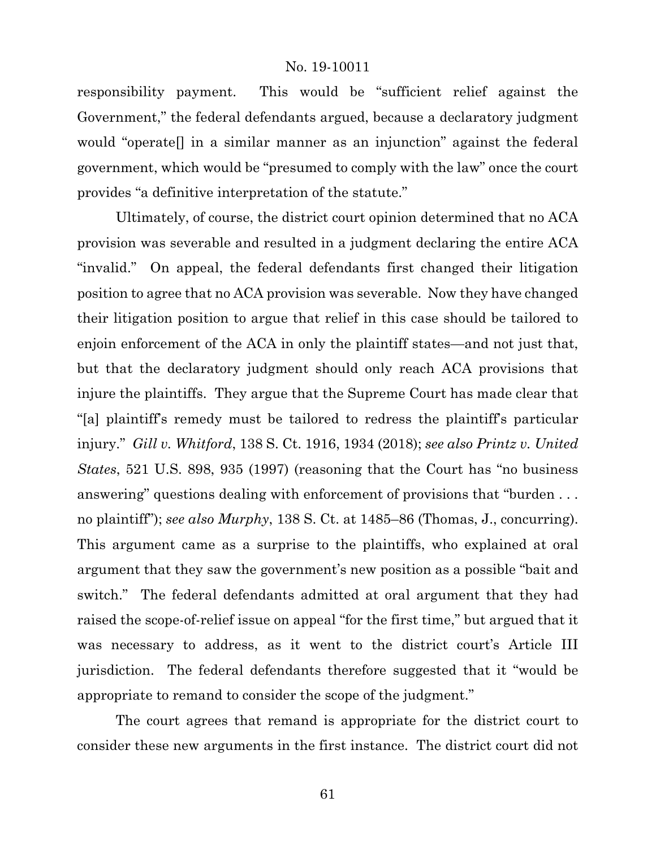responsibility payment. This would be "sufficient relief against the Government," the federal defendants argued, because a declaratory judgment would "operate[] in a similar manner as an injunction" against the federal government, which would be "presumed to comply with the law" once the court provides "a definitive interpretation of the statute."

Ultimately, of course, the district court opinion determined that no ACA provision was severable and resulted in a judgment declaring the entire ACA "invalid." On appeal, the federal defendants first changed their litigation position to agree that no ACA provision was severable. Now they have changed their litigation position to argue that relief in this case should be tailored to enjoin enforcement of the ACA in only the plaintiff states—and not just that, but that the declaratory judgment should only reach ACA provisions that injure the plaintiffs. They argue that the Supreme Court has made clear that "[a] plaintiff's remedy must be tailored to redress the plaintiff's particular injury." *Gill v. Whitford*, 138 S. Ct. 1916, 1934 (2018); *see also Printz v. United States*, 521 U.S. 898, 935 (1997) (reasoning that the Court has "no business answering" questions dealing with enforcement of provisions that "burden ... no plaintiff"); *see also Murphy*, 138 S. Ct. at 1485–86 (Thomas, J., concurring). This argument came as a surprise to the plaintiffs, who explained at oral argument that they saw the government's new position as a possible "bait and switch." The federal defendants admitted at oral argument that they had raised the scope-of-relief issue on appeal "for the first time," but argued that it was necessary to address, as it went to the district court's Article III jurisdiction. The federal defendants therefore suggested that it "would be appropriate to remand to consider the scope of the judgment."

The court agrees that remand is appropriate for the district court to consider these new arguments in the first instance. The district court did not

61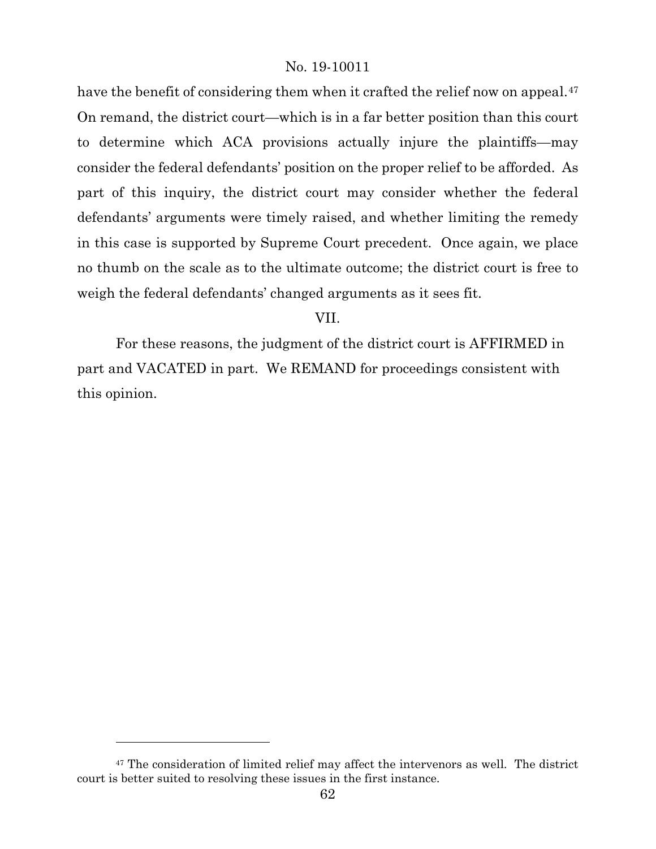have the benefit of considering them when it crafted the relief now on appeal.<sup>[47](#page-61-0)</sup> On remand, the district court—which is in a far better position than this court to determine which ACA provisions actually injure the plaintiffs—may consider the federal defendants' position on the proper relief to be afforded. As part of this inquiry, the district court may consider whether the federal defendants' arguments were timely raised, and whether limiting the remedy in this case is supported by Supreme Court precedent. Once again, we place no thumb on the scale as to the ultimate outcome; the district court is free to weigh the federal defendants' changed arguments as it sees fit.

VII.

For these reasons, the judgment of the district court is AFFIRMED in part and VACATED in part. We REMAND for proceedings consistent with this opinion.

l

<span id="page-61-0"></span> $47$  The consideration of limited relief may affect the intervenors as well. The district court is better suited to resolving these issues in the first instance.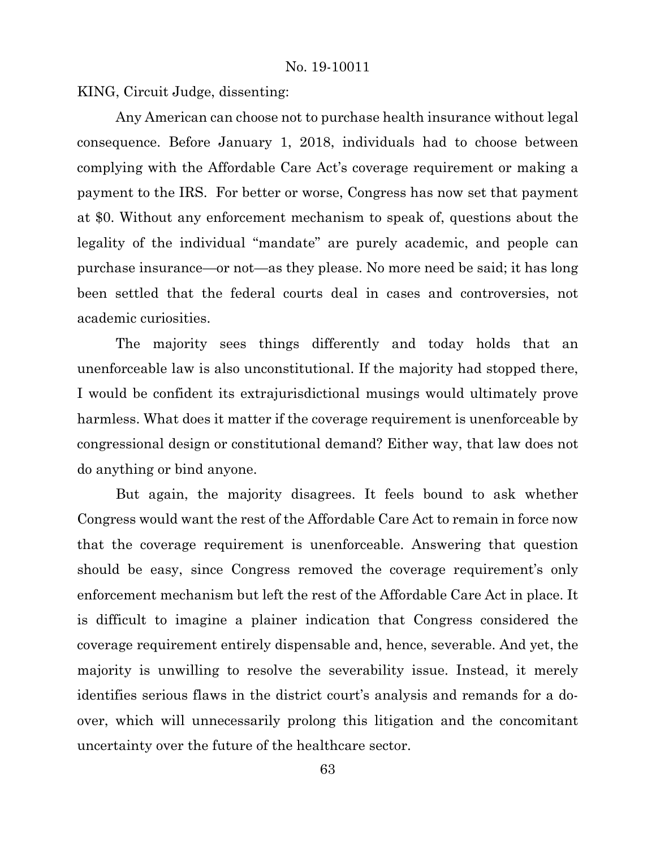KING, Circuit Judge, dissenting:

Any American can choose not to purchase health insurance without legal consequence. Before January 1, 2018, individuals had to choose between complying with the Affordable Care Act's coverage requirement or making a payment to the IRS. For better or worse, Congress has now set that payment at \$0. Without any enforcement mechanism to speak of, questions about the legality of the individual "mandate" are purely academic, and people can purchase insurance—or not—as they please. No more need be said; it has long been settled that the federal courts deal in cases and controversies, not academic curiosities.

The majority sees things differently and today holds that an unenforceable law is also unconstitutional. If the majority had stopped there, I would be confident its extrajurisdictional musings would ultimately prove harmless. What does it matter if the coverage requirement is unenforceable by congressional design or constitutional demand? Either way, that law does not do anything or bind anyone.

But again, the majority disagrees. It feels bound to ask whether Congress would want the rest of the Affordable Care Act to remain in force now that the coverage requirement is unenforceable. Answering that question should be easy, since Congress removed the coverage requirement's only enforcement mechanism but left the rest of the Affordable Care Act in place. It is difficult to imagine a plainer indication that Congress considered the coverage requirement entirely dispensable and, hence, severable. And yet, the majority is unwilling to resolve the severability issue. Instead, it merely identifies serious flaws in the district court's analysis and remands for a doover, which will unnecessarily prolong this litigation and the concomitant uncertainty over the future of the healthcare sector.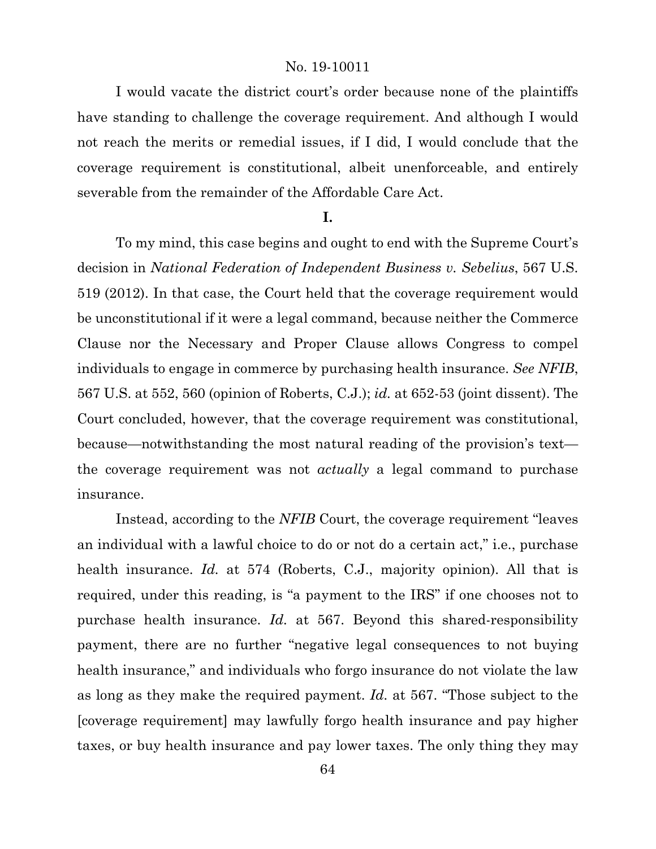I would vacate the district court's order because none of the plaintiffs have standing to challenge the coverage requirement. And although I would not reach the merits or remedial issues, if I did, I would conclude that the coverage requirement is constitutional, albeit unenforceable, and entirely severable from the remainder of the Affordable Care Act.

## **I.**

To my mind, this case begins and ought to end with the Supreme Court's decision in *National Federation of Independent Business v. Sebelius*, 567 U.S. 519 (2012). In that case, the Court held that the coverage requirement would be unconstitutional if it were a legal command, because neither the Commerce Clause nor the Necessary and Proper Clause allows Congress to compel individuals to engage in commerce by purchasing health insurance. *See NFIB*, 567 U.S. at 552, 560 (opinion of Roberts, C.J.); *id.* at 652-53 (joint dissent). The Court concluded, however, that the coverage requirement was constitutional, because—notwithstanding the most natural reading of the provision's text the coverage requirement was not *actually* a legal command to purchase insurance.

Instead, according to the *NFIB* Court, the coverage requirement "leaves an individual with a lawful choice to do or not do a certain act," i.e., purchase health insurance. *Id.* at 574 (Roberts, C.J., majority opinion). All that is required, under this reading, is "a payment to the IRS" if one chooses not to purchase health insurance. *Id.* at 567. Beyond this shared-responsibility payment, there are no further "negative legal consequences to not buying health insurance," and individuals who forgo insurance do not violate the law as long as they make the required payment. *Id.* at 567. "Those subject to the [coverage requirement] may lawfully forgo health insurance and pay higher taxes, or buy health insurance and pay lower taxes. The only thing they may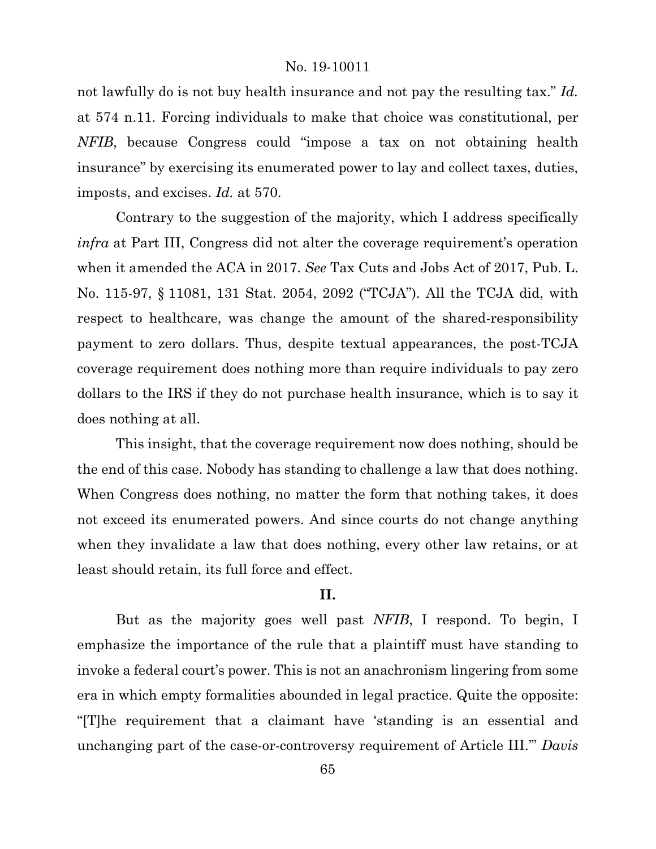not lawfully do is not buy health insurance and not pay the resulting tax." *Id.*  at 574 n.11. Forcing individuals to make that choice was constitutional, per *NFIB*, because Congress could "impose a tax on not obtaining health insurance" by exercising its enumerated power to lay and collect taxes, duties, imposts, and excises. *Id.* at 570.

Contrary to the suggestion of the majority, which I address specifically *infra* at Part III, Congress did not alter the coverage requirement's operation when it amended the ACA in 2017. *See* Tax Cuts and Jobs Act of 2017, Pub. L. No. 115-97, § 11081, 131 Stat. 2054, 2092 ("TCJA"). All the TCJA did, with respect to healthcare, was change the amount of the shared-responsibility payment to zero dollars. Thus, despite textual appearances, the post-TCJA coverage requirement does nothing more than require individuals to pay zero dollars to the IRS if they do not purchase health insurance, which is to say it does nothing at all.

This insight, that the coverage requirement now does nothing, should be the end of this case. Nobody has standing to challenge a law that does nothing. When Congress does nothing, no matter the form that nothing takes, it does not exceed its enumerated powers. And since courts do not change anything when they invalidate a law that does nothing, every other law retains, or at least should retain, its full force and effect.

# **II.**

But as the majority goes well past *NFIB*, I respond. To begin, I emphasize the importance of the rule that a plaintiff must have standing to invoke a federal court's power. This is not an anachronism lingering from some era in which empty formalities abounded in legal practice. Quite the opposite: "[T]he requirement that a claimant have 'standing is an essential and unchanging part of the case-or-controversy requirement of Article III.'" *Davis*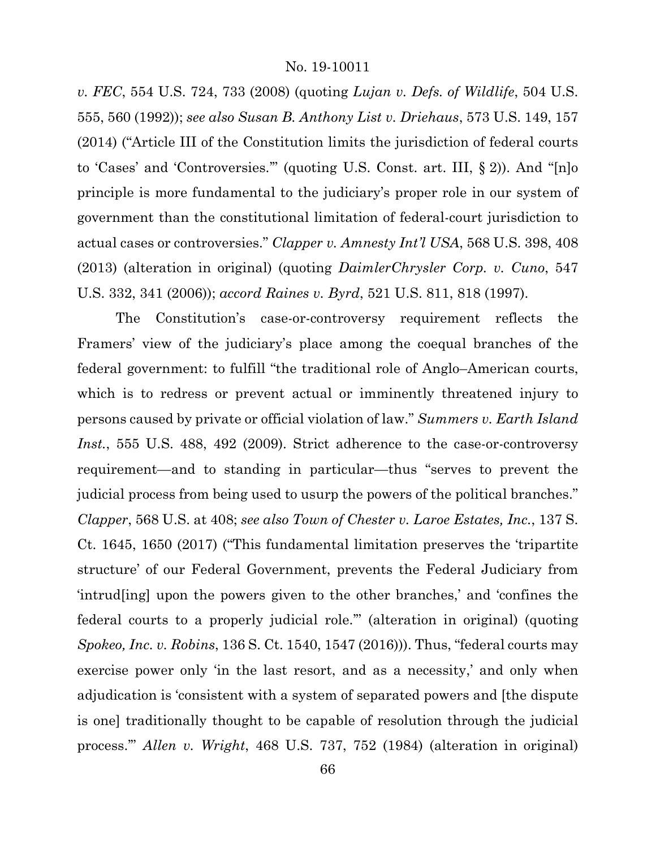*v. FEC*, 554 U.S. 724, 733 (2008) (quoting *Lujan v. Defs. of Wildlife*, 504 U.S. 555, 560 (1992)); *see also Susan B. Anthony List v. Driehaus*, 573 U.S. 149, 157 (2014) ("Article III of the Constitution limits the jurisdiction of federal courts to 'Cases' and 'Controversies.'" (quoting U.S. Const. art. III, § 2)). And "[n]o principle is more fundamental to the judiciary's proper role in our system of government than the constitutional limitation of federal-court jurisdiction to actual cases or controversies." *Clapper v. Amnesty Int'l USA*, 568 U.S. 398, 408 (2013) (alteration in original) (quoting *DaimlerChrysler Corp. v. Cuno*, 547 U.S. 332, 341 (2006)); *accord Raines v. Byrd*, 521 U.S. 811, 818 (1997).

The Constitution's case-or-controversy requirement reflects the Framers' view of the judiciary's place among the coequal branches of the federal government: to fulfill "the traditional role of Anglo–American courts, which is to redress or prevent actual or imminently threatened injury to persons caused by private or official violation of law." *Summers v. Earth Island Inst.*, 555 U.S. 488, 492 (2009). Strict adherence to the case-or-controversy requirement—and to standing in particular—thus "serves to prevent the judicial process from being used to usurp the powers of the political branches." *Clapper*, 568 U.S. at 408; *see also Town of Chester v. Laroe Estates, Inc.*, 137 S. Ct. 1645, 1650 (2017) ("This fundamental limitation preserves the 'tripartite structure' of our Federal Government, prevents the Federal Judiciary from 'intrud[ing] upon the powers given to the other branches,' and 'confines the federal courts to a properly judicial role.'" (alteration in original) (quoting *Spokeo, Inc. v. Robins*, 136 S. Ct. 1540, 1547 (2016))). Thus, "federal courts may exercise power only 'in the last resort, and as a necessity,' and only when adjudication is 'consistent with a system of separated powers and [the dispute is one] traditionally thought to be capable of resolution through the judicial process.'" *Allen v. Wright*, 468 U.S. 737, 752 (1984) (alteration in original)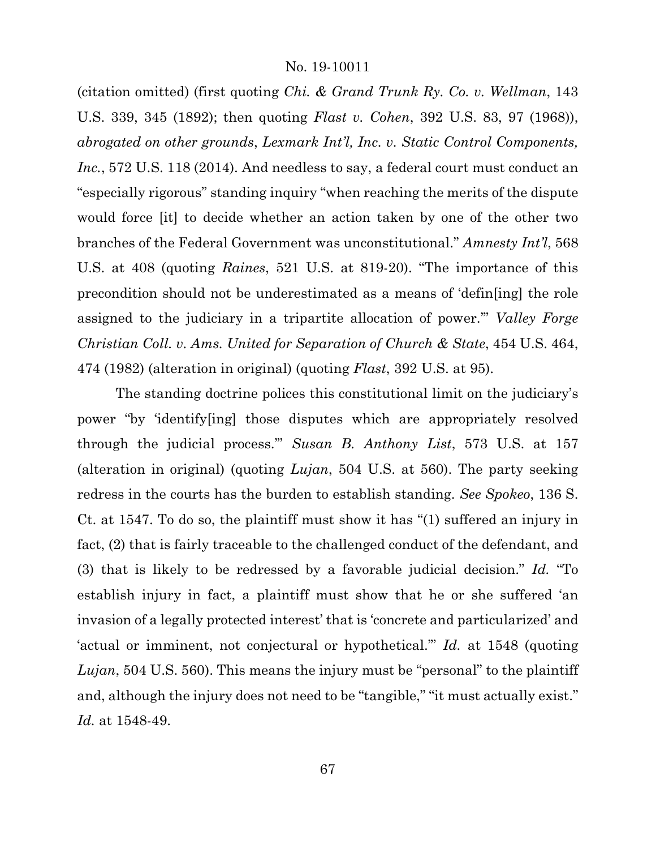(citation omitted) (first quoting *Chi. & Grand Trunk Ry. Co. v. Wellman*, 143 U.S. 339, 345 (1892); then quoting *Flast v. Cohen*, 392 U.S. 83, 97 (1968)), *abrogated on other grounds*, *Lexmark Int'l, Inc. v. Static Control Components, Inc.*, 572 U.S. 118 (2014). And needless to say, a federal court must conduct an "especially rigorous" standing inquiry "when reaching the merits of the dispute would force [it] to decide whether an action taken by one of the other two branches of the Federal Government was unconstitutional." *Amnesty Int'l*, 568 U.S. at 408 (quoting *Raines*, 521 U.S. at 819-20). "The importance of this precondition should not be underestimated as a means of 'defin[ing] the role assigned to the judiciary in a tripartite allocation of power.'" *Valley Forge Christian Coll. v. Ams. United for Separation of Church & State*, 454 U.S. 464, 474 (1982) (alteration in original) (quoting *Flast*, 392 U.S. at 95).

The standing doctrine polices this constitutional limit on the judiciary's power "by 'identify[ing] those disputes which are appropriately resolved through the judicial process.'" *Susan B. Anthony List*, 573 U.S. at 157 (alteration in original) (quoting *Lujan*, 504 U.S. at 560). The party seeking redress in the courts has the burden to establish standing. *See Spokeo*, 136 S. Ct. at 1547. To do so, the plaintiff must show it has "(1) suffered an injury in fact, (2) that is fairly traceable to the challenged conduct of the defendant, and (3) that is likely to be redressed by a favorable judicial decision." *Id.* "To establish injury in fact, a plaintiff must show that he or she suffered 'an invasion of a legally protected interest' that is 'concrete and particularized' and 'actual or imminent, not conjectural or hypothetical.'" *Id.* at 1548 (quoting *Lujan*, 504 U.S. 560). This means the injury must be "personal" to the plaintiff and, although the injury does not need to be "tangible," "it must actually exist." *Id.* at 1548-49.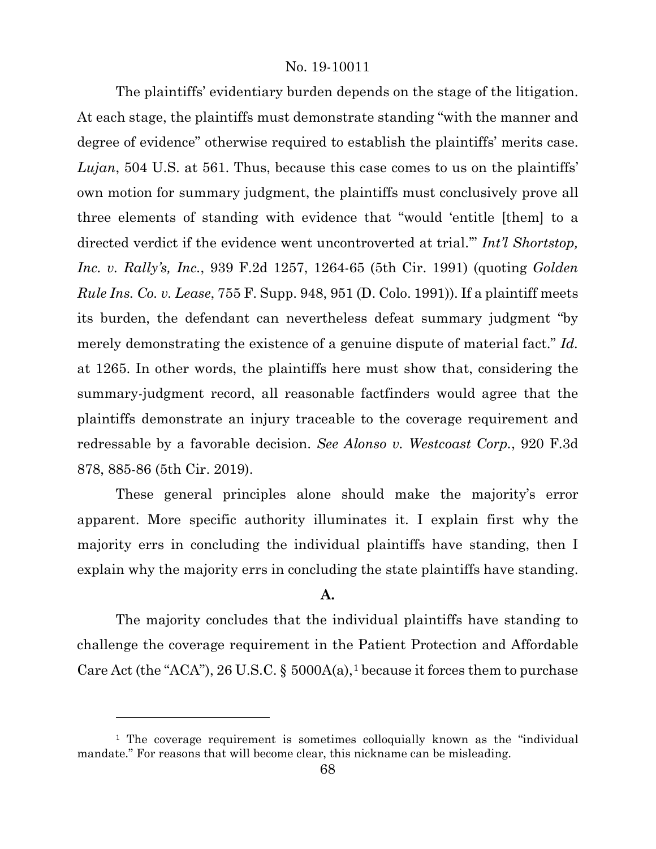The plaintiffs' evidentiary burden depends on the stage of the litigation. At each stage, the plaintiffs must demonstrate standing "with the manner and degree of evidence" otherwise required to establish the plaintiffs' merits case. *Lujan*, 504 U.S. at 561. Thus, because this case comes to us on the plaintiffs' own motion for summary judgment, the plaintiffs must conclusively prove all three elements of standing with evidence that "would 'entitle [them] to a directed verdict if the evidence went uncontroverted at trial.'" *Int'l Shortstop, Inc. v. Rally's, Inc.*, 939 F.2d 1257, 1264-65 (5th Cir. 1991) (quoting *Golden Rule Ins. Co. v. Lease*, 755 F. Supp. 948, 951 (D. Colo. 1991)). If a plaintiff meets its burden, the defendant can nevertheless defeat summary judgment "by merely demonstrating the existence of a genuine dispute of material fact." *Id.* at 1265. In other words, the plaintiffs here must show that, considering the summary-judgment record, all reasonable factfinders would agree that the plaintiffs demonstrate an injury traceable to the coverage requirement and redressable by a favorable decision. *See Alonso v. Westcoast Corp.*, 920 F.3d 878, 885-86 (5th Cir. 2019).

These general principles alone should make the majority's error apparent. More specific authority illuminates it. I explain first why the majority errs in concluding the individual plaintiffs have standing, then I explain why the majority errs in concluding the state plaintiffs have standing.

# **A.**

The majority concludes that the individual plaintiffs have standing to challenge the coverage requirement in the Patient Protection and Affordable Care Act (the "ACA"), 26 U.S.C. §  $5000A(a)$ , because it forces them to purchase

<span id="page-67-0"></span><sup>&</sup>lt;sup>1</sup> The coverage requirement is sometimes colloquially known as the "individual" mandate." For reasons that will become clear, this nickname can be misleading.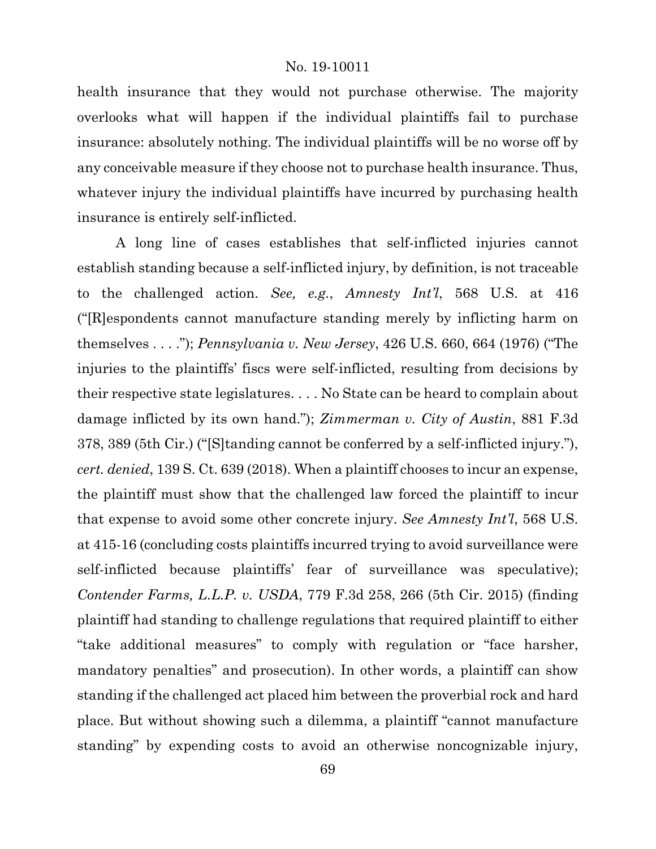health insurance that they would not purchase otherwise. The majority overlooks what will happen if the individual plaintiffs fail to purchase insurance: absolutely nothing. The individual plaintiffs will be no worse off by any conceivable measure if they choose not to purchase health insurance. Thus, whatever injury the individual plaintiffs have incurred by purchasing health insurance is entirely self-inflicted.

A long line of cases establishes that self-inflicted injuries cannot establish standing because a self-inflicted injury, by definition, is not traceable to the challenged action. *See, e.g.*, *Amnesty Int'l*, 568 U.S. at 416 ("[R]espondents cannot manufacture standing merely by inflicting harm on themselves . . . ."); *Pennsylvania v. New Jersey*, 426 U.S. 660, 664 (1976) ("The injuries to the plaintiffs' fiscs were self-inflicted, resulting from decisions by their respective state legislatures. . . . No State can be heard to complain about damage inflicted by its own hand."); *Zimmerman v. City of Austin*, 881 F.3d 378, 389 (5th Cir.) ("[S]tanding cannot be conferred by a self-inflicted injury."), *cert. denied*, 139 S. Ct. 639 (2018). When a plaintiff chooses to incur an expense, the plaintiff must show that the challenged law forced the plaintiff to incur that expense to avoid some other concrete injury. *See Amnesty Int'l*, 568 U.S. at 415-16 (concluding costs plaintiffs incurred trying to avoid surveillance were self-inflicted because plaintiffs' fear of surveillance was speculative); *Contender Farms, L.L.P. v. USDA*, 779 F.3d 258, 266 (5th Cir. 2015) (finding plaintiff had standing to challenge regulations that required plaintiff to either "take additional measures" to comply with regulation or "face harsher, mandatory penalties" and prosecution). In other words, a plaintiff can show standing if the challenged act placed him between the proverbial rock and hard place. But without showing such a dilemma, a plaintiff "cannot manufacture standing" by expending costs to avoid an otherwise noncognizable injury,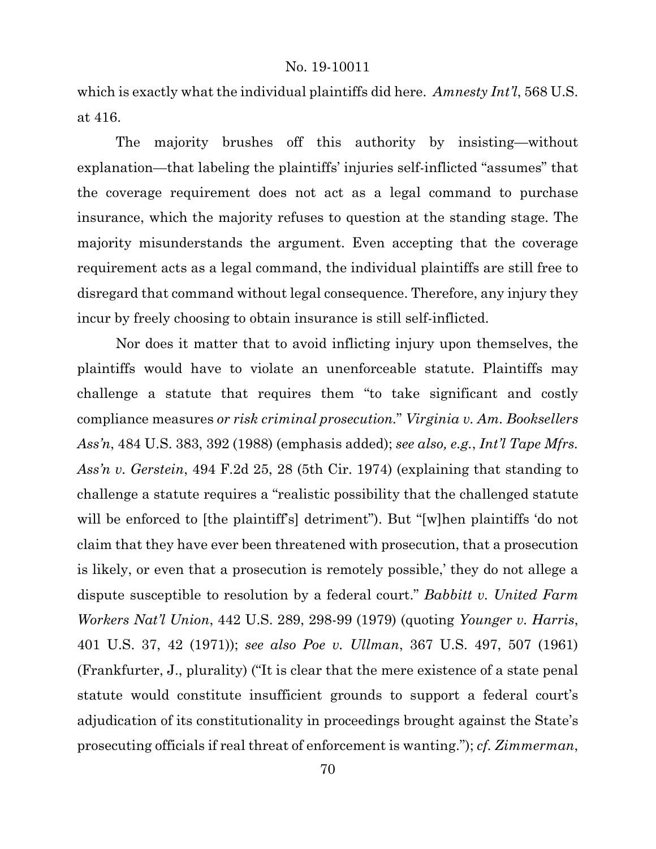which is exactly what the individual plaintiffs did here. *Amnesty Int'l*, 568 U.S. at 416.

The majority brushes off this authority by insisting—without explanation—that labeling the plaintiffs' injuries self-inflicted "assumes" that the coverage requirement does not act as a legal command to purchase insurance, which the majority refuses to question at the standing stage. The majority misunderstands the argument. Even accepting that the coverage requirement acts as a legal command, the individual plaintiffs are still free to disregard that command without legal consequence. Therefore, any injury they incur by freely choosing to obtain insurance is still self-inflicted.

Nor does it matter that to avoid inflicting injury upon themselves, the plaintiffs would have to violate an unenforceable statute. Plaintiffs may challenge a statute that requires them "to take significant and costly compliance measures *or risk criminal prosecution.*" *Virginia v. Am. Booksellers Ass'n*, 484 U.S. 383, 392 (1988) (emphasis added); *see also, e.g.*, *Int'l Tape Mfrs. Ass'n v. Gerstein*, 494 F.2d 25, 28 (5th Cir. 1974) (explaining that standing to challenge a statute requires a "realistic possibility that the challenged statute will be enforced to [the plaintiff's] detriment"). But "[w]hen plaintiffs 'do not claim that they have ever been threatened with prosecution, that a prosecution is likely, or even that a prosecution is remotely possible,' they do not allege a dispute susceptible to resolution by a federal court." *Babbitt v. United Farm Workers Nat'l Union*, 442 U.S. 289, 298-99 (1979) (quoting *Younger v. Harris*, 401 U.S. 37, 42 (1971)); *see also Poe v. Ullman*, 367 U.S. 497, 507 (1961) (Frankfurter, J., plurality) ("It is clear that the mere existence of a state penal statute would constitute insufficient grounds to support a federal court's adjudication of its constitutionality in proceedings brought against the State's prosecuting officials if real threat of enforcement is wanting."); *cf. Zimmerman*,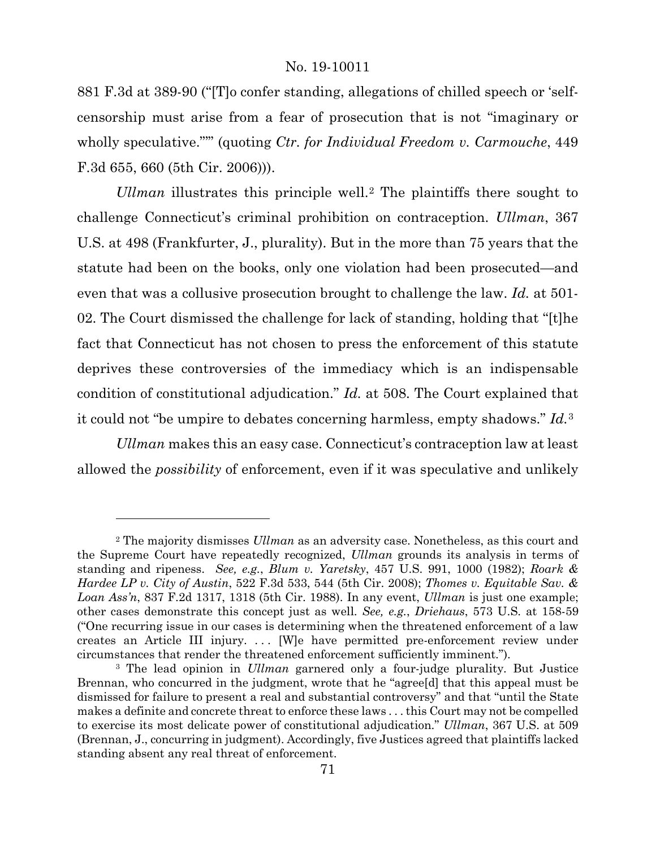881 F.3d at 389-90 ("[T]o confer standing, allegations of chilled speech or 'selfcensorship must arise from a fear of prosecution that is not "imaginary or wholly speculative."" (quoting *Ctr. for Individual Freedom v. Carmouche*, 449 F.3d 655, 660 (5th Cir. 2006))).

*Ullman* illustrates this principle well.[2](#page-70-0) The plaintiffs there sought to challenge Connecticut's criminal prohibition on contraception. *Ullman*, 367 U.S. at 498 (Frankfurter, J., plurality). But in the more than 75 years that the statute had been on the books, only one violation had been prosecuted—and even that was a collusive prosecution brought to challenge the law. *Id.* at 501- 02. The Court dismissed the challenge for lack of standing, holding that "[t]he fact that Connecticut has not chosen to press the enforcement of this statute deprives these controversies of the immediacy which is an indispensable condition of constitutional adjudication." *Id.* at 508. The Court explained that it could not "be umpire to debates concerning harmless, empty shadows." *Id.*[3](#page-70-1)

*Ullman* makes this an easy case. Connecticut's contraception law at least allowed the *possibility* of enforcement, even if it was speculative and unlikely

<span id="page-70-0"></span><sup>2</sup> The majority dismisses *Ullman* as an adversity case. Nonetheless, as this court and the Supreme Court have repeatedly recognized, *Ullman* grounds its analysis in terms of standing and ripeness. *See, e.g.*, *Blum v. Yaretsky*, 457 U.S. 991, 1000 (1982); *Roark & Hardee LP v. City of Austin*, 522 F.3d 533, 544 (5th Cir. 2008); *Thomes v. Equitable Sav. & Loan Ass'n*, 837 F.2d 1317, 1318 (5th Cir. 1988). In any event, *Ullman* is just one example; other cases demonstrate this concept just as well. *See, e.g.*, *Driehaus*, 573 U.S. at 158-59 ("One recurring issue in our cases is determining when the threatened enforcement of a law creates an Article III injury. . . . [W]e have permitted pre-enforcement review under circumstances that render the threatened enforcement sufficiently imminent.").

<span id="page-70-1"></span><sup>3</sup> The lead opinion in *Ullman* garnered only a four-judge plurality. But Justice Brennan, who concurred in the judgment, wrote that he "agree[d] that this appeal must be dismissed for failure to present a real and substantial controversy" and that "until the State makes a definite and concrete threat to enforce these laws . . . this Court may not be compelled to exercise its most delicate power of constitutional adjudication." *Ullman*, 367 U.S. at 509 (Brennan, J., concurring in judgment). Accordingly, five Justices agreed that plaintiffs lacked standing absent any real threat of enforcement.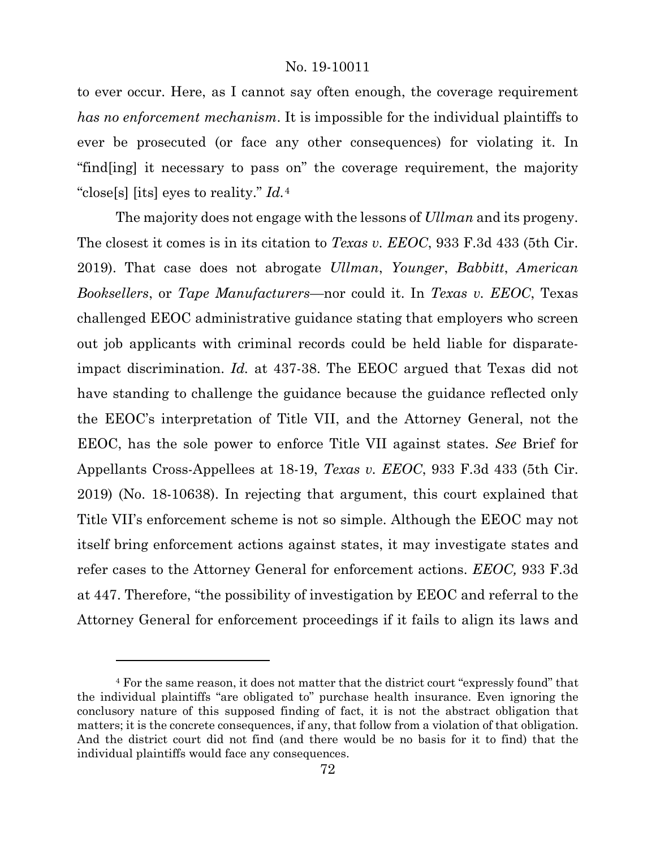to ever occur. Here, as I cannot say often enough, the coverage requirement *has no enforcement mechanism*. It is impossible for the individual plaintiffs to ever be prosecuted (or face any other consequences) for violating it. In "find[ing] it necessary to pass on" the coverage requirement, the majority "close[s] [its] eyes to reality." *Id.*[4](#page-71-0)

The majority does not engage with the lessons of *Ullman* and its progeny. The closest it comes is in its citation to *Texas v. EEOC*, 933 F.3d 433 (5th Cir. 2019). That case does not abrogate *Ullman*, *Younger*, *Babbitt*, *American Booksellers*, or *Tape Manufacturers*—nor could it. In *Texas v. EEOC*, Texas challenged EEOC administrative guidance stating that employers who screen out job applicants with criminal records could be held liable for disparateimpact discrimination. *Id.* at 437-38. The EEOC argued that Texas did not have standing to challenge the guidance because the guidance reflected only the EEOC's interpretation of Title VII, and the Attorney General, not the EEOC, has the sole power to enforce Title VII against states. *See* Brief for Appellants Cross-Appellees at 18-19, *Texas v. EEOC*, 933 F.3d 433 (5th Cir. 2019) (No. 18-10638). In rejecting that argument, this court explained that Title VII's enforcement scheme is not so simple. Although the EEOC may not itself bring enforcement actions against states, it may investigate states and refer cases to the Attorney General for enforcement actions. *EEOC,* 933 F.3d at 447. Therefore, "the possibility of investigation by EEOC and referral to the Attorney General for enforcement proceedings if it fails to align its laws and

<span id="page-71-0"></span><sup>4</sup> For the same reason, it does not matter that the district court "expressly found" that the individual plaintiffs "are obligated to" purchase health insurance. Even ignoring the conclusory nature of this supposed finding of fact, it is not the abstract obligation that matters; it is the concrete consequences, if any, that follow from a violation of that obligation. And the district court did not find (and there would be no basis for it to find) that the individual plaintiffs would face any consequences.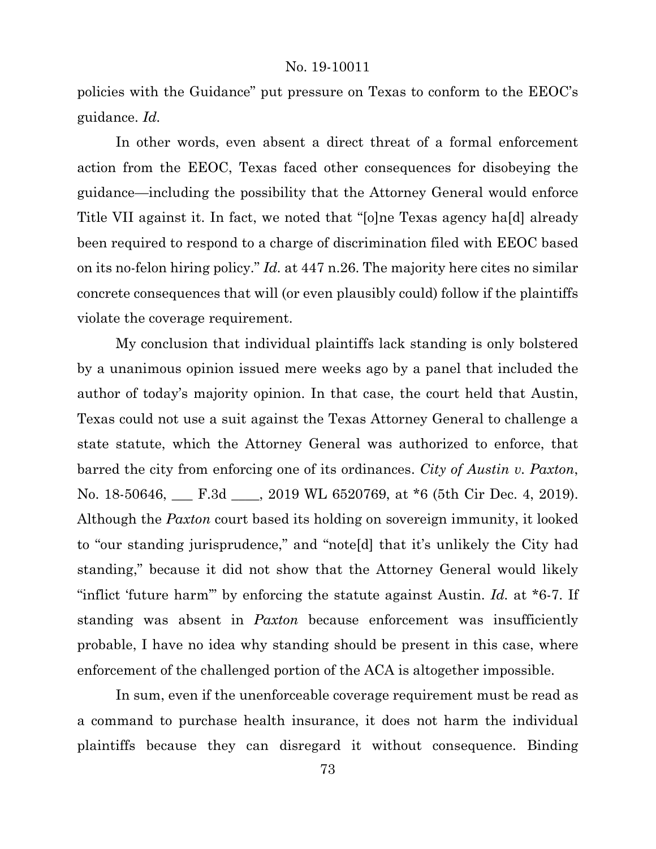policies with the Guidance" put pressure on Texas to conform to the EEOC's guidance. *Id.*

In other words, even absent a direct threat of a formal enforcement action from the EEOC, Texas faced other consequences for disobeying the guidance—including the possibility that the Attorney General would enforce Title VII against it. In fact, we noted that "[o]ne Texas agency ha[d] already been required to respond to a charge of discrimination filed with EEOC based on its no-felon hiring policy." *Id.* at 447 n.26. The majority here cites no similar concrete consequences that will (or even plausibly could) follow if the plaintiffs violate the coverage requirement.

My conclusion that individual plaintiffs lack standing is only bolstered by a unanimous opinion issued mere weeks ago by a panel that included the author of today's majority opinion. In that case, the court held that Austin, Texas could not use a suit against the Texas Attorney General to challenge a state statute, which the Attorney General was authorized to enforce, that barred the city from enforcing one of its ordinances. *City of Austin v. Paxton*, No. 18-50646, F.3d Sample 2019 WL 6520769, at \*6 (5th Cir Dec. 4, 2019). Although the *Paxton* court based its holding on sovereign immunity, it looked to "our standing jurisprudence," and "note[d] that it's unlikely the City had standing," because it did not show that the Attorney General would likely "inflict 'future harm'" by enforcing the statute against Austin. *Id.* at \*6-7. If standing was absent in *Paxton* because enforcement was insufficiently probable, I have no idea why standing should be present in this case, where enforcement of the challenged portion of the ACA is altogether impossible.

In sum, even if the unenforceable coverage requirement must be read as a command to purchase health insurance, it does not harm the individual plaintiffs because they can disregard it without consequence. Binding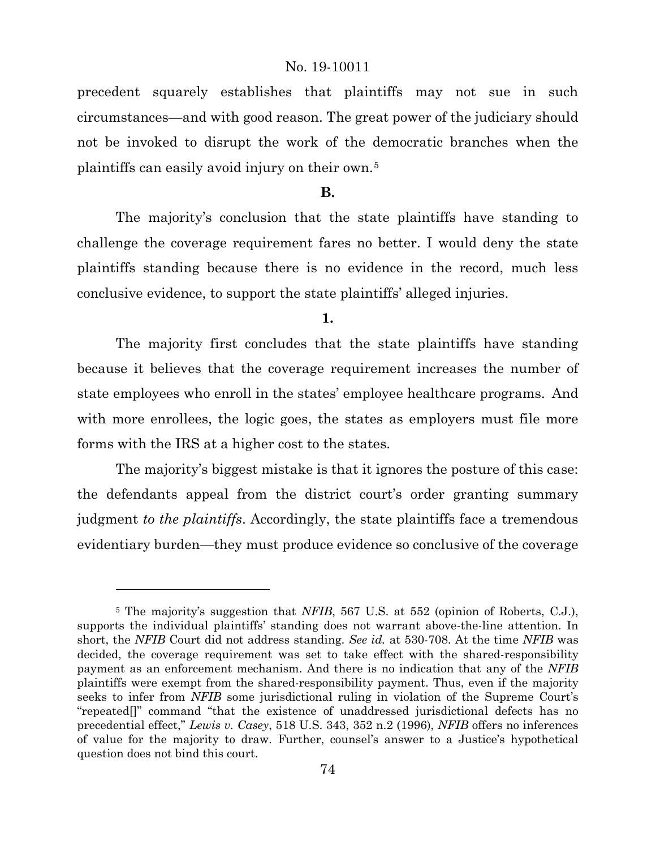precedent squarely establishes that plaintiffs may not sue in such circumstances—and with good reason. The great power of the judiciary should not be invoked to disrupt the work of the democratic branches when the plaintiffs can easily avoid injury on their own.[5](#page-73-0)

### **B.**

The majority's conclusion that the state plaintiffs have standing to challenge the coverage requirement fares no better. I would deny the state plaintiffs standing because there is no evidence in the record, much less conclusive evidence, to support the state plaintiffs' alleged injuries.

**1.**

The majority first concludes that the state plaintiffs have standing because it believes that the coverage requirement increases the number of state employees who enroll in the states' employee healthcare programs. And with more enrollees, the logic goes, the states as employers must file more forms with the IRS at a higher cost to the states.

The majority's biggest mistake is that it ignores the posture of this case: the defendants appeal from the district court's order granting summary judgment *to the plaintiffs*. Accordingly, the state plaintiffs face a tremendous evidentiary burden—they must produce evidence so conclusive of the coverage

l

<span id="page-73-0"></span><sup>5</sup> The majority's suggestion that *NFIB*, 567 U.S. at 552 (opinion of Roberts, C.J.), supports the individual plaintiffs' standing does not warrant above-the-line attention. In short, the *NFIB* Court did not address standing. *See id.* at 530-708. At the time *NFIB* was decided, the coverage requirement was set to take effect with the shared-responsibility payment as an enforcement mechanism. And there is no indication that any of the *NFIB*  plaintiffs were exempt from the shared-responsibility payment. Thus, even if the majority seeks to infer from *NFIB* some jurisdictional ruling in violation of the Supreme Court's "repeated[]" command "that the existence of unaddressed jurisdictional defects has no precedential effect," *Lewis v. Casey*, 518 U.S. 343, 352 n.2 (1996), *NFIB* offers no inferences of value for the majority to draw. Further, counsel's answer to a Justice's hypothetical question does not bind this court.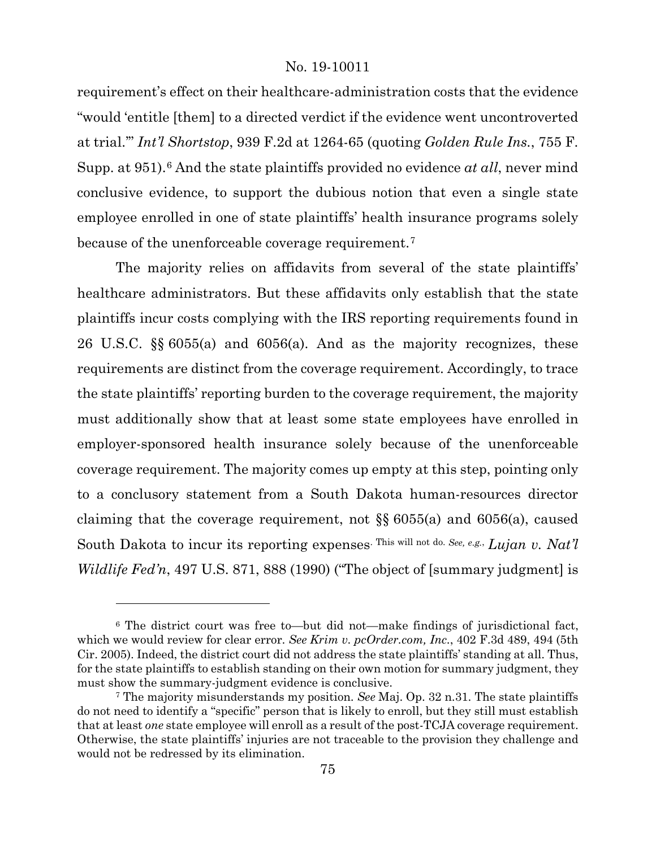requirement's effect on their healthcare-administration costs that the evidence "would 'entitle [them] to a directed verdict if the evidence went uncontroverted at trial.'" *Int'l Shortstop*, 939 F.2d at 1264-65 (quoting *Golden Rule Ins.*, 755 F. Supp. at 951).<sup>[6](#page-74-0)</sup> And the state plaintiffs provided no evidence *at all*, never mind conclusive evidence, to support the dubious notion that even a single state employee enrolled in one of state plaintiffs' health insurance programs solely because of the unenforceable coverage requirement.[7](#page-74-1)

The majority relies on affidavits from several of the state plaintiffs' healthcare administrators. But these affidavits only establish that the state plaintiffs incur costs complying with the IRS reporting requirements found in 26 U.S.C. §§ 6055(a) and 6056(a). And as the majority recognizes, these requirements are distinct from the coverage requirement. Accordingly, to trace the state plaintiffs' reporting burden to the coverage requirement, the majority must additionally show that at least some state employees have enrolled in employer-sponsored health insurance solely because of the unenforceable coverage requirement. The majority comes up empty at this step, pointing only to a conclusory statement from a South Dakota human-resources director claiming that the coverage requirement, not §§ 6055(a) and 6056(a), caused South Dakota to incur its reporting expenses. This will not do. *See, e.g.*, *Lujan v. Nat'l Wildlife Fed'n*, 497 U.S. 871, 888 (1990) ("The object of [summary judgment] is

<span id="page-74-0"></span><sup>6</sup> The district court was free to—but did not—make findings of jurisdictional fact, which we would review for clear error. *See Krim v. pcOrder.com, Inc.*, 402 F.3d 489, 494 (5th Cir. 2005). Indeed, the district court did not address the state plaintiffs' standing at all. Thus, for the state plaintiffs to establish standing on their own motion for summary judgment, they must show the summary-judgment evidence is conclusive.

<span id="page-74-1"></span><sup>7</sup> The majority misunderstands my position. *See* Maj. Op. 32 n.31. The state plaintiffs do not need to identify a "specific" person that is likely to enroll, but they still must establish that at least *one* state employee will enroll as a result of the post-TCJA coverage requirement. Otherwise, the state plaintiffs' injuries are not traceable to the provision they challenge and would not be redressed by its elimination.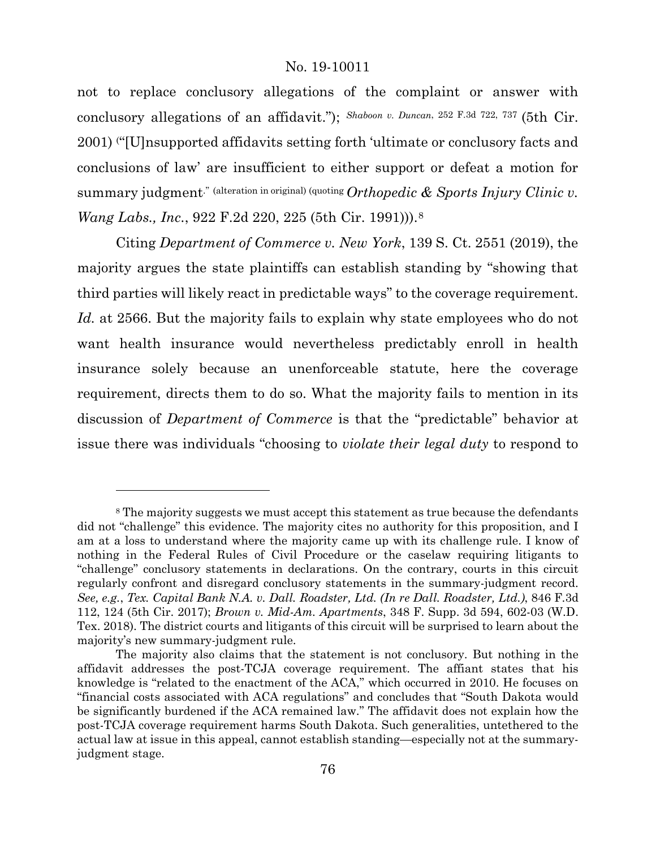not to replace conclusory allegations of the complaint or answer with conclusory allegations of an affidavit."); *Shaboon v. Duncan*, 252 F.3d 722, 737 (5th Cir. 2001) ( "[U]nsupported affidavits setting forth 'ultimate or conclusory facts and conclusions of law' are insufficient to either support or defeat a motion for summary judgment.<sup>"</sup> (alteration in original) (quoting *Orthopedic & Sports Injury Clinic v. Wang Labs., Inc.*, 922 F.2d 220, 225 (5th Cir. 1991))).[8](#page-75-0)

Citing *Department of Commerce v. New York*, 139 S. Ct. 2551 (2019), the majority argues the state plaintiffs can establish standing by "showing that third parties will likely react in predictable ways" to the coverage requirement. Id. at 2566. But the majority fails to explain why state employees who do not want health insurance would nevertheless predictably enroll in health insurance solely because an unenforceable statute, here the coverage requirement, directs them to do so. What the majority fails to mention in its discussion of *Department of Commerce* is that the "predictable" behavior at issue there was individuals "choosing to *violate their legal duty* to respond to

l

<span id="page-75-0"></span><sup>8</sup> The majority suggests we must accept this statement as true because the defendants did not "challenge" this evidence. The majority cites no authority for this proposition, and I am at a loss to understand where the majority came up with its challenge rule. I know of nothing in the Federal Rules of Civil Procedure or the caselaw requiring litigants to "challenge" conclusory statements in declarations. On the contrary, courts in this circuit regularly confront and disregard conclusory statements in the summary-judgment record. *See, e.g.*, *Tex. Capital Bank N.A. v. Dall. Roadster, Ltd. (In re Dall. Roadster, Ltd.)*, 846 F.3d 112, 124 (5th Cir. 2017); *Brown v. Mid-Am. Apartments*, 348 F. Supp. 3d 594, 602-03 (W.D. Tex. 2018). The district courts and litigants of this circuit will be surprised to learn about the majority's new summary-judgment rule.

The majority also claims that the statement is not conclusory. But nothing in the affidavit addresses the post-TCJA coverage requirement. The affiant states that his knowledge is "related to the enactment of the ACA," which occurred in 2010. He focuses on "financial costs associated with ACA regulations" and concludes that "South Dakota would be significantly burdened if the ACA remained law." The affidavit does not explain how the post-TCJA coverage requirement harms South Dakota. Such generalities, untethered to the actual law at issue in this appeal, cannot establish standing—especially not at the summaryjudgment stage.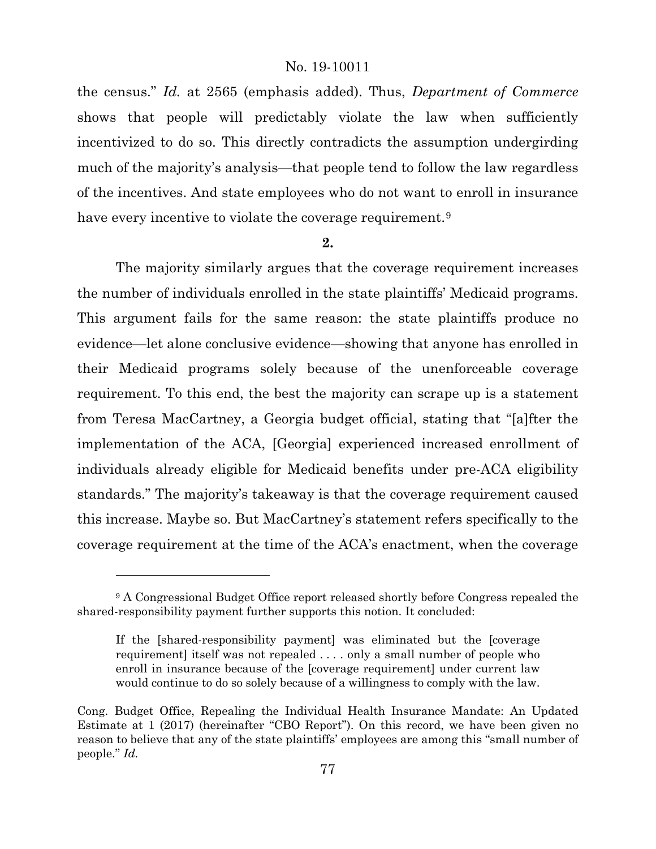the census." *Id.* at 2565 (emphasis added). Thus, *Department of Commerce*  shows that people will predictably violate the law when sufficiently incentivized to do so. This directly contradicts the assumption undergirding much of the majority's analysis—that people tend to follow the law regardless of the incentives. And state employees who do not want to enroll in insurance have every incentive to violate the coverage requirement.<sup>[9](#page-76-0)</sup>

#### **2.**

The majority similarly argues that the coverage requirement increases the number of individuals enrolled in the state plaintiffs' Medicaid programs. This argument fails for the same reason: the state plaintiffs produce no evidence—let alone conclusive evidence—showing that anyone has enrolled in their Medicaid programs solely because of the unenforceable coverage requirement. To this end, the best the majority can scrape up is a statement from Teresa MacCartney, a Georgia budget official, stating that "[a]fter the implementation of the ACA, [Georgia] experienced increased enrollment of individuals already eligible for Medicaid benefits under pre-ACA eligibility standards." The majority's takeaway is that the coverage requirement caused this increase. Maybe so. But MacCartney's statement refers specifically to the coverage requirement at the time of the ACA's enactment, when the coverage

l

<span id="page-76-0"></span><sup>9</sup> A Congressional Budget Office report released shortly before Congress repealed the shared-responsibility payment further supports this notion. It concluded:

If the [shared-responsibility payment] was eliminated but the [coverage requirement] itself was not repealed . . . . only a small number of people who enroll in insurance because of the [coverage requirement] under current law would continue to do so solely because of a willingness to comply with the law.

Cong. Budget Office, Repealing the Individual Health Insurance Mandate: An Updated Estimate at 1 (2017) (hereinafter "CBO Report"). On this record, we have been given no reason to believe that any of the state plaintiffs' employees are among this "small number of people." *Id.*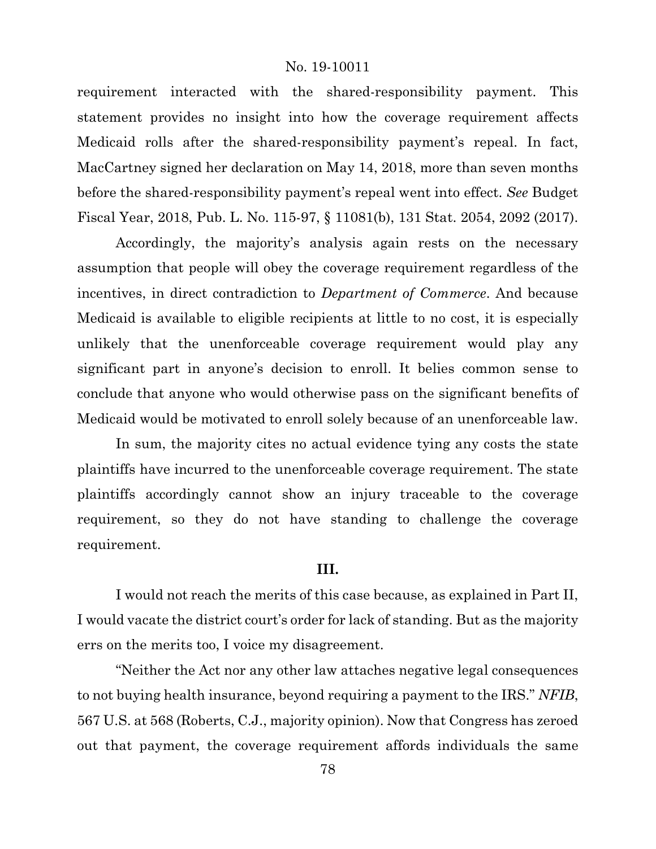requirement interacted with the shared-responsibility payment. This statement provides no insight into how the coverage requirement affects Medicaid rolls after the shared-responsibility payment's repeal. In fact, MacCartney signed her declaration on May 14, 2018, more than seven months before the shared-responsibility payment's repeal went into effect. *See* Budget Fiscal Year, 2018, Pub. L. No. 115-97, § 11081(b), 131 Stat. 2054, 2092 (2017).

Accordingly, the majority's analysis again rests on the necessary assumption that people will obey the coverage requirement regardless of the incentives, in direct contradiction to *Department of Commerce*. And because Medicaid is available to eligible recipients at little to no cost, it is especially unlikely that the unenforceable coverage requirement would play any significant part in anyone's decision to enroll. It belies common sense to conclude that anyone who would otherwise pass on the significant benefits of Medicaid would be motivated to enroll solely because of an unenforceable law.

In sum, the majority cites no actual evidence tying any costs the state plaintiffs have incurred to the unenforceable coverage requirement. The state plaintiffs accordingly cannot show an injury traceable to the coverage requirement, so they do not have standing to challenge the coverage requirement.

#### **III.**

I would not reach the merits of this case because, as explained in Part II, I would vacate the district court's order for lack of standing. But as the majority errs on the merits too, I voice my disagreement.

"Neither the Act nor any other law attaches negative legal consequences to not buying health insurance, beyond requiring a payment to the IRS." *NFIB*, 567 U.S. at 568 (Roberts, C.J., majority opinion). Now that Congress has zeroed out that payment, the coverage requirement affords individuals the same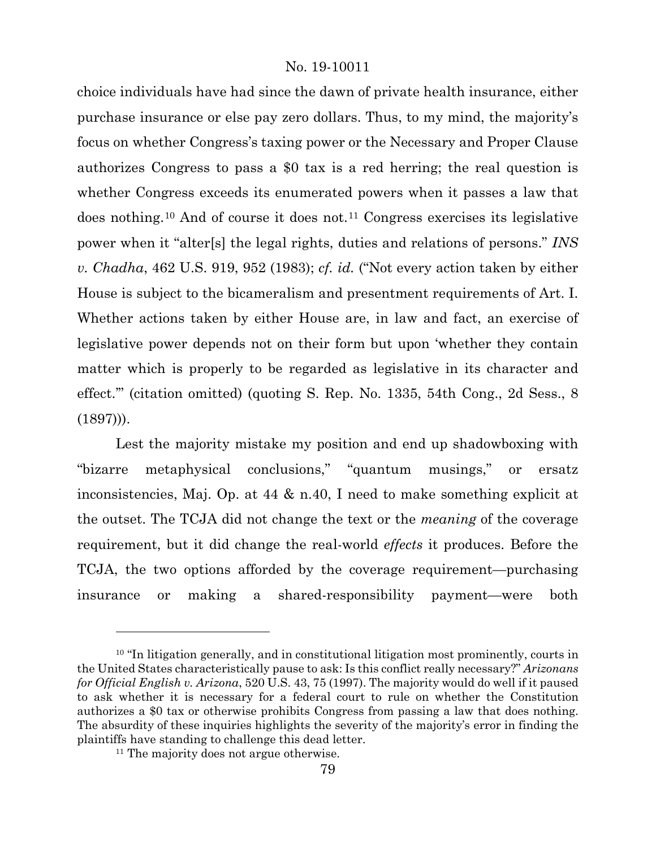choice individuals have had since the dawn of private health insurance, either purchase insurance or else pay zero dollars. Thus, to my mind, the majority's focus on whether Congress's taxing power or the Necessary and Proper Clause authorizes Congress to pass a \$0 tax is a red herring; the real question is whether Congress exceeds its enumerated powers when it passes a law that does nothing.[10](#page-78-0) And of course it does not.[11](#page-78-1) Congress exercises its legislative power when it "alter[s] the legal rights, duties and relations of persons." *INS v. Chadha*, 462 U.S. 919, 952 (1983); *cf. id.* ("Not every action taken by either House is subject to the bicameralism and presentment requirements of Art. I. Whether actions taken by either House are, in law and fact, an exercise of legislative power depends not on their form but upon 'whether they contain matter which is properly to be regarded as legislative in its character and effect.'" (citation omitted) (quoting S. Rep. No. 1335, 54th Cong., 2d Sess., 8  $(1897))$ .

Lest the majority mistake my position and end up shadowboxing with "bizarre metaphysical conclusions," "quantum musings," or ersatz inconsistencies, Maj. Op. at 44 & n.40, I need to make something explicit at the outset. The TCJA did not change the text or the *meaning* of the coverage requirement, but it did change the real-world *effects* it produces. Before the TCJA, the two options afforded by the coverage requirement—purchasing insurance or making a shared-responsibility payment—were both

<span id="page-78-0"></span><sup>&</sup>lt;sup>10</sup> "In litigation generally, and in constitutional litigation most prominently, courts in the United States characteristically pause to ask: Is this conflict really necessary?" *Arizonans for Official English v. Arizona*, 520 U.S. 43, 75 (1997). The majority would do well if it paused to ask whether it is necessary for a federal court to rule on whether the Constitution authorizes a \$0 tax or otherwise prohibits Congress from passing a law that does nothing. The absurdity of these inquiries highlights the severity of the majority's error in finding the plaintiffs have standing to challenge this dead letter.

<span id="page-78-1"></span><sup>&</sup>lt;sup>11</sup> The majority does not argue otherwise.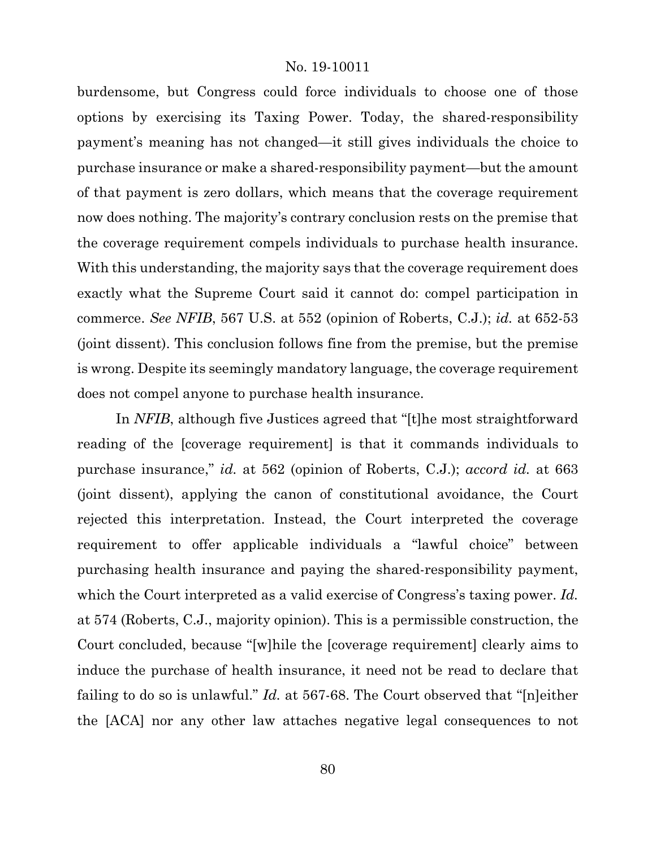burdensome, but Congress could force individuals to choose one of those options by exercising its Taxing Power. Today, the shared-responsibility payment's meaning has not changed—it still gives individuals the choice to purchase insurance or make a shared-responsibility payment—but the amount of that payment is zero dollars, which means that the coverage requirement now does nothing. The majority's contrary conclusion rests on the premise that the coverage requirement compels individuals to purchase health insurance. With this understanding, the majority says that the coverage requirement does exactly what the Supreme Court said it cannot do: compel participation in commerce. *See NFIB*, 567 U.S. at 552 (opinion of Roberts, C.J.); *id.* at 652-53 (joint dissent). This conclusion follows fine from the premise, but the premise is wrong. Despite its seemingly mandatory language, the coverage requirement does not compel anyone to purchase health insurance.

In *NFIB*, although five Justices agreed that "[t]he most straightforward reading of the [coverage requirement] is that it commands individuals to purchase insurance," *id.* at 562 (opinion of Roberts, C.J.); *accord id.* at 663 (joint dissent), applying the canon of constitutional avoidance, the Court rejected this interpretation. Instead, the Court interpreted the coverage requirement to offer applicable individuals a "lawful choice" between purchasing health insurance and paying the shared-responsibility payment, which the Court interpreted as a valid exercise of Congress's taxing power. *Id.*  at 574 (Roberts, C.J., majority opinion). This is a permissible construction, the Court concluded, because "[w]hile the [coverage requirement] clearly aims to induce the purchase of health insurance, it need not be read to declare that failing to do so is unlawful." *Id.* at 567-68. The Court observed that "[n]either the [ACA] nor any other law attaches negative legal consequences to not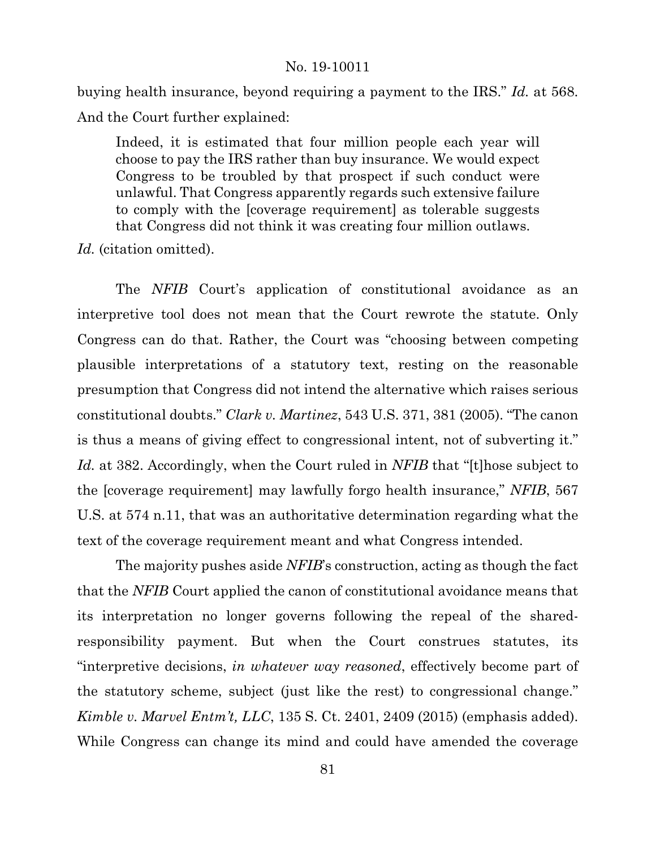buying health insurance, beyond requiring a payment to the IRS." *Id.* at 568. And the Court further explained:

Indeed, it is estimated that four million people each year will choose to pay the IRS rather than buy insurance. We would expect Congress to be troubled by that prospect if such conduct were unlawful. That Congress apparently regards such extensive failure to comply with the [coverage requirement] as tolerable suggests that Congress did not think it was creating four million outlaws.

*Id.* (citation omitted).

The *NFIB* Court's application of constitutional avoidance as an interpretive tool does not mean that the Court rewrote the statute. Only Congress can do that. Rather, the Court was "choosing between competing plausible interpretations of a statutory text, resting on the reasonable presumption that Congress did not intend the alternative which raises serious constitutional doubts." *Clark v. Martinez*, 543 U.S. 371, 381 (2005). "The canon is thus a means of giving effect to congressional intent, not of subverting it." *Id.* at 382. Accordingly, when the Court ruled in *NFIB* that "[t]hose subject to the [coverage requirement] may lawfully forgo health insurance," *NFIB*, 567 U.S. at 574 n.11, that was an authoritative determination regarding what the text of the coverage requirement meant and what Congress intended.

The majority pushes aside *NFIB*'s construction, acting as though the fact that the *NFIB* Court applied the canon of constitutional avoidance means that its interpretation no longer governs following the repeal of the sharedresponsibility payment. But when the Court construes statutes, its "interpretive decisions, *in whatever way reasoned*, effectively become part of the statutory scheme, subject (just like the rest) to congressional change." *Kimble v. Marvel Entm't, LLC*, 135 S. Ct. 2401, 2409 (2015) (emphasis added). While Congress can change its mind and could have amended the coverage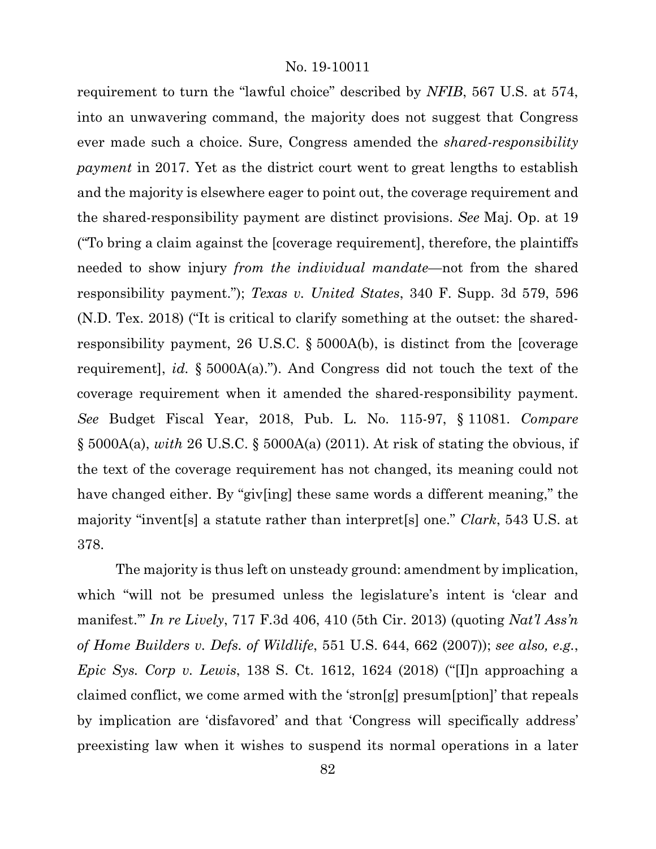requirement to turn the "lawful choice" described by *NFIB*, 567 U.S. at 574, into an unwavering command, the majority does not suggest that Congress ever made such a choice. Sure, Congress amended the *shared-responsibility payment* in 2017. Yet as the district court went to great lengths to establish and the majority is elsewhere eager to point out, the coverage requirement and the shared-responsibility payment are distinct provisions. *See* Maj. Op. at 19 ("To bring a claim against the [coverage requirement], therefore, the plaintiffs needed to show injury *from the individual mandate*—not from the shared responsibility payment."); *Texas v. United States*, 340 F. Supp. 3d 579, 596 (N.D. Tex. 2018) ("It is critical to clarify something at the outset: the sharedresponsibility payment, 26 U.S.C. § 5000A(b), is distinct from the [coverage requirement], *id.* § 5000A(a)."). And Congress did not touch the text of the coverage requirement when it amended the shared-responsibility payment. *See* Budget Fiscal Year, 2018, Pub. L. No. 115-97, § 11081. *Compare*  § 5000A(a), *with* 26 U.S.C. § 5000A(a) (2011). At risk of stating the obvious, if the text of the coverage requirement has not changed, its meaning could not have changed either. By "giv[ing] these same words a different meaning," the majority "invent[s] a statute rather than interpret[s] one." *Clark*, 543 U.S. at 378.

The majority is thus left on unsteady ground: amendment by implication, which "will not be presumed unless the legislature's intent is 'clear and manifest.'" *In re Lively*, 717 F.3d 406, 410 (5th Cir. 2013) (quoting *Nat'l Ass'n of Home Builders v. Defs. of Wildlife*, 551 U.S. 644, 662 (2007)); *see also, e.g.*, *Epic Sys. Corp v. Lewis*, 138 S. Ct. 1612, 1624 (2018) ("[I]n approaching a claimed conflict, we come armed with the 'stron[g] presum[ption]' that repeals by implication are 'disfavored' and that 'Congress will specifically address' preexisting law when it wishes to suspend its normal operations in a later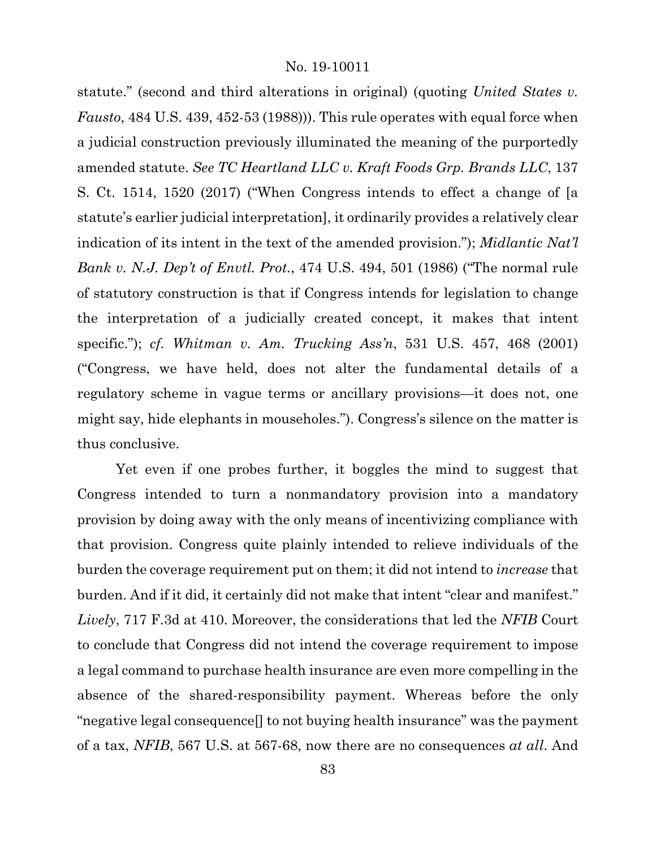statute." (second and third alterations in original) (quoting *United States v. Fausto*, 484 U.S. 439, 452-53 (1988))). This rule operates with equal force when a judicial construction previously illuminated the meaning of the purportedly amended statute. *See TC Heartland LLC v. Kraft Foods Grp. Brands LLC*, 137 S. Ct. 1514, 1520 (2017) ("When Congress intends to effect a change of [a statute's earlier judicial interpretation], it ordinarily provides a relatively clear indication of its intent in the text of the amended provision."); *Midlantic Nat'l Bank v. N.J. Dep't of Envtl. Prot.*, 474 U.S. 494, 501 (1986) ("The normal rule of statutory construction is that if Congress intends for legislation to change the interpretation of a judicially created concept, it makes that intent specific."); *cf. Whitman v. Am. Trucking Ass'n*, 531 U.S. 457, 468 (2001) ("Congress, we have held, does not alter the fundamental details of a regulatory scheme in vague terms or ancillary provisions—it does not, one might say, hide elephants in mouseholes."). Congress's silence on the matter is thus conclusive.

Yet even if one probes further, it boggles the mind to suggest that Congress intended to turn a nonmandatory provision into a mandatory provision by doing away with the only means of incentivizing compliance with that provision. Congress quite plainly intended to relieve individuals of the burden the coverage requirement put on them; it did not intend to *increase* that burden. And if it did, it certainly did not make that intent "clear and manifest." *Lively*, 717 F.3d at 410. Moreover, the considerations that led the *NFIB* Court to conclude that Congress did not intend the coverage requirement to impose a legal command to purchase health insurance are even more compelling in the absence of the shared-responsibility payment. Whereas before the only "negative legal consequence[] to not buying health insurance" was the payment of a tax, *NFIB*, 567 U.S. at 567-68, now there are no consequences *at all*. And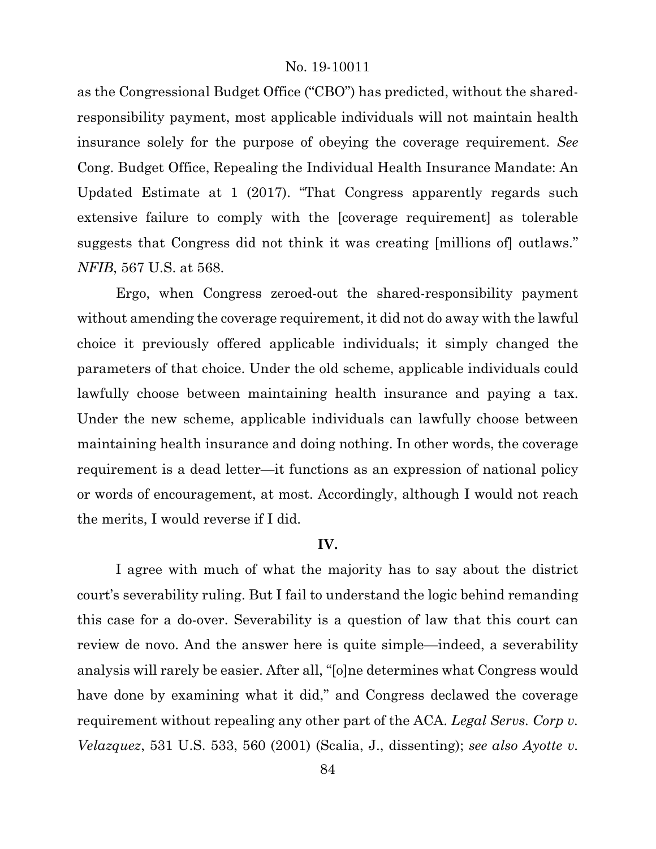as the Congressional Budget Office ("CBO") has predicted, without the sharedresponsibility payment, most applicable individuals will not maintain health insurance solely for the purpose of obeying the coverage requirement. *See*  Cong. Budget Office, Repealing the Individual Health Insurance Mandate: An Updated Estimate at 1 (2017). "That Congress apparently regards such extensive failure to comply with the [coverage requirement] as tolerable suggests that Congress did not think it was creating [millions of] outlaws." *NFIB*, 567 U.S. at 568.

Ergo, when Congress zeroed-out the shared-responsibility payment without amending the coverage requirement, it did not do away with the lawful choice it previously offered applicable individuals; it simply changed the parameters of that choice. Under the old scheme, applicable individuals could lawfully choose between maintaining health insurance and paying a tax. Under the new scheme, applicable individuals can lawfully choose between maintaining health insurance and doing nothing. In other words, the coverage requirement is a dead letter—it functions as an expression of national policy or words of encouragement, at most. Accordingly, although I would not reach the merits, I would reverse if I did.

## **IV.**

I agree with much of what the majority has to say about the district court's severability ruling. But I fail to understand the logic behind remanding this case for a do-over. Severability is a question of law that this court can review de novo. And the answer here is quite simple—indeed, a severability analysis will rarely be easier. After all, "[o]ne determines what Congress would have done by examining what it did," and Congress declawed the coverage requirement without repealing any other part of the ACA. *Legal Servs. Corp v. Velazquez*, 531 U.S. 533, 560 (2001) (Scalia, J., dissenting); *see also Ayotte v.*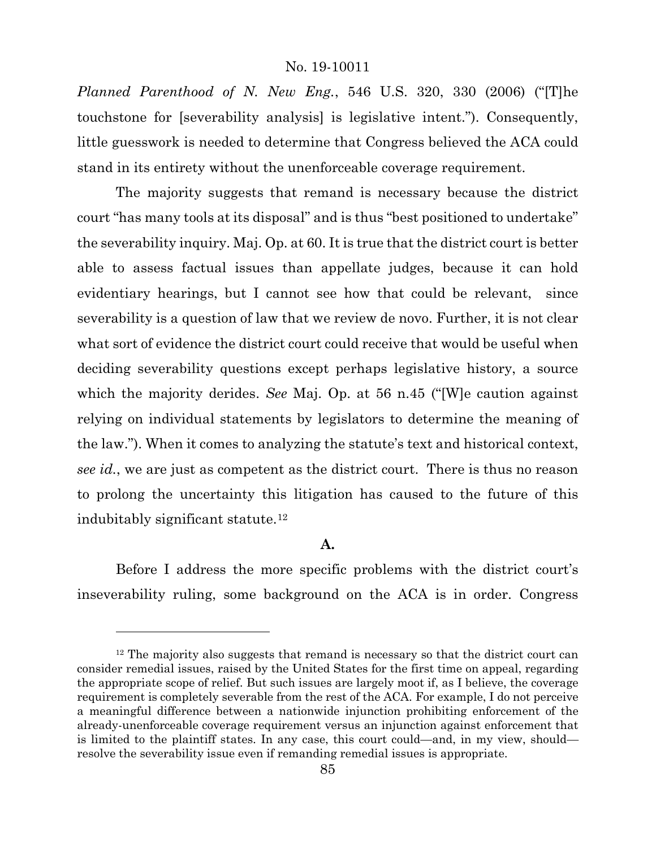*Planned Parenthood of N. New Eng.*, 546 U.S. 320, 330 (2006) ("[T]he touchstone for [severability analysis] is legislative intent."). Consequently, little guesswork is needed to determine that Congress believed the ACA could stand in its entirety without the unenforceable coverage requirement.

The majority suggests that remand is necessary because the district court "has many tools at its disposal" and is thus "best positioned to undertake" the severability inquiry. Maj. Op. at 60. It is true that the district court is better able to assess factual issues than appellate judges, because it can hold evidentiary hearings, but I cannot see how that could be relevant, since severability is a question of law that we review de novo. Further, it is not clear what sort of evidence the district court could receive that would be useful when deciding severability questions except perhaps legislative history, a source which the majority derides. *See* Maj. Op. at 56 n.45 ("[W]e caution against relying on individual statements by legislators to determine the meaning of the law."). When it comes to analyzing the statute's text and historical context, *see id.*, we are just as competent as the district court. There is thus no reason to prolong the uncertainty this litigation has caused to the future of this indubitably significant statute.[12](#page-84-0)

# **A.**

Before I address the more specific problems with the district court's inseverability ruling, some background on the ACA is in order. Congress

<span id="page-84-0"></span><sup>&</sup>lt;sup>12</sup> The majority also suggests that remand is necessary so that the district court can consider remedial issues, raised by the United States for the first time on appeal, regarding the appropriate scope of relief. But such issues are largely moot if, as I believe, the coverage requirement is completely severable from the rest of the ACA. For example, I do not perceive a meaningful difference between a nationwide injunction prohibiting enforcement of the already-unenforceable coverage requirement versus an injunction against enforcement that is limited to the plaintiff states. In any case, this court could—and, in my view, should resolve the severability issue even if remanding remedial issues is appropriate.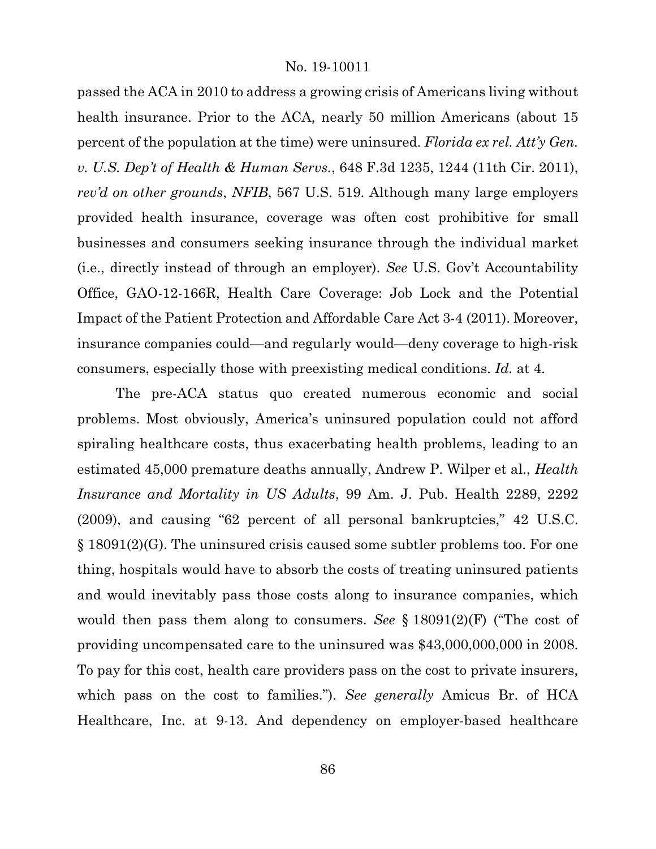passed the ACA in 2010 to address a growing crisis of Americans living without health insurance. Prior to the ACA, nearly 50 million Americans (about 15 percent of the population at the time) were uninsured. *Florida ex rel. Att'y Gen. v. U.S. Dep't of Health & Human Servs.*, 648 F.3d 1235, 1244 (11th Cir. 2011), *rev'd on other grounds*, *NFIB*, 567 U.S. 519. Although many large employers provided health insurance, coverage was often cost prohibitive for small businesses and consumers seeking insurance through the individual market (i.e., directly instead of through an employer). *See* U.S. Gov't Accountability Office, GAO-12-166R, Health Care Coverage: Job Lock and the Potential Impact of the Patient Protection and Affordable Care Act 3-4 (2011). Moreover, insurance companies could—and regularly would—deny coverage to high-risk consumers, especially those with preexisting medical conditions. *Id.* at 4.

The pre-ACA status quo created numerous economic and social problems. Most obviously, America's uninsured population could not afford spiraling healthcare costs, thus exacerbating health problems, leading to an estimated 45,000 premature deaths annually, Andrew P. Wilper et al., *Health Insurance and Mortality in US Adults*, 99 Am. J. Pub. Health 2289, 2292 (2009), and causing "62 percent of all personal bankruptcies," 42 U.S.C. § 18091(2)(G). The uninsured crisis caused some subtler problems too. For one thing, hospitals would have to absorb the costs of treating uninsured patients and would inevitably pass those costs along to insurance companies, which would then pass them along to consumers. *See* § 18091(2)(F) ("The cost of providing uncompensated care to the uninsured was \$43,000,000,000 in 2008. To pay for this cost, health care providers pass on the cost to private insurers, which pass on the cost to families."). *See generally* Amicus Br. of HCA Healthcare, Inc. at 9-13. And dependency on employer-based healthcare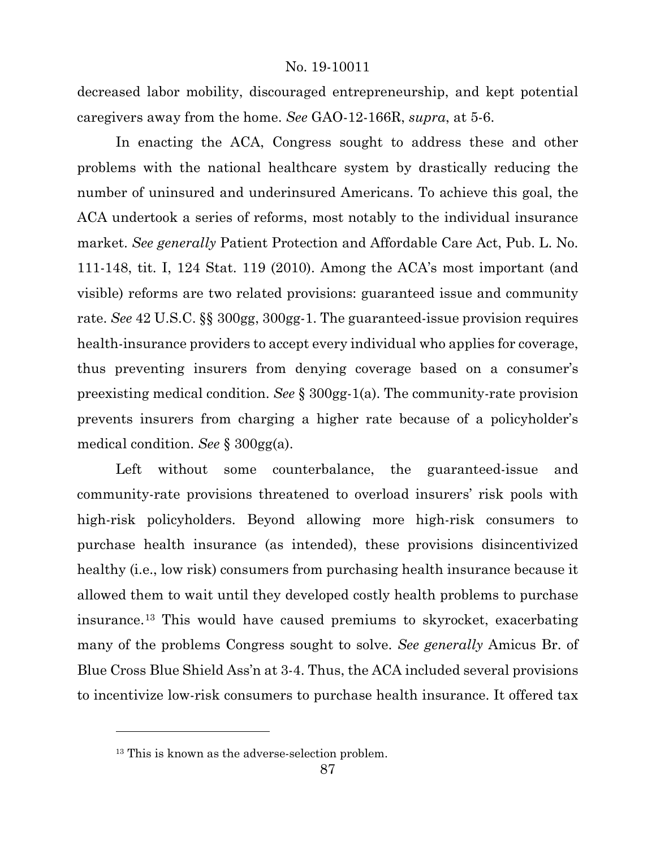decreased labor mobility, discouraged entrepreneurship, and kept potential caregivers away from the home. *See* GAO-12-166R, *supra*, at 5-6.

In enacting the ACA, Congress sought to address these and other problems with the national healthcare system by drastically reducing the number of uninsured and underinsured Americans. To achieve this goal, the ACA undertook a series of reforms, most notably to the individual insurance market. *See generally* Patient Protection and Affordable Care Act, Pub. L. No. 111-148, tit. I, 124 Stat. 119 (2010). Among the ACA's most important (and visible) reforms are two related provisions: guaranteed issue and community rate. *See* 42 U.S.C. §§ 300gg, 300gg-1. The guaranteed-issue provision requires health-insurance providers to accept every individual who applies for coverage, thus preventing insurers from denying coverage based on a consumer's preexisting medical condition. *See* § 300gg-1(a). The community-rate provision prevents insurers from charging a higher rate because of a policyholder's medical condition. *See* § 300gg(a).

Left without some counterbalance, the guaranteed-issue and community-rate provisions threatened to overload insurers' risk pools with high-risk policyholders. Beyond allowing more high-risk consumers to purchase health insurance (as intended), these provisions disincentivized healthy (i.e., low risk) consumers from purchasing health insurance because it allowed them to wait until they developed costly health problems to purchase insurance.[13](#page-86-0) This would have caused premiums to skyrocket, exacerbating many of the problems Congress sought to solve. *See generally* Amicus Br. of Blue Cross Blue Shield Ass'n at 3-4. Thus, the ACA included several provisions to incentivize low-risk consumers to purchase health insurance. It offered tax

<span id="page-86-0"></span><sup>&</sup>lt;sup>13</sup> This is known as the adverse-selection problem.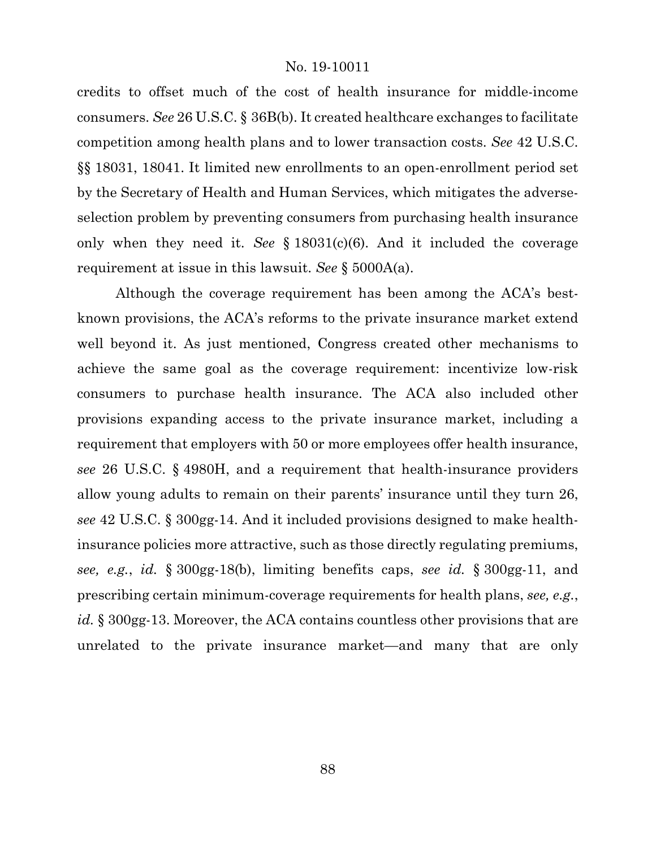credits to offset much of the cost of health insurance for middle-income consumers. *See* 26 U.S.C. § 36B(b). It created healthcare exchanges to facilitate competition among health plans and to lower transaction costs. *See* 42 U.S.C. §§ 18031, 18041. It limited new enrollments to an open-enrollment period set by the Secretary of Health and Human Services, which mitigates the adverseselection problem by preventing consumers from purchasing health insurance only when they need it. *See* § 18031(c)(6). And it included the coverage requirement at issue in this lawsuit. *See* § 5000A(a).

Although the coverage requirement has been among the ACA's bestknown provisions, the ACA's reforms to the private insurance market extend well beyond it. As just mentioned, Congress created other mechanisms to achieve the same goal as the coverage requirement: incentivize low-risk consumers to purchase health insurance. The ACA also included other provisions expanding access to the private insurance market, including a requirement that employers with 50 or more employees offer health insurance, *see* 26 U.S.C. § 4980H, and a requirement that health-insurance providers allow young adults to remain on their parents' insurance until they turn 26, *see* 42 U.S.C. § 300gg-14. And it included provisions designed to make healthinsurance policies more attractive, such as those directly regulating premiums, *see, e.g.*, *id.* § 300gg-18(b), limiting benefits caps, *see id.* § 300gg-11, and prescribing certain minimum-coverage requirements for health plans, *see, e.g.*, *id.* § 300gg-13. Moreover, the ACA contains countless other provisions that are unrelated to the private insurance market—and many that are only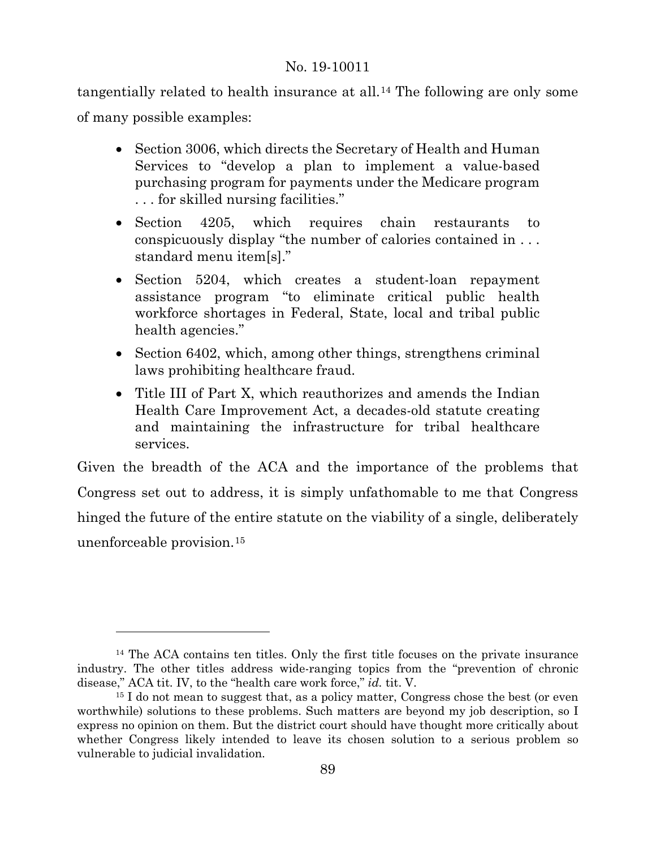tangentially related to health insurance at all.[14](#page-88-0) The following are only some of many possible examples:

- Section 3006, which directs the Secretary of Health and Human Services to "develop a plan to implement a value-based purchasing program for payments under the Medicare program . . . for skilled nursing facilities."
- Section 4205, which requires chain restaurants to conspicuously display "the number of calories contained in . . . standard menu item[s]."
- Section 5204, which creates a student-loan repayment assistance program "to eliminate critical public health workforce shortages in Federal, State, local and tribal public health agencies."
- Section 6402, which, among other things, strengthens criminal laws prohibiting healthcare fraud.
- Title III of Part X, which reauthorizes and amends the Indian Health Care Improvement Act, a decades-old statute creating and maintaining the infrastructure for tribal healthcare services.

Given the breadth of the ACA and the importance of the problems that Congress set out to address, it is simply unfathomable to me that Congress hinged the future of the entire statute on the viability of a single, deliberately unenforceable provision.[15](#page-88-1)

<span id="page-88-0"></span><sup>14</sup> The ACA contains ten titles. Only the first title focuses on the private insurance industry. The other titles address wide-ranging topics from the "prevention of chronic disease," ACA tit. IV, to the "health care work force," *id.* tit. V.

<span id="page-88-1"></span><sup>&</sup>lt;sup>15</sup> I do not mean to suggest that, as a policy matter, Congress chose the best (or even worthwhile) solutions to these problems. Such matters are beyond my job description, so I express no opinion on them. But the district court should have thought more critically about whether Congress likely intended to leave its chosen solution to a serious problem so vulnerable to judicial invalidation.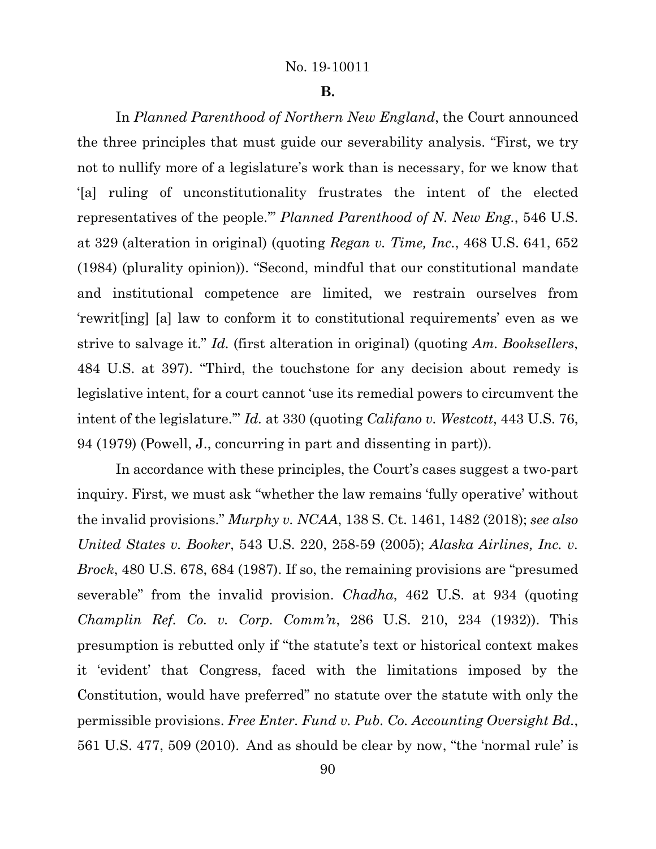#### **B.**

In *Planned Parenthood of Northern New England*, the Court announced the three principles that must guide our severability analysis. "First, we try not to nullify more of a legislature's work than is necessary, for we know that '[a] ruling of unconstitutionality frustrates the intent of the elected representatives of the people.'" *Planned Parenthood of N. New Eng.*, 546 U.S. at 329 (alteration in original) (quoting *Regan v. Time, Inc.*, 468 U.S. 641, 652 (1984) (plurality opinion)). "Second, mindful that our constitutional mandate and institutional competence are limited, we restrain ourselves from 'rewrit[ing] [a] law to conform it to constitutional requirements' even as we strive to salvage it." *Id.* (first alteration in original) (quoting *Am. Booksellers*, 484 U.S. at 397). "Third, the touchstone for any decision about remedy is legislative intent, for a court cannot 'use its remedial powers to circumvent the intent of the legislature.'" *Id.* at 330 (quoting *Califano v. Westcott*, 443 U.S. 76, 94 (1979) (Powell, J., concurring in part and dissenting in part)).

In accordance with these principles, the Court's cases suggest a two-part inquiry. First, we must ask "whether the law remains 'fully operative' without the invalid provisions." *Murphy v. NCAA*, 138 S. Ct. 1461, 1482 (2018); *see also United States v. Booker*, 543 U.S. 220, 258-59 (2005); *Alaska Airlines, Inc. v. Brock*, 480 U.S. 678, 684 (1987). If so, the remaining provisions are "presumed severable" from the invalid provision. *Chadha*, 462 U.S. at 934 (quoting *Champlin Ref. Co. v. Corp. Comm'n*, 286 U.S. 210, 234 (1932)). This presumption is rebutted only if "the statute's text or historical context makes it 'evident' that Congress, faced with the limitations imposed by the Constitution, would have preferred" no statute over the statute with only the permissible provisions. *Free Enter. Fund v. Pub. Co. Accounting Oversight Bd.*, 561 U.S. 477, 509 (2010). And as should be clear by now, "the 'normal rule' is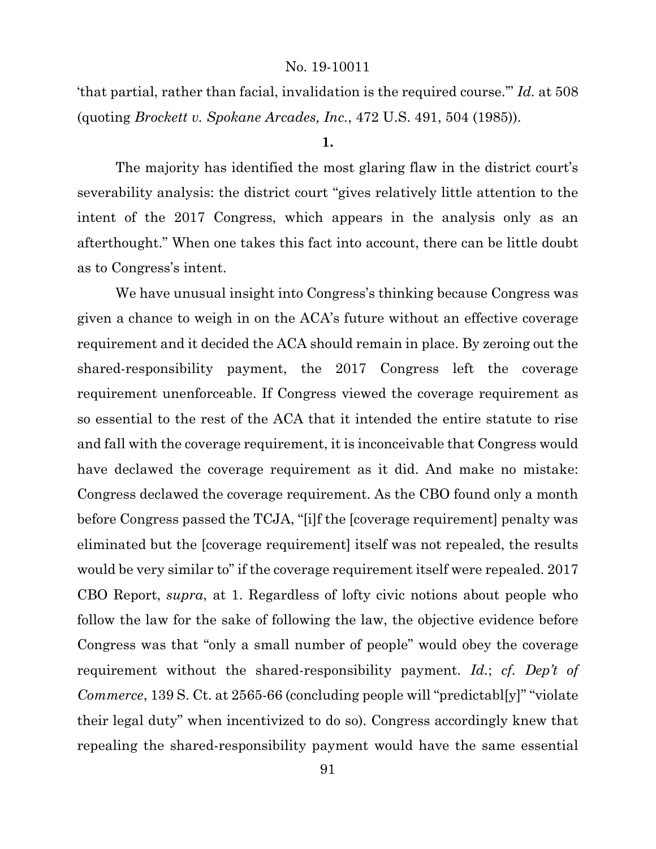'that partial, rather than facial, invalidation is the required course.'" *Id.* at 508 (quoting *Brockett v. Spokane Arcades, Inc.*, 472 U.S. 491, 504 (1985)).

### **1.**

The majority has identified the most glaring flaw in the district court's severability analysis: the district court "gives relatively little attention to the intent of the 2017 Congress, which appears in the analysis only as an afterthought." When one takes this fact into account, there can be little doubt as to Congress's intent.

We have unusual insight into Congress's thinking because Congress was given a chance to weigh in on the ACA's future without an effective coverage requirement and it decided the ACA should remain in place. By zeroing out the shared-responsibility payment, the 2017 Congress left the coverage requirement unenforceable. If Congress viewed the coverage requirement as so essential to the rest of the ACA that it intended the entire statute to rise and fall with the coverage requirement, it is inconceivable that Congress would have declawed the coverage requirement as it did. And make no mistake: Congress declawed the coverage requirement. As the CBO found only a month before Congress passed the TCJA, "[i]f the [coverage requirement] penalty was eliminated but the [coverage requirement] itself was not repealed, the results would be very similar to" if the coverage requirement itself were repealed. 2017 CBO Report, *supra*, at 1. Regardless of lofty civic notions about people who follow the law for the sake of following the law, the objective evidence before Congress was that "only a small number of people" would obey the coverage requirement without the shared-responsibility payment. *Id.*; *cf. Dep't of Commerce*, 139 S. Ct. at 2565-66 (concluding people will "predictabl[y]" "violate their legal duty" when incentivized to do so). Congress accordingly knew that repealing the shared-responsibility payment would have the same essential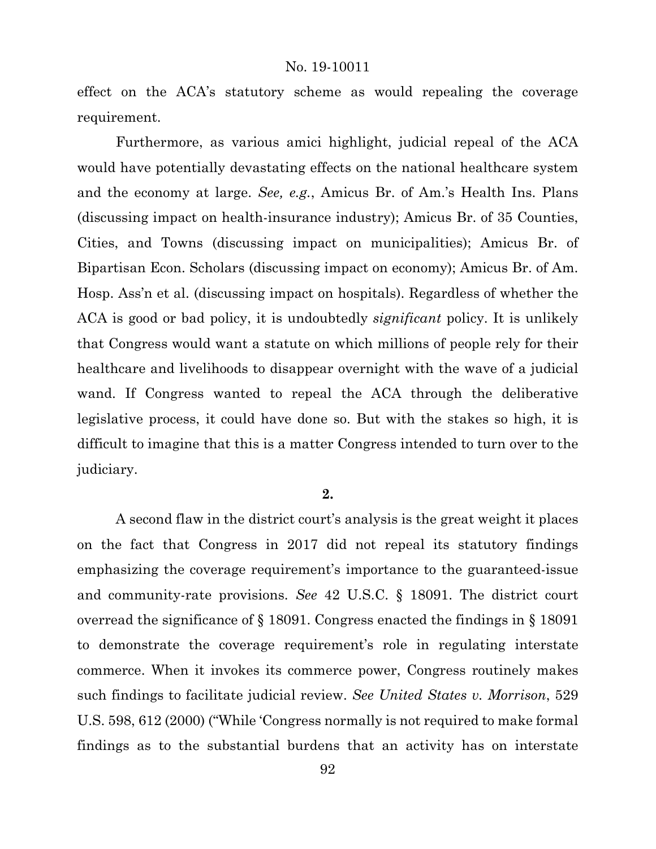effect on the ACA's statutory scheme as would repealing the coverage requirement.

Furthermore, as various amici highlight, judicial repeal of the ACA would have potentially devastating effects on the national healthcare system and the economy at large. *See, e.g.*, Amicus Br. of Am.'s Health Ins. Plans (discussing impact on health-insurance industry); Amicus Br. of 35 Counties, Cities, and Towns (discussing impact on municipalities); Amicus Br. of Bipartisan Econ. Scholars (discussing impact on economy); Amicus Br. of Am. Hosp. Ass'n et al. (discussing impact on hospitals). Regardless of whether the ACA is good or bad policy, it is undoubtedly *significant* policy. It is unlikely that Congress would want a statute on which millions of people rely for their healthcare and livelihoods to disappear overnight with the wave of a judicial wand. If Congress wanted to repeal the ACA through the deliberative legislative process, it could have done so. But with the stakes so high, it is difficult to imagine that this is a matter Congress intended to turn over to the judiciary.

#### **2.**

A second flaw in the district court's analysis is the great weight it places on the fact that Congress in 2017 did not repeal its statutory findings emphasizing the coverage requirement's importance to the guaranteed-issue and community-rate provisions. *See* 42 U.S.C. § 18091. The district court overread the significance of § 18091. Congress enacted the findings in § 18091 to demonstrate the coverage requirement's role in regulating interstate commerce. When it invokes its commerce power, Congress routinely makes such findings to facilitate judicial review. *See United States v. Morrison*, 529 U.S. 598, 612 (2000) ("While 'Congress normally is not required to make formal findings as to the substantial burdens that an activity has on interstate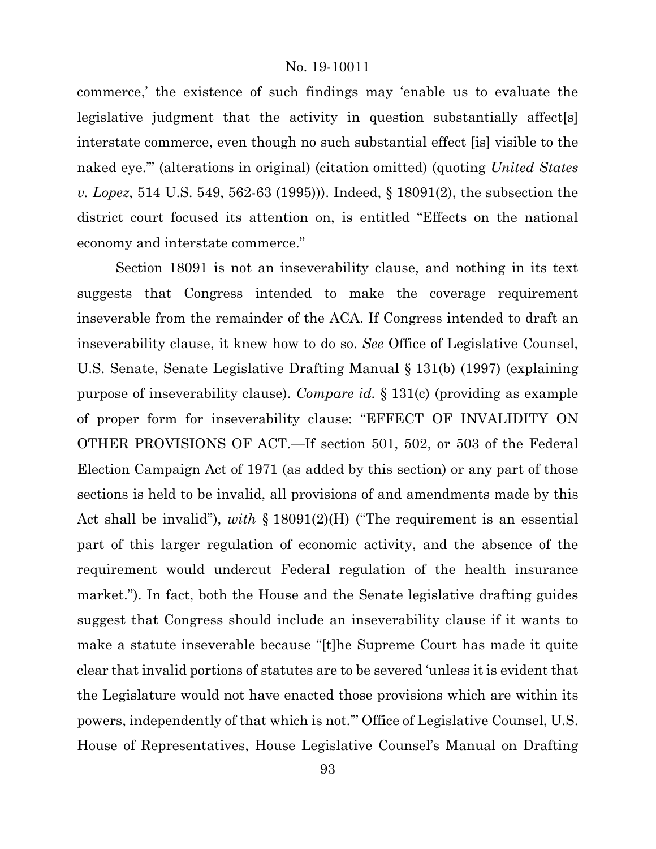commerce,' the existence of such findings may 'enable us to evaluate the legislative judgment that the activity in question substantially affect[s] interstate commerce, even though no such substantial effect [is] visible to the naked eye.'" (alterations in original) (citation omitted) (quoting *United States v. Lopez*, 514 U.S. 549, 562-63 (1995))). Indeed, § 18091(2), the subsection the district court focused its attention on, is entitled "Effects on the national economy and interstate commerce."

Section 18091 is not an inseverability clause, and nothing in its text suggests that Congress intended to make the coverage requirement inseverable from the remainder of the ACA. If Congress intended to draft an inseverability clause, it knew how to do so. *See* Office of Legislative Counsel, U.S. Senate, Senate Legislative Drafting Manual § 131(b) (1997) (explaining purpose of inseverability clause). *Compare id.* § 131(c) (providing as example of proper form for inseverability clause: "EFFECT OF INVALIDITY ON OTHER PROVISIONS OF ACT.—If section 501, 502, or 503 of the Federal Election Campaign Act of 1971 (as added by this section) or any part of those sections is held to be invalid, all provisions of and amendments made by this Act shall be invalid"), *with* § 18091(2)(H) ("The requirement is an essential part of this larger regulation of economic activity, and the absence of the requirement would undercut Federal regulation of the health insurance market."). In fact, both the House and the Senate legislative drafting guides suggest that Congress should include an inseverability clause if it wants to make a statute inseverable because "[t]he Supreme Court has made it quite clear that invalid portions of statutes are to be severed 'unless it is evident that the Legislature would not have enacted those provisions which are within its powers, independently of that which is not.'" Office of Legislative Counsel, U.S. House of Representatives, House Legislative Counsel's Manual on Drafting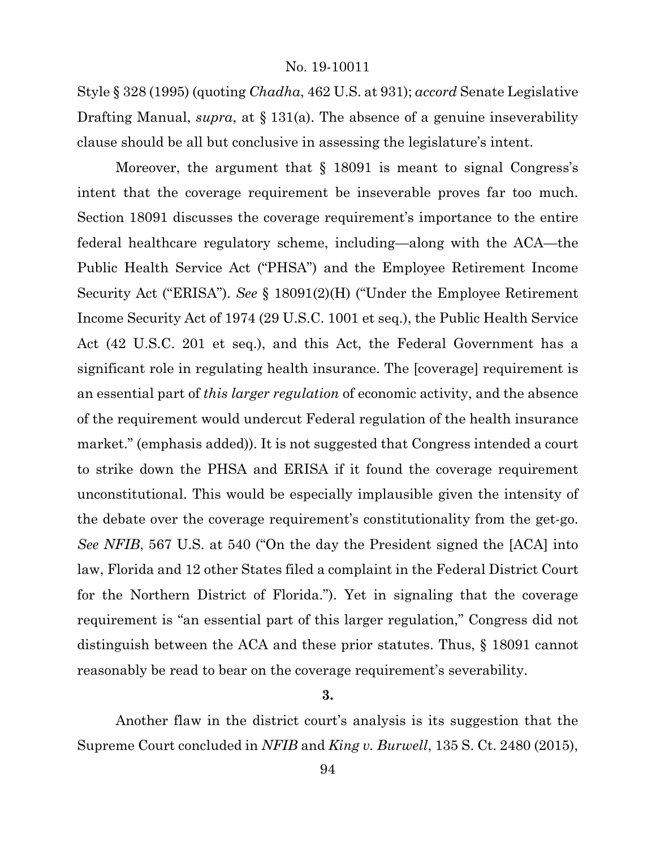Style § 328 (1995) (quoting *Chadha*, 462 U.S. at 931); *accord* Senate Legislative Drafting Manual, *supra*, at § 131(a). The absence of a genuine inseverability clause should be all but conclusive in assessing the legislature's intent.

Moreover, the argument that § 18091 is meant to signal Congress's intent that the coverage requirement be inseverable proves far too much. Section 18091 discusses the coverage requirement's importance to the entire federal healthcare regulatory scheme, including—along with the ACA—the Public Health Service Act ("PHSA") and the Employee Retirement Income Security Act ("ERISA"). *See* § 18091(2)(H) ("Under the Employee Retirement Income Security Act of 1974 (29 U.S.C. 1001 et seq.), the Public Health Service Act (42 U.S.C. 201 et seq.), and this Act, the Federal Government has a significant role in regulating health insurance. The [coverage] requirement is an essential part of *this larger regulation* of economic activity, and the absence of the requirement would undercut Federal regulation of the health insurance market." (emphasis added)). It is not suggested that Congress intended a court to strike down the PHSA and ERISA if it found the coverage requirement unconstitutional. This would be especially implausible given the intensity of the debate over the coverage requirement's constitutionality from the get-go. *See NFIB*, 567 U.S. at 540 ("On the day the President signed the [ACA] into law, Florida and 12 other States filed a complaint in the Federal District Court for the Northern District of Florida."). Yet in signaling that the coverage requirement is "an essential part of this larger regulation," Congress did not distinguish between the ACA and these prior statutes. Thus, § 18091 cannot reasonably be read to bear on the coverage requirement's severability.

#### **3.**

Another flaw in the district court's analysis is its suggestion that the Supreme Court concluded in *NFIB* and *King v. Burwell*, 135 S. Ct. 2480 (2015),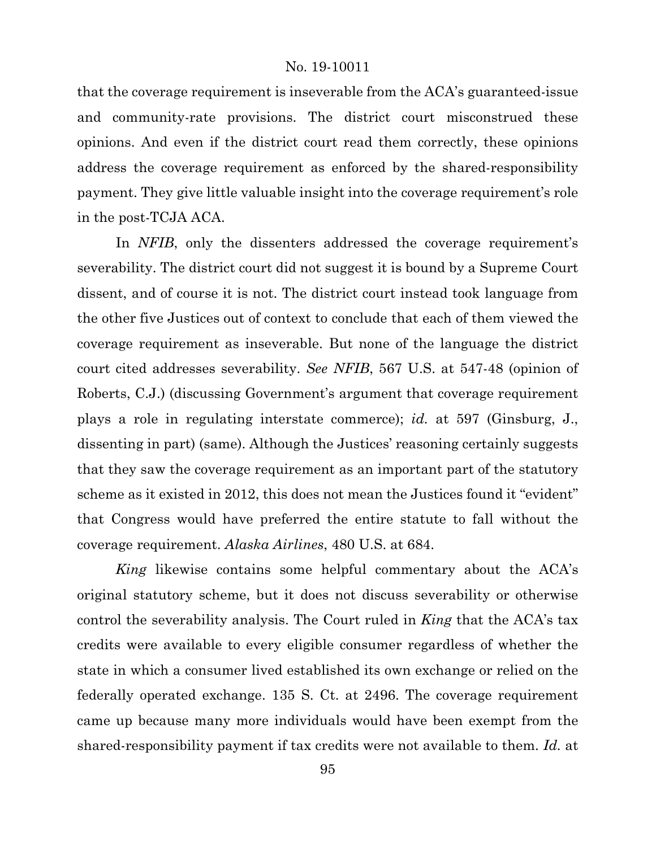that the coverage requirement is inseverable from the ACA's guaranteed-issue and community-rate provisions. The district court misconstrued these opinions. And even if the district court read them correctly, these opinions address the coverage requirement as enforced by the shared-responsibility payment. They give little valuable insight into the coverage requirement's role in the post-TCJA ACA.

In *NFIB*, only the dissenters addressed the coverage requirement's severability. The district court did not suggest it is bound by a Supreme Court dissent, and of course it is not. The district court instead took language from the other five Justices out of context to conclude that each of them viewed the coverage requirement as inseverable. But none of the language the district court cited addresses severability. *See NFIB*, 567 U.S. at 547-48 (opinion of Roberts, C.J.) (discussing Government's argument that coverage requirement plays a role in regulating interstate commerce); *id.* at 597 (Ginsburg, J., dissenting in part) (same). Although the Justices' reasoning certainly suggests that they saw the coverage requirement as an important part of the statutory scheme as it existed in 2012, this does not mean the Justices found it "evident" that Congress would have preferred the entire statute to fall without the coverage requirement. *Alaska Airlines*, 480 U.S. at 684.

*King* likewise contains some helpful commentary about the ACA's original statutory scheme, but it does not discuss severability or otherwise control the severability analysis. The Court ruled in *King* that the ACA's tax credits were available to every eligible consumer regardless of whether the state in which a consumer lived established its own exchange or relied on the federally operated exchange. 135 S. Ct. at 2496. The coverage requirement came up because many more individuals would have been exempt from the shared-responsibility payment if tax credits were not available to them. *Id.* at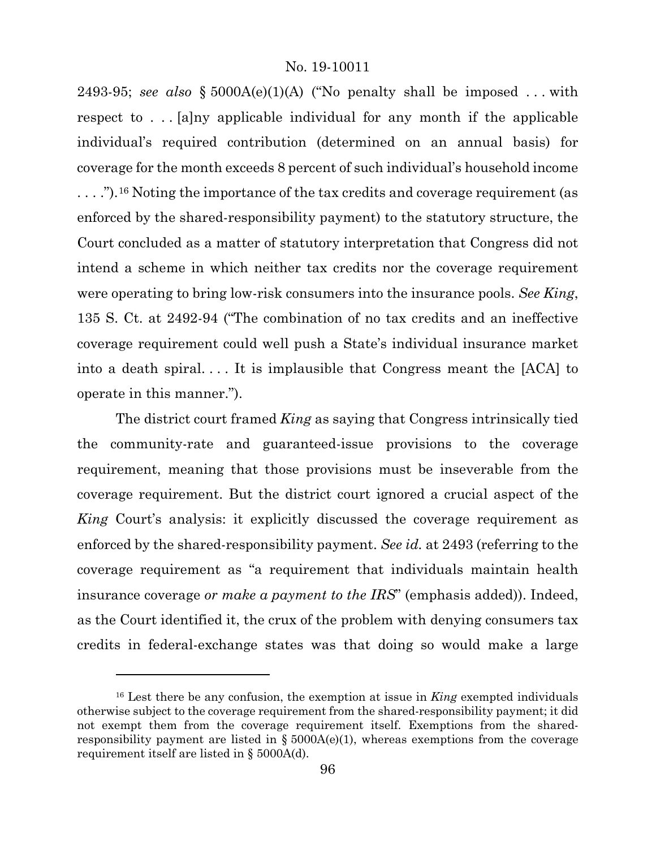2493-95; *see also*  $\S$  5000A(e)(1)(A) ("No penalty shall be imposed ... with respect to . . . [a]ny applicable individual for any month if the applicable individual's required contribution (determined on an annual basis) for coverage for the month exceeds 8 percent of such individual's household income . . . .").[16](#page-95-0) Noting the importance of the tax credits and coverage requirement (as enforced by the shared-responsibility payment) to the statutory structure, the Court concluded as a matter of statutory interpretation that Congress did not intend a scheme in which neither tax credits nor the coverage requirement were operating to bring low-risk consumers into the insurance pools. *See King*, 135 S. Ct. at 2492-94 ("The combination of no tax credits and an ineffective coverage requirement could well push a State's individual insurance market into a death spiral. . . . It is implausible that Congress meant the [ACA] to operate in this manner.").

The district court framed *King* as saying that Congress intrinsically tied the community-rate and guaranteed-issue provisions to the coverage requirement, meaning that those provisions must be inseverable from the coverage requirement. But the district court ignored a crucial aspect of the *King* Court's analysis: it explicitly discussed the coverage requirement as enforced by the shared-responsibility payment. *See id.* at 2493 (referring to the coverage requirement as "a requirement that individuals maintain health insurance coverage *or make a payment to the IRS*" (emphasis added)). Indeed, as the Court identified it, the crux of the problem with denying consumers tax credits in federal-exchange states was that doing so would make a large

<span id="page-95-0"></span><sup>16</sup> Lest there be any confusion, the exemption at issue in *King* exempted individuals otherwise subject to the coverage requirement from the shared-responsibility payment; it did not exempt them from the coverage requirement itself. Exemptions from the sharedresponsibility payment are listed in  $\S$  5000A(e)(1), whereas exemptions from the coverage requirement itself are listed in § 5000A(d).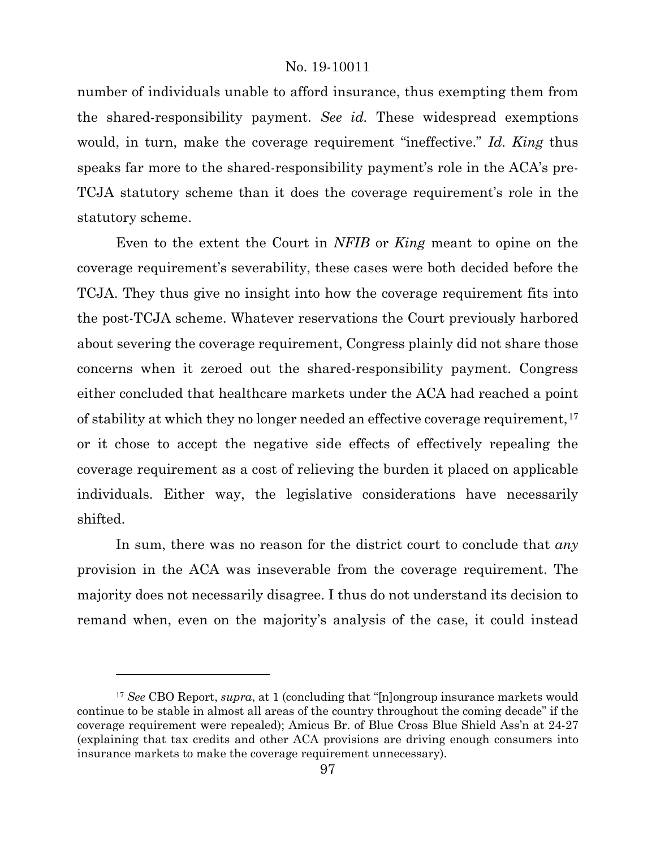number of individuals unable to afford insurance, thus exempting them from the shared-responsibility payment. *See id.* These widespread exemptions would, in turn, make the coverage requirement "ineffective." *Id. King* thus speaks far more to the shared-responsibility payment's role in the ACA's pre-TCJA statutory scheme than it does the coverage requirement's role in the statutory scheme.

Even to the extent the Court in *NFIB* or *King* meant to opine on the coverage requirement's severability, these cases were both decided before the TCJA. They thus give no insight into how the coverage requirement fits into the post-TCJA scheme. Whatever reservations the Court previously harbored about severing the coverage requirement, Congress plainly did not share those concerns when it zeroed out the shared-responsibility payment. Congress either concluded that healthcare markets under the ACA had reached a point of stability at which they no longer needed an effective coverage requirement,<sup>[17](#page-96-0)</sup> or it chose to accept the negative side effects of effectively repealing the coverage requirement as a cost of relieving the burden it placed on applicable individuals. Either way, the legislative considerations have necessarily shifted.

In sum, there was no reason for the district court to conclude that *any*  provision in the ACA was inseverable from the coverage requirement. The majority does not necessarily disagree. I thus do not understand its decision to remand when, even on the majority's analysis of the case, it could instead

<span id="page-96-0"></span><sup>17</sup> *See* CBO Report, *supra*, at 1 (concluding that "[n]ongroup insurance markets would continue to be stable in almost all areas of the country throughout the coming decade" if the coverage requirement were repealed); Amicus Br. of Blue Cross Blue Shield Ass'n at 24-27 (explaining that tax credits and other ACA provisions are driving enough consumers into insurance markets to make the coverage requirement unnecessary).